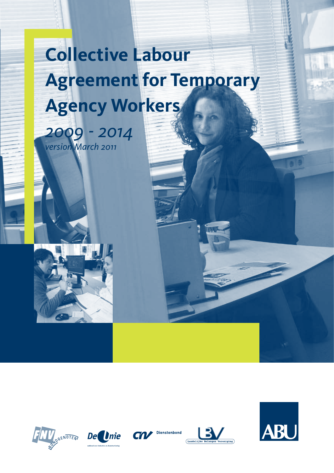# **Collective Labour Agreement for Temporary Agency Workers**













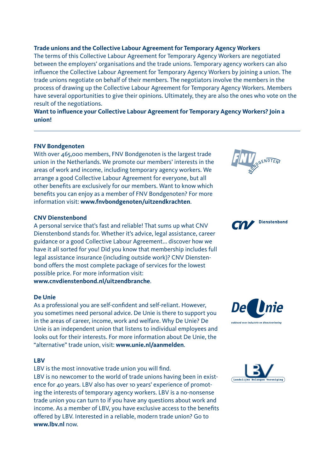#### **Trade unions and the Collective Labour Agreement for Temporary Agency Workers**

The terms of this Collective Labour Agreement for Temporary Agency Workers are negotiated between the employers' organisations and the trade unions. Temporary agency workers can also influence the Collective Labour Agreement for Temporary Agency Workers by joining a union. The trade unions negotiate on behalf of their members. The negotiators involve the members in the process of drawing up the Collective Labour Agreement for Temporary Agency Workers. Members have several opportunities to give their opinions. Ultimately, they are also the ones who vote on the result of the negotiations.

**Want to influence your Collective Labour Agreement for Temporary Agency Workers? Join a union!**

#### **FNV Bondgenoten**

With over 465,000 members, FNV Bondgenoten is the largest trade union in the Netherlands. We promote our members' interests in the areas of work and income, including temporary agency workers. We arrange a good Collective Labour Agreement for everyone, but all other benefits are exclusively for our members. Want to know which benefits you can enjoy as a member of FNV Bondgenoten? For more information visit: **www.fnvbondgenoten/uitzendkrachten**.

#### **CNV Dienstenbond**

A personal service that's fast and reliable! That sums up what CNV Dienstenbond stands for. Whether it's advice, legal assistance, career guidance or a good Collective Labour Agreement... discover how we have it all sorted for you! Did you know that membership includes full legal assistance insurance (including outside work)? CNV Dienstenbond offers the most complete package of services for the lowest possible price. For more information visit: **www.cnvdienstenbond.nl/uitzendbranche**.

# **De Unie**

As a professional you are self-confident and self-reliant. However, you sometimes need personal advice. De Unie is there to support you in the areas of career, income, work and welfare. Why De Unie? De Unie is an independent union that listens to individual employees and looks out for their interests. For more information about De Unie, the "alternative" trade union, visit: **www.unie.nl/aanmelden**.

# **LBV**

LBV is the most innovative trade union you will find.

LBV is no newcomer to the world of trade unions having been in existence for 40 years. LBV also has over 10 years' experience of promoting the interests of temporary agency workers. LBV is a no-nonsense trade union you can turn to if you have any questions about work and income. As a member of LBV, you have exclusive access to the benefits offered by LBV. Interested in a reliable, modern trade union? Go to **www.lbv.nl** now.





De *Unie* 

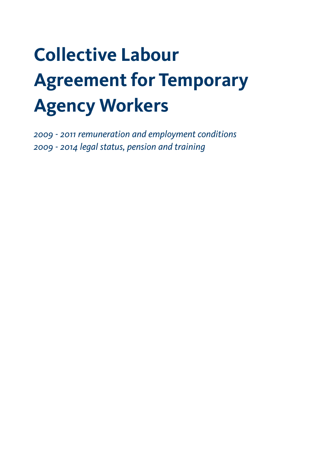# **Collective Labour Agreement for Temporary Agency Workers**

*2009 - 2011 remuneration and employment conditions 2009 - 2014 legal status, pension and training*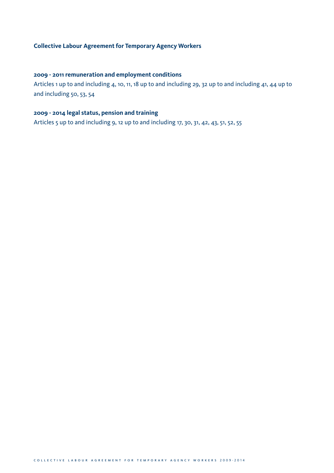# **Collective Labour Agreement for Temporary Agency Workers**

# **2009 - 2011 remuneration and employment conditions**

Articles 1 up to and including 4, 10, 11, 18 up to and including 29, 32 up to and including 41, 44 up to and including 50, 53, 54

# **2009 - 2014 legal status, pension and training**

Articles 5 up to and including 9, 12 up to and including 17, 30, 31, 42, 43, 51, 52, 55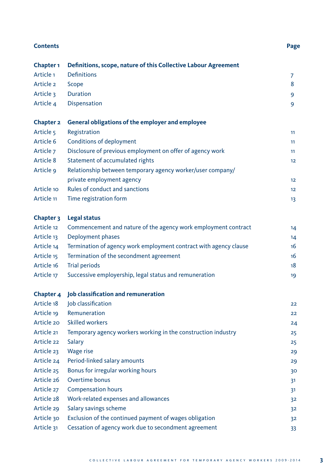| Page |
|------|
|      |

| Chapter <sub>1</sub>  | Definitions, scope, nature of this Collective Labour Agreement    |    |
|-----------------------|-------------------------------------------------------------------|----|
| Article <sub>1</sub>  | <b>Definitions</b>                                                | 7  |
| Article 2             | Scope                                                             | 8  |
| <b>Article 3</b>      | <b>Duration</b>                                                   | 9  |
| Article 4             | Dispensation                                                      | 9  |
| Chapter <sub>2</sub>  | General obligations of the employer and employee                  |    |
| Article 5             | Registration                                                      | 11 |
| Article 6             | Conditions of deployment                                          | 11 |
| Article 7             | Disclosure of previous employment on offer of agency work         | 11 |
| Article 8             | Statement of accumulated rights                                   | 12 |
| Article 9             | Relationship between temporary agency worker/user company/        |    |
|                       | private employment agency                                         | 12 |
| Article 10            | <b>Rules of conduct and sanctions</b>                             | 12 |
| Article <sub>11</sub> | Time registration form                                            | 13 |
| Chapter 3             | <b>Legal status</b>                                               |    |
| Article 12            | Commencement and nature of the agency work employment contract    | 14 |
| Article 13            | Deployment phases                                                 | 14 |
| Article 14            | Termination of agency work employment contract with agency clause | 16 |
| Article 15            | Termination of the secondment agreement                           | 16 |
| Article 16            | <b>Trial periods</b>                                              | 18 |
| Article 17            | Successive employership, legal status and remuneration            | 19 |
| Chapter 4             | Job classification and remuneration                               |    |
| Article 18            | Job classification                                                | 22 |
| Article 19            | Remuneration                                                      | 22 |
| Article 20            | <b>Skilled workers</b>                                            | 24 |
| Article 21            | Temporary agency workers working in the construction industry     | 25 |
| Article 22            | Salary                                                            | 25 |
| Article 23            | Wage rise                                                         | 29 |
| Article 24            | Period-linked salary amounts                                      | 29 |
| Article 25            | Bonus for irregular working hours                                 | 30 |
| Article 26            | Overtime bonus                                                    | 31 |
| Article 27            | <b>Compensation hours</b>                                         | 31 |
| Article 28            | Work-related expenses and allowances                              | 32 |
| Article 29            | Salary savings scheme                                             | 32 |
| Article 30            | Exclusion of the continued payment of wages obligation            | 32 |
| Article 31            | Cessation of agency work due to secondment agreement              | 33 |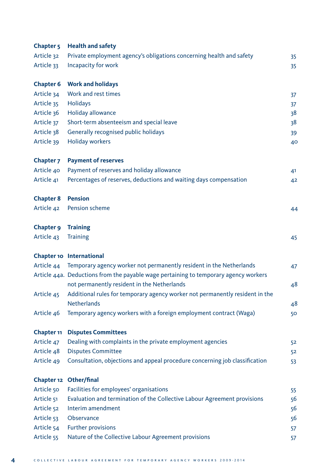| <b>Chapter 5</b>     | <b>Health and safety</b>                                                             |    |
|----------------------|--------------------------------------------------------------------------------------|----|
| Article 32           | Private employment agency's obligations concerning health and safety                 | 35 |
| Article 33           | Incapacity for work                                                                  | 35 |
| <b>Chapter 6</b>     | <b>Work and holidays</b>                                                             |    |
| Article 34           | Work and rest times                                                                  | 37 |
| Article 35           | Holidays                                                                             | 37 |
| Article 36           | Holiday allowance                                                                    | 38 |
| Article 37           | Short-term absenteeism and special leave                                             | 38 |
| Article 38           | Generally recognised public holidays                                                 | 39 |
| Article 39           | <b>Holiday workers</b>                                                               | 40 |
| Chapter <sub>7</sub> | <b>Payment of reserves</b>                                                           |    |
| Article 40           | Payment of reserves and holiday allowance                                            | 41 |
| Article 41           | Percentages of reserves, deductions and waiting days compensation                    | 42 |
| <b>Chapter 8</b>     | <b>Pension</b>                                                                       |    |
| Article 42           | Pension scheme                                                                       | 44 |
| Chapter 9            | <b>Training</b>                                                                      |    |
| Article 43           | <b>Training</b>                                                                      | 45 |
|                      | Chapter 10 International                                                             |    |
| Article 44           | Temporary agency worker not permanently resident in the Netherlands                  | 47 |
|                      | Article 44a. Deductions from the payable wage pertaining to temporary agency workers |    |
|                      | not permanently resident in the Netherlands                                          | 48 |
| Article 45           | Additional rules for temporary agency worker not permanently resident in the         |    |
|                      | <b>Netherlands</b>                                                                   | 48 |
| Article 46           | Temporary agency workers with a foreign employment contract (Waga)                   | 50 |
| Chapter 11           | <b>Disputes Committees</b>                                                           |    |
| Article 47           | Dealing with complaints in the private employment agencies                           | 52 |
| Article 48           | <b>Disputes Committee</b>                                                            | 52 |
| Article 49           | Consultation, objections and appeal procedure concerning job classification          | 53 |
|                      | Chapter 12 Other/final                                                               |    |
| Article 50           | Facilities for employees' organisations                                              | 55 |
| Article 51           | Evaluation and termination of the Collective Labour Agreement provisions             | 56 |
| Article 52           | Interim amendment                                                                    | 56 |
| Article 53           | Observance                                                                           | 56 |
| Article 54           | <b>Further provisions</b>                                                            | 57 |
| Article 55           | Nature of the Collective Labour Agreement provisions                                 | 57 |
|                      |                                                                                      |    |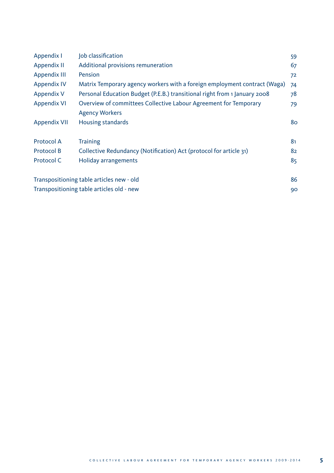| Appendix I          | Job classification                                                                        | 59 |
|---------------------|-------------------------------------------------------------------------------------------|----|
| Appendix II         | Additional provisions remuneration                                                        | 67 |
| Appendix III        | Pension                                                                                   | 72 |
| <b>Appendix IV</b>  | Matrix Temporary agency workers with a foreign employment contract (Waga)                 | 74 |
| Appendix V          | Personal Education Budget (P.E.B.) transitional right from 1 January 2008                 | 78 |
| <b>Appendix VI</b>  | Overview of committees Collective Labour Agreement for Temporary<br><b>Agency Workers</b> | 79 |
| <b>Appendix VII</b> | Housing standards                                                                         | 80 |
| <b>Protocol A</b>   | <b>Training</b>                                                                           | 81 |
| Protocol B          | Collective Redundancy (Notification) Act (protocol for article 31)                        | 82 |
| Protocol C          | <b>Holiday arrangements</b>                                                               | 85 |
|                     | Transpositioning table articles new - old                                                 | 86 |
|                     | Transpositioning table articles old - new                                                 | 90 |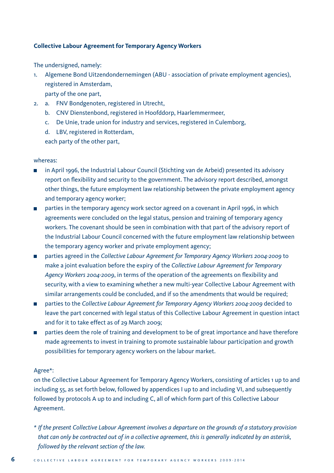# **Collective Labour Agreement for Temporary Agency Workers**

The undersigned, namely:

- 1. Algemene Bond Uitzendondernemingen (ABU association of private employment agencies), registered in Amsterdam, party of the one part,
- 2. a. FNV Bondgenoten, registered in Utrecht,
	- b. CNV Dienstenbond, registered in Hoofddorp, Haarlemmermeer,
	- c. De Unie, trade union for industry and services, registered in Culemborg,
	- d. LBV, registered in Rotterdam,

each party of the other part,

# whereas:

- **in** April 1996, the Industrial Labour Council (Stichting van de Arbeid) presented its advisory report on flexibility and security to the government. The advisory report described, amongst other things, the future employment law relationship between the private employment agency and temporary agency worker;
- **n** parties in the temporary agency work sector agreed on a covenant in April 1996, in which agreements were concluded on the legal status, pension and training of temporary agency workers. The covenant should be seen in combination with that part of the advisory report of the Industrial Labour Council concerned with the future employment law relationship between the temporary agency worker and private employment agency;
- parties agreed in the *Collective Labour Agreement for Temporary Agency Workers 2004-2009* to make a joint evaluation before the expiry of the *Collective Labour Agreement for Temporary Agency Workers 2004-2009*, in terms of the operation of the agreements on flexibility and security, with a view to examining whether a new multi-year Collective Labour Agreement with similar arrangements could be concluded, and if so the amendments that would be required;
- parties to the *Collective Labour Agreement for Temporary Agency Workers 2004-2009* decided to leave the part concerned with legal status of this Collective Labour Agreement in question intact and for it to take effect as of 29 March 2009;
- **n** parties deem the role of training and development to be of great importance and have therefore made agreements to invest in training to promote sustainable labour participation and growth possibilities for temporary agency workers on the labour market.

#### Agree\*:

on the Collective Labour Agreement for Temporary Agency Workers, consisting of articles 1 up to and including 55, as set forth below, followed by appendices I up to and including VI, and subsequently followed by protocols A up to and including C, all of which form part of this Collective Labour Agreement.

*\* If the present Collective Labour Agreement involves a departure on the grounds of a statutory provision that can only be contracted out of in a collective agreement, this is generally indicated by an asterisk, followed by the relevant section of the law.*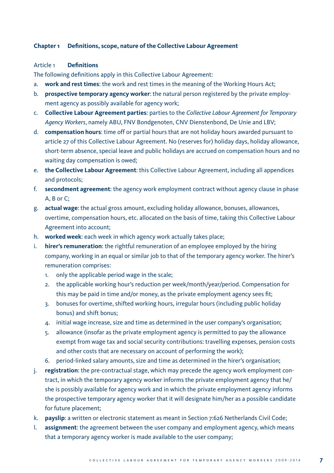# **Chapter 1 Definitions, scope, nature of the Collective Labour Agreement**

# Article 1 **Definitions**

The following definitions apply in this Collective Labour Agreement:

- a. **work and rest times**: the work and rest times in the meaning of the Working Hours Act;
- b. **prospective temporary agency worker**: the natural person registered by the private employment agency as possibly available for agency work;
- c. **Collective Labour Agreement parties**: parties to the *Collective Labour Agreement for Temporary Agency Workers*, namely ABU, FNV Bondgenoten, CNV Dienstenbond, De Unie and LBV;
- d. **compensation hours**: time off or partial hours that are not holiday hours awarded pursuant to article 27 of this Collective Labour Agreement. No (reserves for) holiday days, holiday allowance, short-term absence, special leave and public holidays are accrued on compensation hours and no waiting day compensation is owed;
- e. **the Collective Labour Agreement**: this Collective Labour Agreement, including all appendices and protocols;
- f. **secondment agreement**: the agency work employment contract without agency clause in phase A, B or C;
- g. **actual wage**: the actual gross amount, excluding holiday allowance, bonuses, allowances, overtime, compensation hours, etc. allocated on the basis of time, taking this Collective Labour Agreement into account;
- h. **worked week**: each week in which agency work actually takes place;
- i. **hirer's remuneration**: the rightful remuneration of an employee employed by the hiring company, working in an equal or similar job to that of the temporary agency worker. The hirer's remuneration comprises:
	- 1. only the applicable period wage in the scale;
	- 2. the applicable working hour's reduction per week/month/year/period. Compensation for this may be paid in time and/or money, as the private employment agency sees fit;
	- 3. bonuses for overtime, shifted working hours, irregular hours (including public holiday bonus) and shift bonus;
	- 4. initial wage increase, size and time as determined in the user company's organisation;
	- 5. allowance (insofar as the private employment agency is permitted to pay the allowance exempt from wage tax and social security contributions: travelling expenses, pension costs and other costs that are necessary on account of performing the work);
	- 6. period-linked salary amounts, size and time as determined in the hirer's organisation;
- j. **registration**: the pre-contractual stage, which may precede the agency work employment contract, in which the temporary agency worker informs the private employment agency that he/ she is possibly available for agency work and in which the private employment agency informs the prospective temporary agency worker that it will designate him/her as a possible candidate for future placement;
- k. **payslip**: a written or electronic statement as meant in Section 7:626 Netherlands Civil Code;
- l. **assignment**: the agreement between the user company and employment agency, which means that a temporary agency worker is made available to the user company;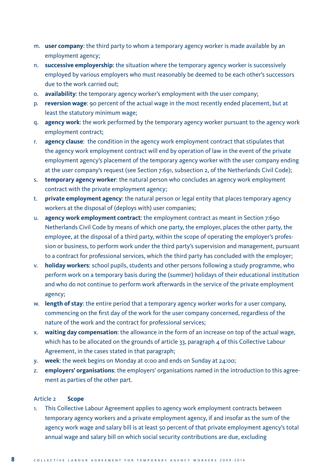- m. **user company**: the third party to whom a temporary agency worker is made available by an employment agency;
- n. **successive employership**: the situation where the temporary agency worker is successively employed by various employers who must reasonably be deemed to be each other's successors due to the work carried out;
- o. **availability**: the temporary agency worker's employment with the user company;
- p. **reversion wage**: 90 percent of the actual wage in the most recently ended placement, but at least the statutory minimum wage;
- q. **agency work**: the work performed by the temporary agency worker pursuant to the agency work employment contract;
- r. **agency clause**: the condition in the agency work employment contract that stipulates that the agency work employment contract will end by operation of law in the event of the private employment agency's placement of the temporary agency worker with the user company ending at the user company's request (see Section 7:691, subsection 2, of the Netherlands Civil Code);
- s. **temporary agency worker**: the natural person who concludes an agency work employment contract with the private employment agency;
- t. **private employment agency**: the natural person or legal entity that places temporary agency workers at the disposal of (deploys with) user companies;
- u. **agency work employment contract**: the employment contract as meant in Section 7:690 Netherlands Civil Code by means of which one party, the employer, places the other party, the employee, at the disposal of a third party, within the scope of operating the employer's profession or business, to perform work under the third party's supervision and management, pursuant to a contract for professional services, which the third party has concluded with the employer;
- v. **holiday workers**: school pupils, students and other persons following a study programme, who perform work on a temporary basis during the (summer) holidays of their educational institution and who do not continue to perform work afterwards in the service of the private employment agency;
- w. **length of stay**: the entire period that a temporary agency worker works for a user company, commencing on the first day of the work for the user company concerned, regardless of the nature of the work and the contract for professional services;
- x. **waiting day compensation**: the allowance in the form of an increase on top of the actual wage, which has to be allocated on the grounds of article 33, paragraph 4 of this Collective Labour Agreement, in the cases stated in that paragraph;
- y. **week**: the week begins on Monday at 0:00 and ends on Sunday at 24:00;
- z. **employers' organisations**: the employers' organisations named in the introduction to this agreement as parties of the other part.

# Article 2 **Scope**

1. This Collective Labour Agreement applies to agency work employment contracts between temporary agency workers and a private employment agency, if and insofar as the sum of the agency work wage and salary bill is at least 50 percent of that private employment agency's total annual wage and salary bill on which social security contributions are due, excluding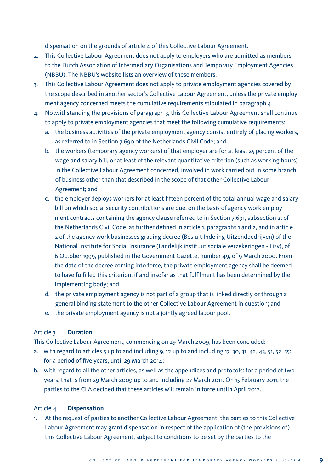dispensation on the grounds of article 4 of this Collective Labour Agreement.

- 2. This Collective Labour Agreement does not apply to employers who are admitted as members to the Dutch Association of Intermediary Organisations and Temporary Employment Agencies (NBBU). The NBBU's website lists an overview of these members.
- 3. This Collective Labour Agreement does not apply to private employment agencies covered by the scope described in another sector's Collective Labour Agreement, unless the private employment agency concerned meets the cumulative requirements stipulated in paragraph 4.
- 4. Notwithstanding the provisions of paragraph 3, this Collective Labour Agreement shall continue to apply to private employment agencies that meet the following cumulative requirements:
	- a. the business activities of the private employment agency consist entirely of placing workers, as referred to in Section 7:690 of the Netherlands Civil Code; and
	- b. the workers (temporary agency workers) of that employer are for at least 25 percent of the wage and salary bill, or at least of the relevant quantitative criterion (such as working hours) in the Collective Labour Agreement concerned, involved in work carried out in some branch of business other than that described in the scope of that other Collective Labour Agreement; and
	- c. the employer deploys workers for at least fifteen percent of the total annual wage and salary bill on which social security contributions are due, on the basis of agency work employment contracts containing the agency clause referred to in Section 7:691, subsection 2, of the Netherlands Civil Code, as further defined in article 1, paragraphs 1 and 2, and in article 2 of the agency work businesses grading decree (Besluit Indeling Uitzendbedrijven) of the National Institute for Social Insurance (Landelijk instituut sociale verzekeringen - Lisv), of 6 October 1999, published in the Government Gazette, number 49, of 9 March 2000. From the date of the decree coming into force, the private employment agency shall be deemed to have fulfilled this criterion, if and insofar as that fulfilment has been determined by the implementing body; and
	- d. the private employment agency is not part of a group that is linked directly or through a general binding statement to the other Collective Labour Agreement in question; and
	- e. the private employment agency is not a jointly agreed labour pool.

# Article 3 **Duration**

This Collective Labour Agreement, commencing on 29 March 2009, has been concluded:

- a. with regard to articles  $5 \text{ up to and including } 9, 12 \text{ up to and including } 17, 30, 31, 42, 43, 51, 52, 55$ : for a period of five years, until 29 March 2014;
- b. with regard to all the other articles, as well as the appendices and protocols: for a period of two years, that is from 29 March 2009 up to and including 27 March 2011. On 15 February 2011, the parties to the CLA decided that these articles will remain in force until 1 April 2012.

# Article 4 **Dispensation**

1. At the request of parties to another Collective Labour Agreement, the parties to this Collective Labour Agreement may grant dispensation in respect of the application of (the provisions of) this Collective Labour Agreement, subject to conditions to be set by the parties to the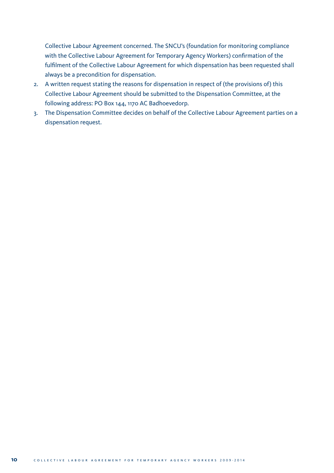Collective Labour Agreement concerned. The SNCU's (foundation for monitoring compliance with the Collective Labour Agreement for Temporary Agency Workers) confirmation of the fulfilment of the Collective Labour Agreement for which dispensation has been requested shall always be a precondition for dispensation.

- 2. A written request stating the reasons for dispensation in respect of (the provisions of) this Collective Labour Agreement should be submitted to the Dispensation Committee, at the following address: PO Box 144, 1170 AC Badhoevedorp.
- 3. The Dispensation Committee decides on behalf of the Collective Labour Agreement parties on a dispensation request.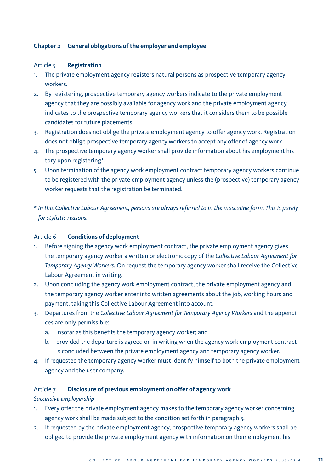# **Chapter 2 General obligations of the employer and employee**

# Article 5 **Registration**

- 1. The private employment agency registers natural persons as prospective temporary agency workers.
- 2. By registering, prospective temporary agency workers indicate to the private employment agency that they are possibly available for agency work and the private employment agency indicates to the prospective temporary agency workers that it considers them to be possible candidates for future placements.
- 3. Registration does not oblige the private employment agency to offer agency work. Registration does not oblige prospective temporary agency workers to accept any offer of agency work.
- 4. The prospective temporary agency worker shall provide information about his employment history upon registering\*.
- 5. Upon termination of the agency work employment contract temporary agency workers continue to be registered with the private employment agency unless the (prospective) temporary agency worker requests that the registration be terminated.
- *\* In this Collective Labour Agreement, persons are always referred to in the masculine form. This is purely for stylistic reasons.*

#### Article 6 **Conditions of deployment**

- 1. Before signing the agency work employment contract, the private employment agency gives the temporary agency worker a written or electronic copy of the *Collective Labour Agreement for Temporary Agency Workers*. On request the temporary agency worker shall receive the Collective Labour Agreement in writing.
- 2. Upon concluding the agency work employment contract, the private employment agency and the temporary agency worker enter into written agreements about the job, working hours and payment, taking this Collective Labour Agreement into account.
- 3. Departures from the *Collective Labour Agreement for Temporary Agency Workers* and the appendices are only permissible:
	- a. insofar as this benefits the temporary agency worker; and
	- b. provided the departure is agreed on in writing when the agency work employment contract is concluded between the private employment agency and temporary agency worker.
- 4. If requested the temporary agency worker must identify himself to both the private employment agency and the user company.

#### Article 7 **Disclosure of previous employment on offer of agency work**

*Successive employership*

- 1. Every offer the private employment agency makes to the temporary agency worker concerning agency work shall be made subject to the condition set forth in paragraph 3.
- 2. If requested by the private employment agency, prospective temporary agency workers shall be obliged to provide the private employment agency with information on their employment his-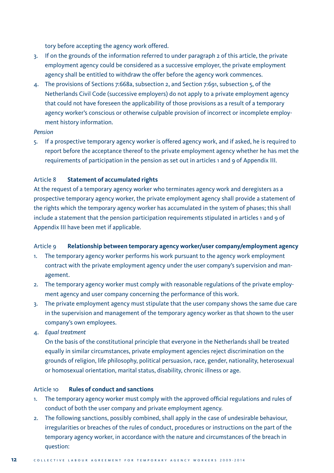tory before accepting the agency work offered.

- 3. If on the grounds of the information referred to under paragraph 2 of this article, the private employment agency could be considered as a successive employer, the private employment agency shall be entitled to withdraw the offer before the agency work commences.
- 4. The provisions of Sections 7:668a, subsection 2, and Section 7:691, subsection 5, of the Netherlands Civil Code (successive employers) do not apply to a private employment agency that could not have foreseen the applicability of those provisions as a result of a temporary agency worker's conscious or otherwise culpable provision of incorrect or incomplete employment history information.

# *Pension*

5. If a prospective temporary agency worker is offered agency work, and if asked, he is required to report before the acceptance thereof to the private employment agency whether he has met the requirements of participation in the pension as set out in articles 1 and 9 of Appendix III.

# Article 8 **Statement of accumulated rights**

At the request of a temporary agency worker who terminates agency work and deregisters as a prospective temporary agency worker, the private employment agency shall provide a statement of the rights which the temporary agency worker has accumulated in the system of phases; this shall include a statement that the pension participation requirements stipulated in articles 1 and 9 of Appendix III have been met if applicable.

#### Article 9 **Relationship between temporary agency worker/user company/employment agency**

- 1. The temporary agency worker performs his work pursuant to the agency work employment contract with the private employment agency under the user company's supervision and management.
- 2. The temporary agency worker must comply with reasonable regulations of the private employment agency and user company concerning the performance of this work.
- 3. The private employment agency must stipulate that the user company shows the same due care in the supervision and management of the temporary agency worker as that shown to the user company's own employees.
- 4. *Equal treatment*

 On the basis of the constitutional principle that everyone in the Netherlands shall be treated equally in similar circumstances, private employment agencies reject discrimination on the grounds of religion, life philosophy, political persuasion, race, gender, nationality, heterosexual or homosexual orientation, marital status, disability, chronic illness or age.

# Article 10 **Rules of conduct and sanctions**

- 1. The temporary agency worker must comply with the approved official regulations and rules of conduct of both the user company and private employment agency.
- 2. The following sanctions, possibly combined, shall apply in the case of undesirable behaviour, irregularities or breaches of the rules of conduct, procedures or instructions on the part of the temporary agency worker, in accordance with the nature and circumstances of the breach in question: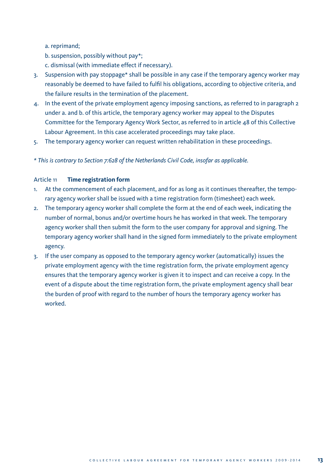a. reprimand;

b. suspension, possibly without pay\*;

c. dismissal (with immediate effect if necessary).

- 3. Suspension with pay stoppage\* shall be possible in any case if the temporary agency worker may reasonably be deemed to have failed to fulfil his obligations, according to objective criteria, and the failure results in the termination of the placement.
- 4. In the event of the private employment agency imposing sanctions, as referred to in paragraph 2 under a. and b. of this article, the temporary agency worker may appeal to the Disputes Committee for the Temporary Agency Work Sector, as referred to in article 48 of this Collective Labour Agreement. In this case accelerated proceedings may take place.
- 5. The temporary agency worker can request written rehabilitation in these proceedings.

*\* This is contrary to Section 7:628 of the Netherlands Civil Code, insofar as applicable.*

#### Article 11 **Time registration form**

- 1. At the commencement of each placement, and for as long as it continues thereafter, the temporary agency worker shall be issued with a time registration form (timesheet) each week.
- 2. The temporary agency worker shall complete the form at the end of each week, indicating the number of normal, bonus and/or overtime hours he has worked in that week. The temporary agency worker shall then submit the form to the user company for approval and signing. The temporary agency worker shall hand in the signed form immediately to the private employment agency.
- 3. If the user company as opposed to the temporary agency worker (automatically) issues the private employment agency with the time registration form, the private employment agency ensures that the temporary agency worker is given it to inspect and can receive a copy. In the event of a dispute about the time registration form, the private employment agency shall bear the burden of proof with regard to the number of hours the temporary agency worker has worked.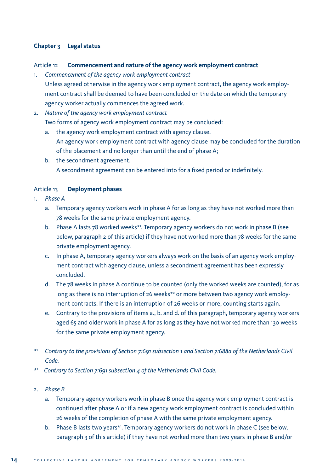# **Chapter 3 Legal status**

# Article 12 **Commencement and nature of the agency work employment contract**

- 1. *Commencement of the agency work employment contract* Unless agreed otherwise in the agency work employment contract, the agency work employment contract shall be deemed to have been concluded on the date on which the temporary agency worker actually commences the agreed work.
- 2. *Nature of the agency work employment contract* Two forms of agency work employment contract may be concluded:
	- a. the agency work employment contract with agency clause. An agency work employment contract with agency clause may be concluded for the duration of the placement and no longer than until the end of phase A;
	- b. the secondment agreement. A secondment agreement can be entered into for a fixed period or indefinitely.

# Article 13 **Deployment phases**

- 1. *Phase A*
	- a. Temporary agency workers work in phase A for as long as they have not worked more than 78 weeks for the same private employment agency.
	- b. Phase A lasts 78 worked weeks\*1. Temporary agency workers do not work in phase B (see below, paragraph 2 of this article) if they have not worked more than 78 weeks for the same private employment agency.
	- c. In phase A, temporary agency workers always work on the basis of an agency work employment contract with agency clause, unless a secondment agreement has been expressly concluded.
	- d. The 78 weeks in phase A continue to be counted (only the worked weeks are counted), for as long as there is no interruption of 26 weeks\*2 or more between two agency work employment contracts. If there is an interruption of 26 weeks or more, counting starts again.
	- e. Contrary to the provisions of items a., b. and d. of this paragraph, temporary agency workers aged 65 and older work in phase A for as long as they have not worked more than 130 weeks for the same private employment agency.
- *\**1  *Contrary to the provisions of Section 7:691 subsection 1 and Section 7:688a of the Netherlands Civil Code.*
- *\**2  *Contrary to Section 7:691 subsection 4 of the Netherlands Civil Code.*
- 2. *Phase B*
	- a. Temporary agency workers work in phase B once the agency work employment contract is continued after phase A or if a new agency work employment contract is concluded within 26 weeks of the completion of phase A with the same private employment agency.
	- b. Phase B lasts two years\*'. Temporary agency workers do not work in phase C (see below, paragraph 3 of this article) if they have not worked more than two years in phase B and/or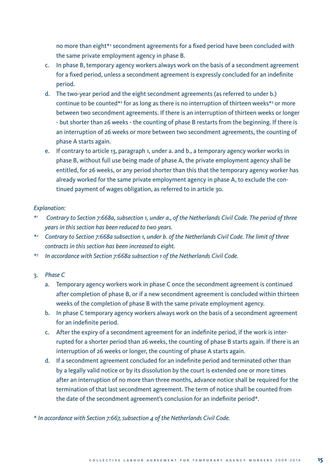no more than eight\*2 secondment agreements for a fixed period have been concluded with the same private employment agency in phase B.

- c. In phase B, temporary agency workers always work on the basis of a secondment agreement for a fixed period, unless a secondment agreement is expressly concluded for an indefinite period.
- d. The two-year period and the eight secondment agreements (as referred to under b.) continue to be counted\*<sup>2</sup> for as long as there is no interruption of thirteen weeks\*<sup>3</sup> or more between two secondment agreements. If there is an interruption of thirteen weeks or longer - but shorter than 26 weeks - the counting of phase B restarts from the beginning. If there is an interruption of 26 weeks or more between two secondment agreements, the counting of phase A starts again.
- e. If contrary to article 13, paragraph 1, under a. and b., a temporary agency worker works in phase B, without full use being made of phase A, the private employment agency shall be entitled, for 26 weeks, or any period shorter than this that the temporary agency worker has already worked for the same private employment agency in phase A, to exclude the continued payment of wages obligation, as referred to in article 30.

#### *Explanation:*

- *\*1 Contrary to Section 7:668a, subsection 1, under a., of the Netherlands Civil Code. The period of three years in this section has been reduced to two years.*
- *\*2 Contrary to Section 7:668a subsection 1, under b. of the Netherlands Civil Code. The limit of three contracts in this section has been increased to eight.*
- *\*3 In accordance with Section 7:668a subsection 1 of the Netherlands Civil Code.*

# 3. *Phase C*

- a. Temporary agency workers work in phase C once the secondment agreement is continued after completion of phase B, or if a new secondment agreement is concluded within thirteen weeks of the completion of phase B with the same private employment agency.
- b. In phase C temporary agency workers always work on the basis of a secondment agreement for an indefinite period.
- c. After the expiry of a secondment agreement for an indefinite period, if the work is interrupted for a shorter period than 26 weeks, the counting of phase B starts again. If there is an interruption of 26 weeks or longer, the counting of phase A starts again.
- d. If a secondment agreement concluded for an indefinite period and terminated other than by a legally valid notice or by its dissolution by the court is extended one or more times after an interruption of no more than three months, advance notice shall be required for the termination of that last secondment agreement. The term of notice shall be counted from the date of the secondment agreement's conclusion for an indefinite period\*.

*\* In accordance with Section 7:667, subsection 4 of the Netherlands Civil Code.*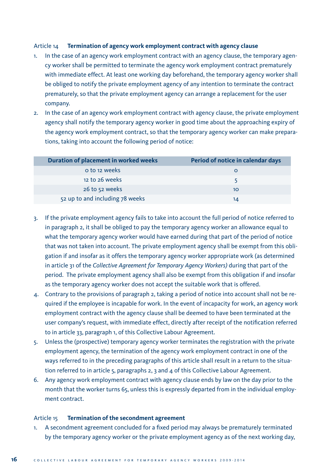# Article 14 **Termination of agency work employment contract with agency clause**

- 1. In the case of an agency work employment contract with an agency clause, the temporary agency worker shall be permitted to terminate the agency work employment contract prematurely with immediate effect. At least one working day beforehand, the temporary agency worker shall be obliged to notify the private employment agency of any intention to terminate the contract prematurely, so that the private employment agency can arrange a replacement for the user company.
- 2. In the case of an agency work employment contract with agency clause, the private employment agency shall notify the temporary agency worker in good time about the approaching expiry of the agency work employment contract, so that the temporary agency worker can make preparations, taking into account the following period of notice:

| <b>Duration of placement in worked weeks</b> | Period of notice in calendar days |
|----------------------------------------------|-----------------------------------|
| o to 12 weeks                                |                                   |
| 12 to 26 weeks                               |                                   |
| 26 to 52 weeks                               | 10                                |
| 52 up to and including 78 weeks              | 14                                |

- 3. If the private employment agency fails to take into account the full period of notice referred to in paragraph 2, it shall be obliged to pay the temporary agency worker an allowance equal to what the temporary agency worker would have earned during that part of the period of notice that was not taken into account. The private employment agency shall be exempt from this obligation if and insofar as it offers the temporary agency worker appropriate work (as determined in article 31 of the *Collective Agreement for Temporary Agency Workers)* during that part of the period. The private employment agency shall also be exempt from this obligation if and insofar as the temporary agency worker does not accept the suitable work that is offered.
- 4. Contrary to the provisions of paragraph 2, taking a period of notice into account shall not be required if the employee is incapable for work. In the event of incapacity for work, an agency work employment contract with the agency clause shall be deemed to have been terminated at the user company's request, with immediate effect, directly after receipt of the notification referred to in article 33, paragraph 1, of this Collective Labour Agreement.
- 5. Unless the (prospective) temporary agency worker terminates the registration with the private employment agency, the termination of the agency work employment contract in one of the ways referred to in the preceding paragraphs of this article shall result in a return to the situation referred to in article 5, paragraphs 2, 3 and 4 of this Collective Labour Agreement.
- 6. Any agency work employment contract with agency clause ends by law on the day prior to the month that the worker turns 65, unless this is expressly departed from in the individual employment contract.

#### Article 15 **Termination of the secondment agreement**

1. A secondment agreement concluded for a fixed period may always be prematurely terminated by the temporary agency worker or the private employment agency as of the next working day,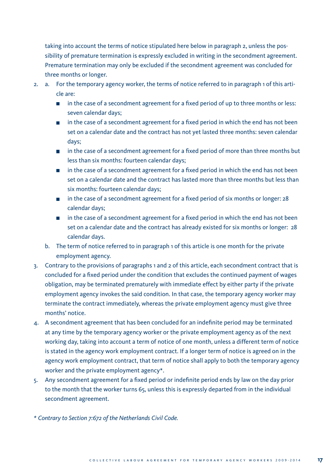taking into account the terms of notice stipulated here below in paragraph 2, unless the possibility of premature termination is expressly excluded in writing in the secondment agreement. Premature termination may only be excluded if the secondment agreement was concluded for three months or longer.

- 2. a. For the temporary agency worker, the terms of notice referred to in paragraph 1 of this article are:
	- **in** in the case of a secondment agreement for a fixed period of up to three months or less: seven calendar days;
	- **In** in the case of a secondment agreement for a fixed period in which the end has not been set on a calendar date and the contract has not yet lasted three months: seven calendar days;
	- **In** in the case of a secondment agreement for a fixed period of more than three months but less than six months: fourteen calendar days;
	- **In** in the case of a secondment agreement for a fixed period in which the end has not been set on a calendar date and the contract has lasted more than three months but less than six months: fourteen calendar days;
	- in the case of a secondment agreement for a fixed period of six months or longer: 28 calendar days;
	- $\blacksquare$  in the case of a secondment agreement for a fixed period in which the end has not been set on a calendar date and the contract has already existed for six months or longer: 28 calendar days.
	- b. The term of notice referred to in paragraph 1 of this article is one month for the private employment agency.
- 3. Contrary to the provisions of paragraphs 1 and 2 of this article, each secondment contract that is concluded for a fixed period under the condition that excludes the continued payment of wages obligation, may be terminated prematurely with immediate effect by either party if the private employment agency invokes the said condition. In that case, the temporary agency worker may terminate the contract immediately, whereas the private employment agency must give three months' notice.
- 4. A secondment agreement that has been concluded for an indefinite period may be terminated at any time by the temporary agency worker or the private employment agency as of the next working day, taking into account a term of notice of one month, unless a different term of notice is stated in the agency work employment contract. If a longer term of notice is agreed on in the agency work employment contract, that term of notice shall apply to both the temporary agency worker and the private employment agency\*.
- 5. Any secondment agreement for a fixed period or indefinite period ends by law on the day prior to the month that the worker turns 65, unless this is expressly departed from in the individual secondment agreement.

*\* Contrary to Section 7:672 of the Netherlands Civil Code.*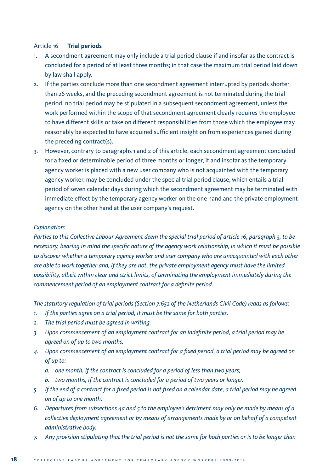# Article 16 **Trial periods**

- 1. A secondment agreement may only include a trial period clause if and insofar as the contract is concluded for a period of at least three months; in that case the maximum trial period laid down by law shall apply.
- 2. If the parties conclude more than one secondment agreement interrupted by periods shorter than 26 weeks, and the preceding secondment agreement is not terminated during the trial period, no trial period may be stipulated in a subsequent secondment agreement, unless the work performed within the scope of that secondment agreement clearly requires the employee to have different skills or take on different responsibilities from those which the employee may reasonably be expected to have acquired sufficient insight on from experiences gained during the preceding contract(s).
- 3. However, contrary to paragraphs 1 and 2 of this article, each secondment agreement concluded for a fixed or determinable period of three months or longer, if and insofar as the temporary agency worker is placed with a new user company who is not acquainted with the temporary agency worker, may be concluded under the special trial period clause, which entails a trial period of seven calendar days during which the secondment agreement may be terminated with immediate effect by the temporary agency worker on the one hand and the private employment agency on the other hand at the user company's request.

#### *Explanation:*

*Parties to this Collective Labour Agreement deem the special trial period of article 16, paragraph 3, to be necessary, bearing in mind the specific nature of the agency work relationship, in which it must be possible to discover whether a temporary agency worker and user company who are unacquainted with each other are able to work together and, if they are not, the private employment agency must have the limited possibility, albeit within clear and strict limits, of terminating the employment immediately during the commencement period of an employment contract for a definite period.*

*The statutory regulation of trial periods (Section 7:652 of the Netherlands Civil Code) reads as follows:*

- *1. If the parties agree on a trial period, it must be the same for both parties.*
- *2. The trial period must be agreed in writing.*
- *3. Upon commencement of an employment contract for an indefinite period, a trial period may be agreed on of up to two months.*
- *4. Upon commencement of an employment contract for a fixed period, a trial period may be agreed on of up to:*
	- *a. one month, if the contract is concluded for a period of less than two years;*
	- *b. two months, if the contract is concluded for a period of two years or longer.*
- *5. If the end of a contract for a fixed period is not fixed on a calendar date, a trial period may be agreed on of up to one month.*
- *6. Departures from subsections 4a and 5 to the employee's detriment may only be made by means of a collective deployment agreement or by means of arrangements made by or on behalf of a competent administrative body.*
- *7. Any provision stipulating that the trial period is not the same for both parties or is to be longer than*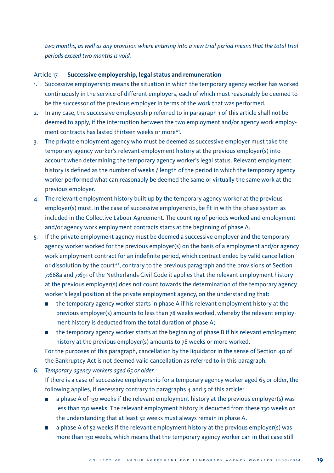*two months, as well as any provision where entering into a new trial period means that the total trial periods exceed two months is void.*

# Article 17 **Successive employership, legal status and remuneration**

- 1. Successive employership means the situation in which the temporary agency worker has worked continuously in the service of different employers, each of which must reasonably be deemed to be the successor of the previous employer in terms of the work that was performed.
- 2. In any case, the successive employership referred to in paragraph 1 of this article shall not be deemed to apply, if the interruption between the two employment and/or agency work employment contracts has lasted thirteen weeks or more\*1 .
- 3. The private employment agency who must be deemed as successive employer must take the temporary agency worker's relevant employment history at the previous employer(s) into account when determining the temporary agency worker's legal status. Relevant employment history is defined as the number of weeks / length of the period in which the temporary agency worker performed what can reasonably be deemed the same or virtually the same work at the previous employer.
- 4. The relevant employment history built up by the temporary agency worker at the previous employer(s) must, in the case of successive employership, be fit in with the phase system as included in the Collective Labour Agreement. The counting of periods worked and employment and/or agency work employment contracts starts at the beginning of phase A.
- 5. If the private employment agency must be deemed a successive employer and the temporary agency worker worked for the previous employer(s) on the basis of a employment and/or agency work employment contract for an indefinite period, which contract ended by valid cancellation or dissolution by the court\*2 , contrary to the previous paragraph and the provisions of Section 7:668a and 7:691 of the Netherlands Civil Code it applies that the relevant employment history at the previous employer(s) does not count towards the determination of the temporary agency worker's legal position at the private employment agency, on the understanding that:
	- the temporary agency worker starts in phase A if his relevant employment history at the previous employer(s) amounts to less than 78 weeks worked, whereby the relevant employment history is deducted from the total duration of phase A;
	- the temporary agency worker starts at the beginning of phase B if his relevant employment history at the previous employer(s) amounts to 78 weeks or more worked.

 For the purposes of this paragraph, cancellation by the liquidator in the sense of Section 40 of the Bankruptcy Act is not deemed valid cancellation as referred to in this paragraph.

- 6. *Temporary agency workers aged 65 or older* If there is a case of successive employership for a temporary agency worker aged 65 or older, the following applies, if necessary contrary to paragraphs  $4$  and  $5$  of this article:
	- a phase A of 130 weeks if the relevant employment history at the previous employer(s) was less than 130 weeks. The relevant employment history is deducted from these 130 weeks on the understanding that at least 52 weeks must always remain in phase A.
	- a phase A of 52 weeks if the relevant employment history at the previous employer(s) was more than 130 weeks, which means that the temporary agency worker can in that case still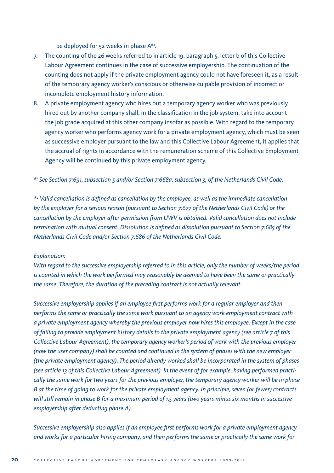be deployed for 52 weeks in phase A\*1 .

- 7. The counting of the 26 weeks referred to in article 19, paragraph 5, letter b of this Collective Labour Agreement continues in the case of successive employership. The continuation of the counting does not apply if the private employment agency could not have foreseen it, as a result of the temporary agency worker's conscious or otherwise culpable provision of incorrect or incomplete employment history information.
- 8. A private employment agency who hires out a temporary agency worker who was previously hired out by another company shall, in the classification in the job system, take into account the job grade acquired at this other company insofar as possible. With regard to the temporary agency worker who performs agency work for a private employment agency, which must be seen as successive employer pursuant to the law and this Collective Labour Agreement, it applies that the accrual of rights in accordance with the remuneration scheme of this Collective Employment Agency will be continued by this private employment agency.

*\*1 See Section 7:691, subsection 5 and/or Section 7:668a, subsection 3, of the Netherlands Civil Code.*

*\*2 Valid cancellation is defined as cancellation by the employee, as well as the immediate cancellation by the employer for a serious reason (pursuant to Section 7:677 of the Netherlands Civil Code) or the cancellation by the employer after permission from UWV is obtained. Valid cancellation does not include termination with mutual consent. Dissolution is defined as dissolution pursuant to Section 7:685 of the Netherlands Civil Code and/or Section 7:686 of the Netherlands Civil Code.*

#### *Explanation:*

*With regard to the successive employership referred to in this article, only the number of weeks/the period is counted in which the work performed may reasonably be deemed to have been the same or practically the same. Therefore, the duration of the preceding contract is not actually relevant.* 

*Successive employership applies if an employee first performs work for a regular employer and then performs the same or practically the same work pursuant to an agency work employment contract with a private employment agency whereby the previous employer now hires this employee. Except in the case of failing to provide employment history details to the private employment agency (see article 7 of this Collective Labour Agreement), the temporary agency worker's period of work with the previous employer (now the user company) shall be counted and continued in the system of phases with the new employer (the private employment agency). The period already worked shall be incorporated in the system of phases (see article 13 of this Collective Labour Agreement). In the event of for example, having performed practically the same work for two years for the previous employer, the temporary agency worker will be in phase B at the time of going to work for the private employment agency. In principle, seven (or fewer) contracts will still remain in phase B for a maximum period of 1.5 years (two years minus six months in successive employership after deducting phase A).*

*Successive employership also applies if an employee first performs work for a private employment agency and works for a particular hiring company, and then performs the same or practically the same work for*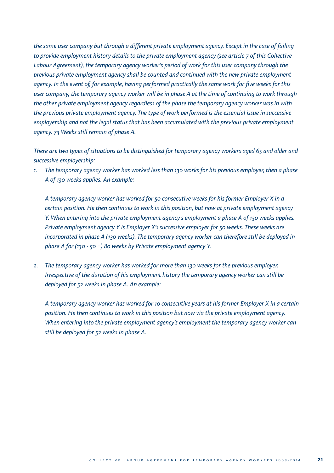*the same user company but through a different private employment agency. Except in the case of failing to provide employment history details to the private employment agency (see article 7 of this Collective Labour Agreement), the temporary agency worker's period of work for this user company through the previous private employment agency shall be counted and continued with the new private employment agency. In the event of, for example, having performed practically the same work for five weeks for this user company, the temporary agency worker will be in phase A at the time of continuing to work through the other private employment agency regardless of the phase the temporary agency worker was in with the previous private employment agency. The type of work performed is the essential issue in successive employership and not the legal status that has been accumulated with the previous private employment agency. 73 Weeks still remain of phase A.*

*There are two types of situations to be distinguished for temporary agency workers aged 65 and older and successive employership:*

*1. The temporary agency worker has worked less than 130 works for his previous employer, then a phase A of 130 weeks applies. An example:*

 *A temporary agency worker has worked for 50 consecutive weeks for his former Employer X in a certain position. He then continues to work in this position, but now at private employment agency Y. When entering into the private employment agency's employment a phase A of 130 weeks applies. Private employment agency Y is Employer X's successive employer for 50 weeks. These weeks are incorporated in phase A (130 weeks). The temporary agency worker can therefore still be deployed in phase A for (130 - 50 =) 80 weeks by Private employment agency Y.*

*2. The temporary agency worker has worked for more than 130 weeks for the previous employer. Irrespective of the duration of his employment history the temporary agency worker can still be deployed for 52 weeks in phase A. An example:*

 *A temporary agency worker has worked for 10 consecutive years at his former Employer X in a certain position. He then continues to work in this position but now via the private employment agency. When entering into the private employment agency's employment the temporary agency worker can still be deployed for 52 weeks in phase A.*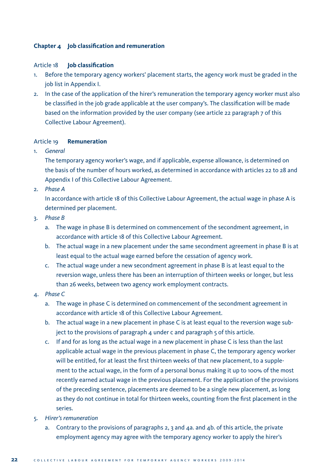# **Chapter 4 Job classification and remuneration**

### Article 18 **Job classification**

- 1. Before the temporary agency workers' placement starts, the agency work must be graded in the job list in Appendix I.
- 2. In the case of the application of the hirer's remuneration the temporary agency worker must also be classified in the job grade applicable at the user company's. The classification will be made based on the information provided by the user company (see article 22 paragraph 7 of this Collective Labour Agreement).

# Article 19 **Remuneration**

1. *General*

 The temporary agency worker's wage, and if applicable, expense allowance, is determined on the basis of the number of hours worked, as determined in accordance with articles 22 to 28 and Appendix I of this Collective Labour Agreement.

2. *Phase A*

 In accordance with article 18 of this Collective Labour Agreement, the actual wage in phase A is determined per placement.

- 3. *Phase B*
	- a. The wage in phase B is determined on commencement of the secondment agreement, in accordance with article 18 of this Collective Labour Agreement.
	- b. The actual wage in a new placement under the same secondment agreement in phase B is at least equal to the actual wage earned before the cessation of agency work.
	- c. The actual wage under a new secondment agreement in phase B is at least equal to the reversion wage, unless there has been an interruption of thirteen weeks or longer, but less than 26 weeks, between two agency work employment contracts.
- 4. *Phase C*
	- a. The wage in phase C is determined on commencement of the secondment agreement in accordance with article 18 of this Collective Labour Agreement.
	- b. The actual wage in a new placement in phase C is at least equal to the reversion wage subject to the provisions of paragraph 4 under c and paragraph 5 of this article.
	- c. If and for as long as the actual wage in a new placement in phase C is less than the last applicable actual wage in the previous placement in phase C, the temporary agency worker will be entitled, for at least the first thirteen weeks of that new placement, to a supplement to the actual wage, in the form of a personal bonus making it up to 100% of the most recently earned actual wage in the previous placement. For the application of the provisions of the preceding sentence, placements are deemed to be a single new placement, as long as they do not continue in total for thirteen weeks, counting from the first placement in the series.
- 5. *Hirer's remuneration*
	- a. Contrary to the provisions of paragraphs 2, 3 and 4a. and 4b. of this article, the private employment agency may agree with the temporary agency worker to apply the hirer's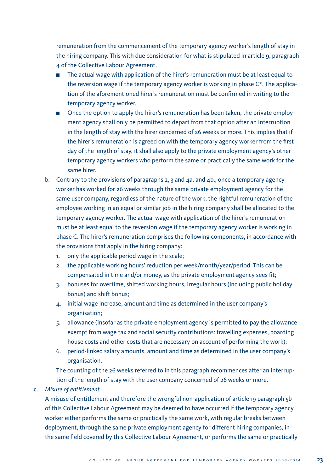remuneration from the commencement of the temporary agency worker's length of stay in the hiring company. This with due consideration for what is stipulated in article 9, paragraph 4 of the Collective Labour Agreement.

- The actual wage with application of the hirer's remuneration must be at least equal to the reversion wage if the temporary agency worker is working in phase C\*. The application of the aforementioned hirer's remuneration must be confirmed in writing to the temporary agency worker.
- **Denot** Once the option to apply the hirer's remuneration has been taken, the private employment agency shall only be permitted to depart from that option after an interruption in the length of stay with the hirer concerned of 26 weeks or more. This implies that if the hirer's remuneration is agreed on with the temporary agency worker from the first day of the length of stay, it shall also apply to the private employment agency's other temporary agency workers who perform the same or practically the same work for the same hirer.
- b. Contrary to the provisions of paragraphs 2, 3 and 4a. and 4b., once a temporary agency worker has worked for 26 weeks through the same private employment agency for the same user company, regardless of the nature of the work, the rightful remuneration of the employee working in an equal or similar job in the hiring company shall be allocated to the temporary agency worker. The actual wage with application of the hirer's remuneration must be at least equal to the reversion wage if the temporary agency worker is working in phase C. The hirer's remuneration comprises the following components, in accordance with the provisions that apply in the hiring company:
	- 1. only the applicable period wage in the scale;
	- 2. the applicable working hours' reduction per week/month/year/period. This can be compensated in time and/or money, as the private employment agency sees fit;
	- 3. bonuses for overtime, shifted working hours, irregular hours (including public holiday bonus) and shift bonus;
	- 4. initial wage increase, amount and time as determined in the user company's organisation;
	- 5. allowance (insofar as the private employment agency is permitted to pay the allowance exempt from wage tax and social security contributions: travelling expenses, boarding house costs and other costs that are necessary on account of performing the work);
	- 6. period-linked salary amounts, amount and time as determined in the user company's organisation.

 The counting of the 26 weeks referred to in this paragraph recommences after an interruption of the length of stay with the user company concerned of 26 weeks or more.

### c. *Misuse of entitlement*

 A misuse of entitlement and therefore the wrongful non-application of article 19 paragraph 5b of this Collective Labour Agreement may be deemed to have occurred if the temporary agency worker either performs the same or practically the same work, with regular breaks between deployment, through the same private employment agency for different hiring companies, in the same field covered by this Collective Labour Agreement, or performs the same or practically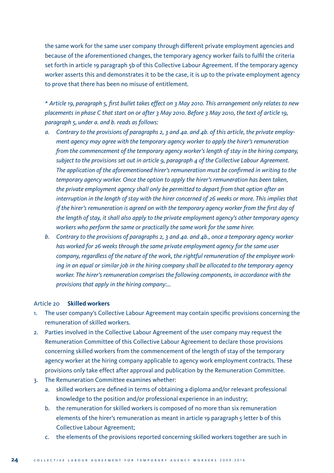the same work for the same user company through different private employment agencies and because of the aforementioned changes, the temporary agency worker fails to fulfil the criteria set forth in article 19 paragraph 5b of this Collective Labour Agreement. If the temporary agency worker asserts this and demonstrates it to be the case, it is up to the private employment agency to prove that there has been no misuse of entitlement.

*\* Article 19, paragraph 5, first bullet takes effect on 3 May 2010. This arrangement only relates to new placements in phase C that start on or after 3 May 2010. Before 3 May 2010, the text of article 19, paragraph 5, under a. and b. reads as follows:*

- *a. Contrary to the provisions of paragraphs 2, 3 and 4a. and 4b. of this article, the private employment agency may agree with the temporary agency worker to apply the hirer's remuneration from the commencement of the temporary agency worker's length of stay in the hiring company, subject to the provisions set out in article 9, paragraph 4 of the Collective Labour Agreement. The application of the aforementioned hirer's remuneration must be confirmed in writing to the temporary agency worker. Once the option to apply the hirer's remuneration has been taken, the private employment agency shall only be permitted to depart from that option after an interruption in the length of stay with the hirer concerned of 26 weeks or more. This implies that if the hirer's remuneration is agreed on with the temporary agency worker from the first day of the length of stay, it shall also apply to the private employment agency's other temporary agency workers who perform the same or practically the same work for the same hirer.*
- *b. Contrary to the provisions of paragraphs 2, 3 and 4a. and 4b., once a temporary agency worker has worked for 26 weeks through the same private employment agency for the same user company, regardless of the nature of the work, the rightful remuneration of the employee working in an equal or similar job in the hiring company shall be allocated to the temporary agency worker. The hirer's remuneration comprises the following components, in accordance with the provisions that apply in the hiring company:…*

### Article 20 **Skilled workers**

- 1. The user company's Collective Labour Agreement may contain specific provisions concerning the remuneration of skilled workers.
- 2. Parties involved in the Collective Labour Agreement of the user company may request the Remuneration Committee of this Collective Labour Agreement to declare those provisions concerning skilled workers from the commencement of the length of stay of the temporary agency worker at the hiring company applicable to agency work employment contracts. These provisions only take effect after approval and publication by the Remuneration Committee.
- 3. The Remuneration Committee examines whether:
	- a. skilled workers are defined in terms of obtaining a diploma and/or relevant professional knowledge to the position and/or professional experience in an industry;
	- b. the remuneration for skilled workers is composed of no more than six remuneration elements of the hirer's remuneration as meant in article 19 paragraph 5 letter b of this Collective Labour Agreement;
	- c. the elements of the provisions reported concerning skilled workers together are such in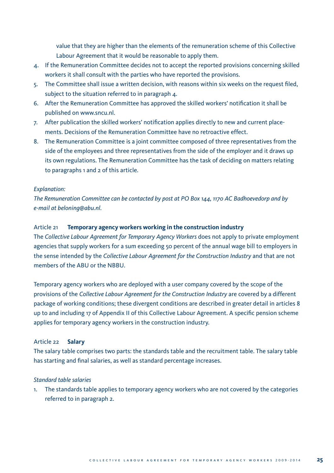value that they are higher than the elements of the remuneration scheme of this Collective Labour Agreement that it would be reasonable to apply them.

- 4. If the Remuneration Committee decides not to accept the reported provisions concerning skilled workers it shall consult with the parties who have reported the provisions.
- 5. The Committee shall issue a written decision, with reasons within six weeks on the request filed, subject to the situation referred to in paragraph 4.
- 6. After the Remuneration Committee has approved the skilled workers' notification it shall be published on www.sncu.nl.
- 7. After publication the skilled workers' notification applies directly to new and current placements. Decisions of the Remuneration Committee have no retroactive effect.
- 8. The Remuneration Committee is a joint committee composed of three representatives from the side of the employees and three representatives from the side of the employer and it draws up its own regulations. The Remuneration Committee has the task of deciding on matters relating to paragraphs 1 and 2 of this article.

#### *Explanation:*

*The Remuneration Committee can be contacted by post at PO Box 144, 1170 AC Badhoevedorp and by e-mail at beloning@abu.nl.* 

#### Article 21 **Temporary agency workers working in the construction industry**

The *Collective Labour Agreement for Temporary Agency Workers* does not apply to private employment agencies that supply workers for a sum exceeding 50 percent of the annual wage bill to employers in the sense intended by the *Collective Labour Agreement for the Construction Industry* and that are not members of the ABU or the NBBU.

Temporary agency workers who are deployed with a user company covered by the scope of the provisions of the *Collective Labour Agreement for the Construction Industry* are covered by a different package of working conditions; these divergent conditions are described in greater detail in articles 8 up to and including 17 of Appendix II of this Collective Labour Agreement. A specific pension scheme applies for temporary agency workers in the construction industry.

# Article 22 **Salary**

The salary table comprises two parts: the standards table and the recruitment table. The salary table has starting and final salaries, as well as standard percentage increases.

# *Standard table salaries*

1. The standards table applies to temporary agency workers who are not covered by the categories referred to in paragraph 2.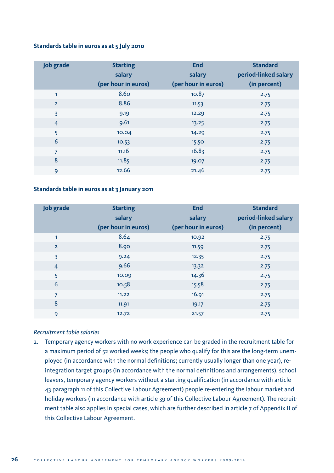# **Standards table in euros as at 5 July 2010**

| <b>Job grade</b> | <b>Starting</b>     | <b>End</b>          | <b>Standard</b>      |
|------------------|---------------------|---------------------|----------------------|
|                  | salary              | salary              | period-linked salary |
|                  | (per hour in euros) | (per hour in euros) | (in percent)         |
| 1                | 8.60                | 10.87               | 2.75                 |
| $\overline{2}$   | 8.86                | 11.53               | 2.75                 |
| 3                | 9.19                | 12.29               | 2.75                 |
| $\overline{4}$   | 9.61                | 13.25               | 2.75                 |
| 5                | 10.04               | 14.29               | 2.75                 |
| 6                | 10.53               | 15.50               | 2.75                 |
| $\overline{7}$   | 11.16               | 16.83               | 2.75                 |
| 8                | 11.85               | 19.07               | 2.75                 |
| 9                | 12.66               | 21.46               | 2.75                 |

# **Standards table in euros as at 3 January 2011**

| <b>Job grade</b> | <b>Starting</b>     | <b>End</b>          | <b>Standard</b>      |
|------------------|---------------------|---------------------|----------------------|
|                  | salary              | salary              | period-linked salary |
|                  | (per hour in euros) | (per hour in euros) | (in percent)         |
| 1                | 8.64                | 10.92               | 2.75                 |
| $\overline{2}$   | 8.90                | 11.59               | 2.75                 |
| 3                | 9.24                | 12.35               | 2.75                 |
| $\overline{4}$   | 9.66                | 13.32               | 2.75                 |
| 5                | 10.09               | 14.36               | 2.75                 |
| 6                | 10.58               | 15.58               | 2.75                 |
| 7                | 11.22               | 16.91               | 2.75                 |
| 8                | 11.91               | 19.17               | 2.75                 |
| 9                | 12.72               | 21.57               | 2.75                 |

# *Recruitment table salaries*

2. Temporary agency workers with no work experience can be graded in the recruitment table for a maximum period of 52 worked weeks; the people who qualify for this are the long-term unemployed (in accordance with the normal definitions; currently usually longer than one year), reintegration target groups (in accordance with the normal definitions and arrangements), school leavers, temporary agency workers without a starting qualification (in accordance with article 43 paragraph 11 of this Collective Labour Agreement) people re-entering the labour market and holiday workers (in accordance with article 39 of this Collective Labour Agreement). The recruitment table also applies in special cases, which are further described in article 7 of Appendix II of this Collective Labour Agreement.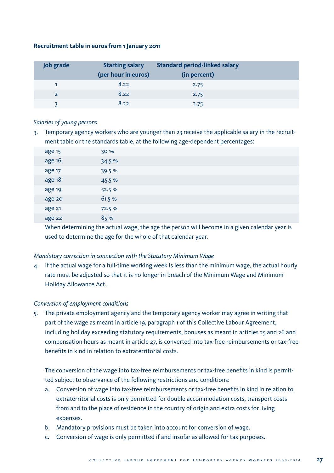# **Recruitment table in euros from 1 January 2011**

| <b>Job grade</b> | <b>Starting salary</b> | <b>Standard period-linked salary</b> |  |
|------------------|------------------------|--------------------------------------|--|
|                  | (per hour in euros)    | (in percent)                         |  |
|                  | 8.22                   | 2.75                                 |  |
| $\mathcal{L}$    | 8.22                   | 2.75                                 |  |
|                  | 8.22                   | 2.75                                 |  |

#### *Salaries of young persons*

3. Temporary agency workers who are younger than 23 receive the applicable salary in the recruitment table or the standards table, at the following age-dependent percentages:

| age 15 | 30 %   |  |
|--------|--------|--|
| age 16 | 34.5%  |  |
| age 17 | 39.5 % |  |
| age 18 | 45.5%  |  |
| age 19 | 52.5%  |  |
| age 20 | 61.5 % |  |
| age 21 | 72.5 % |  |
| age 22 | 85%    |  |

 When determining the actual wage, the age the person will become in a given calendar year is used to determine the age for the whole of that calendar year.

# *Mandatory correction in connection with the Statutory Minimum Wage*

4. If the actual wage for a full-time working week is less than the minimum wage, the actual hourly rate must be adjusted so that it is no longer in breach of the Minimum Wage and Minimum Holiday Allowance Act.

# *Conversion of employment conditions*

5. The private employment agency and the temporary agency worker may agree in writing that part of the wage as meant in article 19, paragraph 1 of this Collective Labour Agreement, including holiday exceeding statutory requirements, bonuses as meant in articles 25 and 26 and compensation hours as meant in article 27, is converted into tax-free reimbursements or tax-free benefits in kind in relation to extraterritorial costs.

 The conversion of the wage into tax-free reimbursements or tax-free benefits in kind is permitted subject to observance of the following restrictions and conditions:

- a. Conversion of wage into tax-free reimbursements or tax-free benefits in kind in relation to extraterritorial costs is only permitted for double accommodation costs, transport costs from and to the place of residence in the country of origin and extra costs for living expenses.
- b. Mandatory provisions must be taken into account for conversion of wage.
- c. Conversion of wage is only permitted if and insofar as allowed for tax purposes.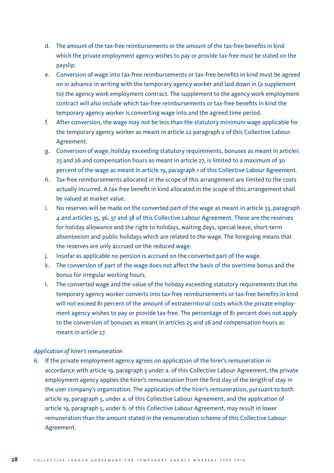- d. The amount of the tax-free reimbursements or the amount of the tax-free benefits in kind which the private employment agency wishes to pay or provide tax-free must be stated on the payslip.
- e. Conversion of wage into tax-free reimbursements or tax-free benefits in kind must be agreed on in advance in writing with the temporary agency worker and laid down in (a supplement to) the agency work employment contract. The supplement to the agency work employment contract will also include which tax-free reimbursements or tax-free benefits in kind the temporary agency worker is converting wage into and the agreed time period.
- f. After conversion, the wage may not be less than the statutory minimum wage applicable for the temporary agency worker as meant in article 22 paragraph 2 of this Collective Labour Agreement.
- g. Conversion of wage, holiday exceeding statutory requirements, bonuses as meant in articles 25 and 26 and compensation hours as meant in article 27, is limited to a maximum of 30 percent of the wage as meant in article 19, paragraph 1 of this Collective Labour Agreement.
- h. Tax-free reimbursements allocated in the scope of this arrangement are limited to the costs actually incurred. A tax-free benefit in kind allocated in the scope of this arrangement shall be valued at market value.
- i. No reserves will be made on the converted part of the wage as meant in article 33, paragraph 4 and articles 35, 36, 37 and 38 of this Collective Labour Agreement. These are the reserves for holiday allowance and the right to holidays, waiting days, special leave, short-term absenteeism and public holidays which are related to the wage. The foregoing means that the reserves are only accrued on the reduced wage.
- j. Insofar as applicable no pension is accrued on the converted part of the wage.
- k. The conversion of part of the wage does not affect the basis of the overtime bonus and the bonus for irregular working hours.
- l. The converted wage and the value of the holiday exceeding statutory requirements that the temporary agency worker converts into tax-free reimbursements or tax-free benefits in kind will not exceed 81 percent of the amount of extraterritorial costs which the private employment agency wishes to pay or provide tax-free. The percentage of 81 percent does not apply to the conversion of bonuses as meant in articles 25 and 26 and compensation hours as meant in article 27.

# *Application of hirer's remuneration*

6. If the private employment agency agrees on application of the hirer's remuneration in accordance with article 19, paragraph 5 under a. of this Collective Labour Agreement, the private employment agency applies the hirer's remuneration from the first day of the length of stay in the user company's organisation. The application of the hirer's remuneration, pursuant to both article 19, paragraph 5, under a. of this Collective Labour Agreement, and the application of article 19, paragraph 5, under b. of this Collective Labour Agreement, may result in lower remuneration than the amount stated in the remuneration scheme of this Collective Labour Agreement.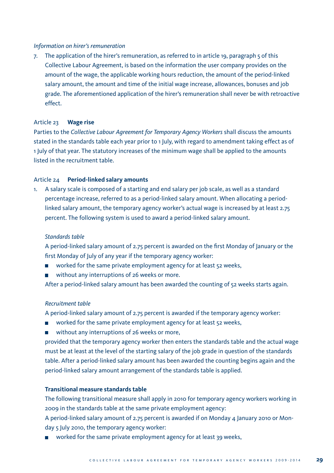# *Information on hirer's remuneration*

7. The application of the hirer's remuneration, as referred to in article 19, paragraph 5 of this Collective Labour Agreement, is based on the information the user company provides on the amount of the wage, the applicable working hours reduction, the amount of the period-linked salary amount, the amount and time of the initial wage increase, allowances, bonuses and job grade. The aforementioned application of the hirer's remuneration shall never be with retroactive effect.

#### Article 23 **Wage rise**

Parties to the *Collective Labour Agreement for Temporary Agency Workers* shall discuss the amounts stated in the standards table each year prior to 1 July, with regard to amendment taking effect as of 1 July of that year. The statutory increases of the minimum wage shall be applied to the amounts listed in the recruitment table.

#### Article 24 **Period-linked salary amounts**

1. A salary scale is composed of a starting and end salary per job scale, as well as a standard percentage increase, referred to as a period-linked salary amount. When allocating a periodlinked salary amount, the temporary agency worker's actual wage is increased by at least 2.75 percent. The following system is used to award a period-linked salary amount.

# *Standards table*

 A period-linked salary amount of 2.75 percent is awarded on the first Monday of January or the first Monday of July of any year if the temporary agency worker:

- worked for the same private employment agency for at least 52 weeks,  $\overline{\phantom{a}}$
- without any interruptions of 26 weeks or more.  $\mathbf{r}$

After a period-linked salary amount has been awarded the counting of 52 weeks starts again.

# *Recruitment table*

A period-linked salary amount of 2.75 percent is awarded if the temporary agency worker:

- worked for the same private employment agency for at least 52 weeks,  $\mathbf{L}$
- $\mathbf{L}$ without any interruptions of 26 weeks or more,

 provided that the temporary agency worker then enters the standards table and the actual wage must be at least at the level of the starting salary of the job grade in question of the standards table. After a period-linked salary amount has been awarded the counting begins again and the period-linked salary amount arrangement of the standards table is applied.

# **Transitional measure standards table**

 The following transitional measure shall apply in 2010 for temporary agency workers working in 2009 in the standards table at the same private employment agency:

 A period-linked salary amount of 2.75 percent is awarded if on Monday 4 January 2010 or Monday 5 July 2010, the temporary agency worker:

■ worked for the same private employment agency for at least 39 weeks,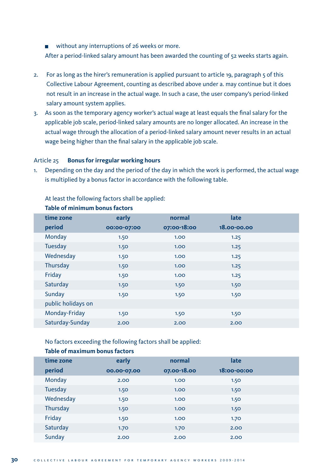■ without any interruptions of 26 weeks or more.

After a period-linked salary amount has been awarded the counting of 52 weeks starts again.

- 2. For as long as the hirer's remuneration is applied pursuant to article 19, paragraph 5 of this Collective Labour Agreement, counting as described above under a. may continue but it does not result in an increase in the actual wage. In such a case, the user company's period-linked salary amount system applies.
- 3. As soon as the temporary agency worker's actual wage at least equals the final salary for the applicable job scale, period-linked salary amounts are no longer allocated. An increase in the actual wage through the allocation of a period-linked salary amount never results in an actual wage being higher than the final salary in the applicable job scale.

#### Article 25 **Bonus for irregular working hours**

1. Depending on the day and the period of the day in which the work is performed, the actual wage is multiplied by a bonus factor in accordance with the following table.

At least the following factors shall be applied:

| time zone          | early       | normal            | late        |  |
|--------------------|-------------|-------------------|-------------|--|
| period             | 00:00-07:00 | 07:00-18:00       | 18.00-00.00 |  |
| Monday             | 1.50        | 1.00 <sub>1</sub> | 1.25        |  |
| Tuesday            | 1.50        | 1.00 <sub>1</sub> | 1.25        |  |
| Wednesday          | 1.50        | 1.00 <sub>2</sub> | 1.25        |  |
| Thursday           | 1.50        | 1.00 <sub>1</sub> | 1.25        |  |
| Friday             | 1.50        | 1.00 <sub>1</sub> | 1.25        |  |
| Saturday           | 1.50        | 1.50              | 1.50        |  |
| Sunday             | 1.50        | 1.50              | 1.50        |  |
| public holidays on |             |                   |             |  |
| Monday-Friday      | 1.50        | 1.50              | 1.50        |  |
| Saturday-Sunday    | 2.00        | 2.00              | 2.00        |  |

#### **Table of minimum bonus factors**

No factors exceeding the following factors shall be applied:

# **Table of maximum bonus factors**

| time zone | early       | normal            | late            |  |
|-----------|-------------|-------------------|-----------------|--|
| period    | 00.00-07.00 | 07.00-18.00       | $18:00 - 00:00$ |  |
| Monday    | 2.00        | 1.00              | 1.50            |  |
| Tuesday   | 1.50        | 1.00 <sub>1</sub> | 1.50            |  |
| Wednesday | 1.50        | 1.00              | 1.50            |  |
| Thursday  | 1.50        | 1.00              | 1.50            |  |
| Friday    | 1.50        | 1.00 <sub>2</sub> | 1.70            |  |
| Saturday  | 1.70        | 1.70              | 2.00            |  |
| Sunday    | 2.00        | 2.00              | 2.00            |  |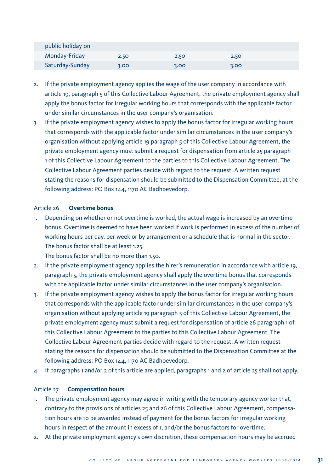| public holiday on |      |      |      |  |
|-------------------|------|------|------|--|
| Monday-Friday     | 2.50 | 2.50 | 2.50 |  |
| Saturday-Sunday   | 3.00 | 3.00 | 3.00 |  |

- 2. If the private employment agency applies the wage of the user company in accordance with article 19, paragraph 5 of this Collective Labour Agreement, the private employment agency shall apply the bonus factor for irregular working hours that corresponds with the applicable factor under similar circumstances in the user company's organisation.
- 3. If the private employment agency wishes to apply the bonus factor for irregular working hours that corresponds with the applicable factor under similar circumstances in the user company's organisation without applying article 19 paragraph 5 of this Collective Labour Agreement, the private employment agency must submit a request for dispensation from article 25 paragraph 1 of this Collective Labour Agreement to the parties to this Collective Labour Agreement. The Collective Labour Agreement parties decide with regard to the request. A written request stating the reasons for dispensation should be submitted to the Dispensation Committee, at the following address: PO Box 144, 1170 AC Badhoevedorp.

# Article 26 **Overtime bonus**

1. Depending on whether or not overtime is worked, the actual wage is increased by an overtime bonus. Overtime is deemed to have been worked if work is performed in excess of the number of working hours per day, per week or by arrangement or a schedule that is normal in the sector. The bonus factor shall be at least 1.25.

The bonus factor shall be no more than 1.50.

- 2. If the private employment agency applies the hirer's remuneration in accordance with article 19, paragraph 5, the private employment agency shall apply the overtime bonus that corresponds with the applicable factor under similar circumstances in the user company's organisation.
- 3. If the private employment agency wishes to apply the bonus factor for irregular working hours that corresponds with the applicable factor under similar circumstances in the user company's organisation without applying article 19 paragraph 5 of this Collective Labour Agreement, the private employment agency must submit a request for dispensation of article 26 paragraph 1 of this Collective Labour Agreement to the parties to this Collective Labour Agreement. The Collective Labour Agreement parties decide with regard to the request. A written request stating the reasons for dispensation should be submitted to the Dispensation Committee at the following address: PO Box 144, 1170 AC Badhoevedorp.
- 4. If paragraphs 1 and/or 2 of this article are applied, paragraphs 1 and 2 of article 25 shall not apply.

#### Article 27 **Compensation hours**

- 1. The private employment agency may agree in writing with the temporary agency worker that, contrary to the provisions of articles 25 and 26 of this Collective Labour Agreement, compensation hours are to be awarded instead of payment for the bonus factors for irregular working hours in respect of the amount in excess of 1, and/or the bonus factors for overtime.
- 2. At the private employment agency's own discretion, these compensation hours may be accrued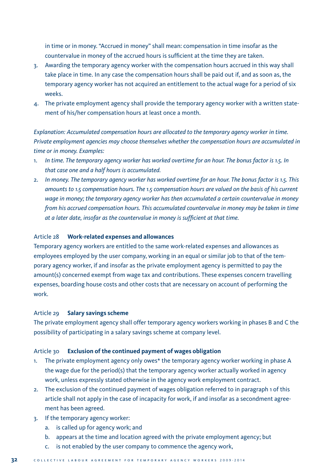in time or in money. "Accrued in money" shall mean: compensation in time insofar as the countervalue in money of the accrued hours is sufficient at the time they are taken.

- 3. Awarding the temporary agency worker with the compensation hours accrued in this way shall take place in time. In any case the compensation hours shall be paid out if, and as soon as, the temporary agency worker has not acquired an entitlement to the actual wage for a period of six weeks.
- 4. The private employment agency shall provide the temporary agency worker with a written statement of his/her compensation hours at least once a month.

*Explanation: Accumulated compensation hours are allocated to the temporary agency worker in time. Private employment agencies may choose themselves whether the compensation hours are accumulated in time or in money. Examples:*

- 1. *In time. The temporary agency worker has worked overtime for an hour. The bonus factor is 1.5. In that case one and a half hours is accumulated.*
- 2. *In money. The temporary agency worker has worked overtime for an hour. The bonus factor is 1.5. This amounts to 1.5 compensation hours. The 1.5 compensation hours are valued on the basis of his current wage in money; the temporary agency worker has then accumulated a certain countervalue in money from his accrued compensation hours. This accumulated countervalue in money may be taken in time at a later date, insofar as the countervalue in money is sufficient at that time.*

#### Article 28 **Work-related expenses and allowances**

Temporary agency workers are entitled to the same work-related expenses and allowances as employees employed by the user company, working in an equal or similar job to that of the temporary agency worker, if and insofar as the private employment agency is permitted to pay the amount(s) concerned exempt from wage tax and contributions. These expenses concern travelling expenses, boarding house costs and other costs that are necessary on account of performing the work.

# Article 29 **Salary savings scheme**

The private employment agency shall offer temporary agency workers working in phases B and C the possibility of participating in a salary savings scheme at company level.

# Article 30 **Exclusion of the continued payment of wages obligation**

- 1. The private employment agency only owes\* the temporary agency worker working in phase A the wage due for the period(s) that the temporary agency worker actually worked in agency work, unless expressly stated otherwise in the agency work employment contract.
- 2. The exclusion of the continued payment of wages obligation referred to in paragraph 1 of this article shall not apply in the case of incapacity for work, if and insofar as a secondment agreement has been agreed.
- 3. If the temporary agency worker:
	- a. is called up for agency work; and
	- b. appears at the time and location agreed with the private employment agency; but
	- c. is not enabled by the user company to commence the agency work,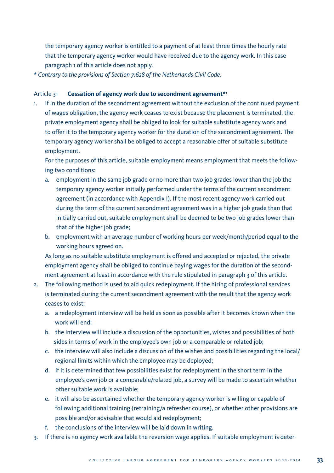the temporary agency worker is entitled to a payment of at least three times the hourly rate that the temporary agency worker would have received due to the agency work. In this case paragraph 1 of this article does not apply.

*\* Contrary to the provisions of Section 7:628 of the Netherlands Civil Code.*

# Article 31 **Cessation of agency work due to secondment agreement\*1**

1. If in the duration of the secondment agreement without the exclusion of the continued payment of wages obligation, the agency work ceases to exist because the placement is terminated, the private employment agency shall be obliged to look for suitable substitute agency work and to offer it to the temporary agency worker for the duration of the secondment agreement. The temporary agency worker shall be obliged to accept a reasonable offer of suitable substitute employment.

 For the purposes of this article, suitable employment means employment that meets the following two conditions:

- a. employment in the same job grade or no more than two job grades lower than the job the temporary agency worker initially performed under the terms of the current secondment agreement (in accordance with Appendix I). If the most recent agency work carried out during the term of the current secondment agreement was in a higher job grade than that initially carried out, suitable employment shall be deemed to be two job grades lower than that of the higher job grade;
- b. employment with an average number of working hours per week/month/period equal to the working hours agreed on.

 As long as no suitable substitute employment is offered and accepted or rejected, the private employment agency shall be obliged to continue paying wages for the duration of the secondment agreement at least in accordance with the rule stipulated in paragraph 3 of this article.

- 2. The following method is used to aid quick redeployment. If the hiring of professional services is terminated during the current secondment agreement with the result that the agency work ceases to exist:
	- a. a redeployment interview will be held as soon as possible after it becomes known when the work will end;
	- b. the interview will include a discussion of the opportunities, wishes and possibilities of both sides in terms of work in the employee's own job or a comparable or related job;
	- c. the interview will also include a discussion of the wishes and possibilities regarding the local/ regional limits within which the employee may be deployed;
	- d. if it is determined that few possibilities exist for redeployment in the short term in the employee's own job or a comparable/related job, a survey will be made to ascertain whether other suitable work is available;
	- e. it will also be ascertained whether the temporary agency worker is willing or capable of following additional training (retraining/a refresher course), or whether other provisions are possible and/or advisable that would aid redeployment;
	- the conclusions of the interview will be laid down in writing.
- 3. If there is no agency work available the reversion wage applies. If suitable employment is deter-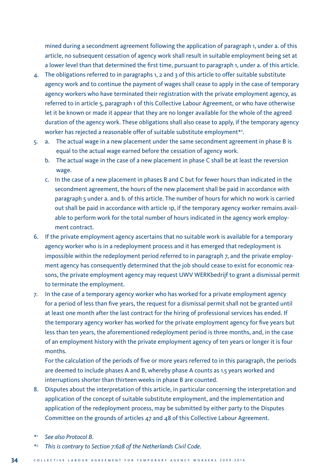mined during a secondment agreement following the application of paragraph 1, under a. of this article, no subsequent cessation of agency work shall result in suitable employment being set at a lower level than that determined the first time, pursuant to paragraph 1, under a. of this article.

- 4. The obligations referred to in paragraphs 1, 2 and 3 of this article to offer suitable substitute agency work and to continue the payment of wages shall cease to apply in the case of temporary agency workers who have terminated their registration with the private employment agency, as referred to in article 5, paragraph 1 of this Collective Labour Agreement, or who have otherwise let it be known or made it appear that they are no longer available for the whole of the agreed duration of the agency work. These obligations shall also cease to apply, if the temporary agency worker has rejected a reasonable offer of suitable substitute employment\*2 .
- 5. a. The actual wage in a new placement under the same secondment agreement in phase B is equal to the actual wage earned before the cessation of agency work.
	- b. The actual wage in the case of a new placement in phase C shall be at least the reversion wage.
	- c. In the case of a new placement in phases B and C but for fewer hours than indicated in the secondment agreement, the hours of the new placement shall be paid in accordance with paragraph 5 under a. and b. of this article. The number of hours for which no work is carried out shall be paid in accordance with article 1p, if the temporary agency worker remains available to perform work for the total number of hours indicated in the agency work employment contract.
- 6. If the private employment agency ascertains that no suitable work is available for a temporary agency worker who is in a redeployment process and it has emerged that redeployment is impossible within the redeployment period referred to in paragraph 7, and the private employment agency has consequently determined that the job should cease to exist for economic reasons, the private employment agency may request UWV WERKbedrijf to grant a dismissal permit to terminate the employment.
- 7. In the case of a temporary agency worker who has worked for a private employment agency for a period of less than five years, the request for a dismissal permit shall not be granted until at least one month after the last contract for the hiring of professional services has ended. If the temporary agency worker has worked for the private employment agency for five years but less than ten years, the aforementioned redeployment period is three months, and, in the case of an employment history with the private employment agency of ten years or longer it is four months.

 For the calculation of the periods of five or more years referred to in this paragraph, the periods are deemed to include phases A and B, whereby phase A counts as 1.5 years worked and interruptions shorter than thirteen weeks in phase B are counted.

- 8. Disputes about the interpretation of this article, in particular concerning the interpretation and application of the concept of suitable substitute employment, and the implementation and application of the redeployment process, may be submitted by either party to the Disputes Committee on the grounds of articles 47 and 48 of this Collective Labour Agreement.
- *\*1 See also Protocol B.*
- *\*2 This is contrary to Section 7:628 of the Netherlands Civil Code*.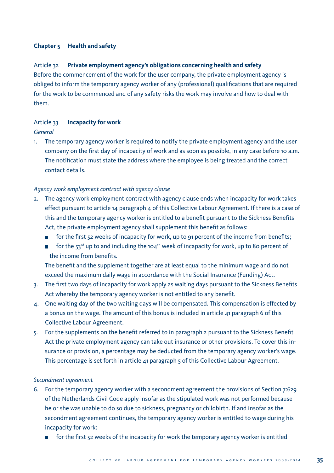# **Chapter 5 Health and safety**

## Article 32 **Private employment agency's obligations concerning health and safety**

Before the commencement of the work for the user company, the private employment agency is obliged to inform the temporary agency worker of any (professional) qualifications that are required for the work to be commenced and of any safety risks the work may involve and how to deal with them.

#### Article 33 **Incapacity for work**

#### *General*

1. The temporary agency worker is required to notify the private employment agency and the user company on the first day of incapacity of work and as soon as possible, in any case before 10 a.m. The notification must state the address where the employee is being treated and the correct contact details.

# *Agency work employment contract with agency clause*

- 2. The agency work employment contract with agency clause ends when incapacity for work takes effect pursuant to article 14 paragraph 4 of this Collective Labour Agreement. If there is a case of this and the temporary agency worker is entitled to a benefit pursuant to the Sickness Benefits Act, the private employment agency shall supplement this benefit as follows:
	- $\overline{\phantom{a}}$ for the first 52 weeks of incapacity for work, up to 91 percent of the income from benefits;
	- for the  $53^{rd}$  up to and including the 104<sup>th</sup> week of incapacity for work, up to 80 percent of the income from benefits.

 The benefit and the supplement together are at least equal to the minimum wage and do not exceed the maximum daily wage in accordance with the Social Insurance (Funding) Act.

- 3. The first two days of incapacity for work apply as waiting days pursuant to the Sickness Benefits Act whereby the temporary agency worker is not entitled to any benefit.
- 4. One waiting day of the two waiting days will be compensated. This compensation is effected by a bonus on the wage. The amount of this bonus is included in article 41 paragraph 6 of this Collective Labour Agreement.
- 5. For the supplements on the benefit referred to in paragraph 2 pursuant to the Sickness Benefit Act the private employment agency can take out insurance or other provisions. To cover this insurance or provision, a percentage may be deducted from the temporary agency worker's wage. This percentage is set forth in article 41 paragraph 5 of this Collective Labour Agreement.

#### *Secondment agreement*

- 6. For the temporary agency worker with a secondment agreement the provisions of Section 7:629 of the Netherlands Civil Code apply insofar as the stipulated work was not performed because he or she was unable to do so due to sickness, pregnancy or childbirth. If and insofar as the secondment agreement continues, the temporary agency worker is entitled to wage during his incapacity for work:
	- for the first 52 weeks of the incapacity for work the temporary agency worker is entitled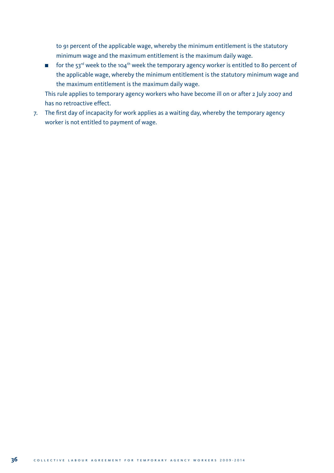to 91 percent of the applicable wage, whereby the minimum entitlement is the statutory minimum wage and the maximum entitlement is the maximum daily wage.

For the 53<sup>rd</sup> week to the 104<sup>th</sup> week the temporary agency worker is entitled to 80 percent of the applicable wage, whereby the minimum entitlement is the statutory minimum wage and the maximum entitlement is the maximum daily wage.

 This rule applies to temporary agency workers who have become ill on or after 2 July 2007 and has no retroactive effect.

7. The first day of incapacity for work applies as a waiting day, whereby the temporary agency worker is not entitled to payment of wage.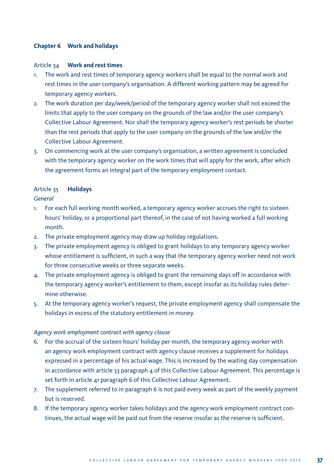# **Chapter 6 Work and holidays**

## Article 34 **Work and rest times**

- 1. The work and rest times of temporary agency workers shall be equal to the normal work and rest times in the user company's organisation. A different working pattern may be agreed for temporary agency workers.
- 2. The work duration per day/week/period of the temporary agency worker shall not exceed the limits that apply to the user company on the grounds of the law and/or the user company's Collective Labour Agreement. Nor shall the temporary agency worker's rest periods be shorter than the rest periods that apply to the user company on the grounds of the law and/or the Collective Labour Agreement.
- 3. On commencing work at the user company's organisation, a written agreement is concluded with the temporary agency worker on the work times that will apply for the work, after which the agreement forms an integral part of the temporary employment contact.

# Article 35 **Holidays**

# *General*

- 1. For each full working month worked, a temporary agency worker accrues the right to sixteen hours' holiday, or a proportional part thereof, in the case of not having worked a full working month.
- 2. The private employment agency may draw up holiday regulations.
- 3. The private employment agency is obliged to grant holidays to any temporary agency worker whose entitlement is sufficient, in such a way that the temporary agency worker need not work for three consecutive weeks or three separate weeks.
- 4. The private employment agency is obliged to grant the remaining days off in accordance with the temporary agency worker's entitlement to them, except insofar as its holiday rules determine otherwise.
- 5. At the temporary agency worker's request, the private employment agency shall compensate the holidays in excess of the statutory entitlement in money.

# *Agency work employment contract with agency clause*

- 6. For the accrual of the sixteen hours' holiday per month, the temporary agency worker with an agency work employment contract with agency clause receives a supplement for holidays expressed in a percentage of his actual wage. This is increased by the waiting day compensation in accordance with article 33 paragraph  $4$  of this Collective Labour Agreement. This percentage is set forth in article 41 paragraph 6 of this Collective Labour Agreement.
- 7. The supplement referred to in paragraph 6 is not paid every week as part of the weekly payment but is reserved.
- 8. If the temporary agency worker takes holidays and the agency work employment contract continues, the actual wage will be paid out from the reserve insofar as the reserve is sufficient.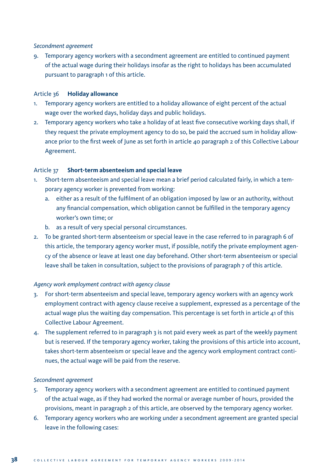# *Secondment agreement*

9. Temporary agency workers with a secondment agreement are entitled to continued payment of the actual wage during their holidays insofar as the right to holidays has been accumulated pursuant to paragraph 1 of this article.

# Article 36 **Holiday allowance**

- 1. Temporary agency workers are entitled to a holiday allowance of eight percent of the actual wage over the worked days, holiday days and public holidays.
- 2. Temporary agency workers who take a holiday of at least five consecutive working days shall, if they request the private employment agency to do so, be paid the accrued sum in holiday allowance prior to the first week of June as set forth in article 40 paragraph 2 of this Collective Labour Agreement.

# Article 37 **Short-term absenteeism and special leave**

- 1. Short-term absenteeism and special leave mean a brief period calculated fairly, in which a temporary agency worker is prevented from working:
	- a. either as a result of the fulfilment of an obligation imposed by law or an authority, without any financial compensation, which obligation cannot be fulfilled in the temporary agency worker's own time; or
	- b. as a result of very special personal circumstances.
- 2. To be granted short-term absenteeism or special leave in the case referred to in paragraph 6 of this article, the temporary agency worker must, if possible, notify the private employment agency of the absence or leave at least one day beforehand. Other short-term absenteeism or special leave shall be taken in consultation, subject to the provisions of paragraph 7 of this article.

# *Agency work employment contract with agency clause*

- 3. For short-term absenteeism and special leave, temporary agency workers with an agency work employment contract with agency clause receive a supplement, expressed as a percentage of the actual wage plus the waiting day compensation. This percentage is set forth in article 41 of this Collective Labour Agreement.
- 4. The supplement referred to in paragraph 3 is not paid every week as part of the weekly payment but is reserved. If the temporary agency worker, taking the provisions of this article into account, takes short-term absenteeism or special leave and the agency work employment contract continues, the actual wage will be paid from the reserve.

#### *Secondment agreement*

- 5. Temporary agency workers with a secondment agreement are entitled to continued payment of the actual wage, as if they had worked the normal or average number of hours, provided the provisions, meant in paragraph 2 of this article, are observed by the temporary agency worker.
- 6. Temporary agency workers who are working under a secondment agreement are granted special leave in the following cases: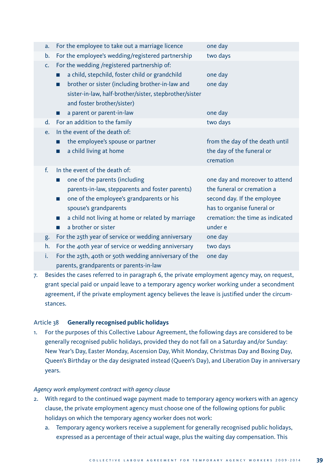| a.             | For the employee to take out a marriage licence        | one day                          |
|----------------|--------------------------------------------------------|----------------------------------|
| b.             | For the employee's wedding/registered partnership      | two days                         |
| C <sub>1</sub> | For the wedding /registered partnership of:            |                                  |
|                | a child, stepchild, foster child or grandchild         | one day                          |
|                | brother or sister (including brother-in-law and<br>ш   | one day                          |
|                | sister-in-law, half-brother/sister, stepbrother/sister |                                  |
|                | and foster brother/sister)                             |                                  |
|                | a parent or parent-in-law                              | one day                          |
| d.             | For an addition to the family                          | two days                         |
| e.             | In the event of the death of:                          |                                  |
|                | the employee's spouse or partner                       | from the day of the death until  |
|                | a child living at home                                 | the day of the funeral or        |
|                |                                                        | cremation                        |
| $f_{\rm{r}}$   | In the event of the death of:                          |                                  |
|                | one of the parents (including<br>ш                     | one day and moreover to attend   |
|                | parents-in-law, stepparents and foster parents)        |                                  |
|                |                                                        | the funeral or cremation a       |
|                | one of the employee's grandparents or his<br>п         | second day. If the employee      |
|                | spouse's grandparents                                  | has to organise funeral or       |
|                | a child not living at home or related by marriage<br>ш | cremation: the time as indicated |
|                | a brother or sister                                    | under e                          |
| g.             | For the 25th year of service or wedding anniversary    | one day                          |
| h.             | For the 40th year of service or wedding anniversary    | two days                         |
| i.             | For the 25th, 40th or 50th wedding anniversary of the  | one day                          |

7. Besides the cases referred to in paragraph 6, the private employment agency may, on request, grant special paid or unpaid leave to a temporary agency worker working under a secondment agreement, if the private employment agency believes the leave is justified under the circumstances.

# Article 38 **Generally recognised public holidays**

1. For the purposes of this Collective Labour Agreement, the following days are considered to be generally recognised public holidays, provided they do not fall on a Saturday and/or Sunday: New Year's Day, Easter Monday, Ascension Day, Whit Monday, Christmas Day and Boxing Day, Queen's Birthday or the day designated instead (Queen's Day), and Liberation Day in anniversary years.

# *Agency work employment contract with agency clause*

- 2. With regard to the continued wage payment made to temporary agency workers with an agency clause, the private employment agency must choose one of the following options for public holidays on which the temporary agency worker does not work:
	- a. Temporary agency workers receive a supplement for generally recognised public holidays, expressed as a percentage of their actual wage, plus the waiting day compensation. This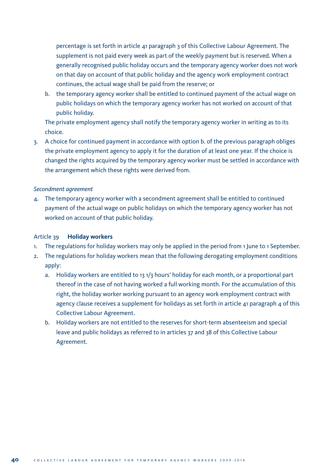percentage is set forth in article 41 paragraph 3 of this Collective Labour Agreement. The supplement is not paid every week as part of the weekly payment but is reserved. When a generally recognised public holiday occurs and the temporary agency worker does not work on that day on account of that public holiday and the agency work employment contract continues, the actual wage shall be paid from the reserve; or

b. the temporary agency worker shall be entitled to continued payment of the actual wage on public holidays on which the temporary agency worker has not worked on account of that public holiday.

 The private employment agency shall notify the temporary agency worker in writing as to its choice.

3. A choice for continued payment in accordance with option b. of the previous paragraph obliges the private employment agency to apply it for the duration of at least one year. If the choice is changed the rights acquired by the temporary agency worker must be settled in accordance with the arrangement which these rights were derived from.

# *Secondment agreement*

4. The temporary agency worker with a secondment agreement shall be entitled to continued payment of the actual wage on public holidays on which the temporary agency worker has not worked on account of that public holiday.

### Article 39 **Holiday workers**

- 1. The regulations for holiday workers may only be applied in the period from 1 June to 1 September.
- 2. The regulations for holiday workers mean that the following derogating employment conditions apply:
	- a. Holiday workers are entitled to 13 1/3 hours' holiday for each month, or a proportional part thereof in the case of not having worked a full working month. For the accumulation of this right, the holiday worker working pursuant to an agency work employment contract with agency clause receives a supplement for holidays as set forth in article  $41$  paragraph  $4$  of this Collective Labour Agreement.
	- b. Holiday workers are not entitled to the reserves for short-term absenteeism and special leave and public holidays as referred to in articles 37 and 38 of this Collective Labour Agreement.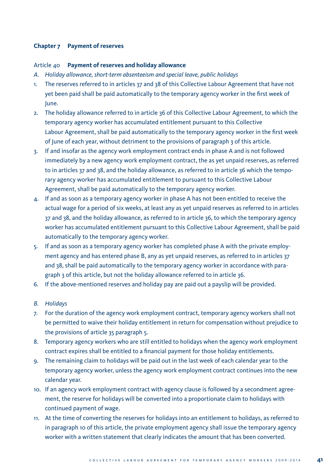# **Chapter 7 Payment of reserves**

# Article 40 **Payment of reserves and holiday allowance**

- *A. Holiday allowance, short-term absenteeism and special leave, public holidays*
- 1. The reserves referred to in articles 37 and 38 of this Collective Labour Agreement that have not yet been paid shall be paid automatically to the temporary agency worker in the first week of June.
- 2. The holiday allowance referred to in article 36 of this Collective Labour Agreement, to which the temporary agency worker has accumulated entitlement pursuant to this Collective Labour Agreement, shall be paid automatically to the temporary agency worker in the first week of June of each year, without detriment to the provisions of paragraph 3 of this article.
- 3. If and insofar as the agency work employment contract ends in phase A and is not followed immediately by a new agency work employment contract, the as yet unpaid reserves, as referred to in articles 37 and 38, and the holiday allowance, as referred to in article 36 which the temporary agency worker has accumulated entitlement to pursuant to this Collective Labour Agreement, shall be paid automatically to the temporary agency worker.
- 4. If and as soon as a temporary agency worker in phase A has not been entitled to receive the actual wage for a period of six weeks, at least any as yet unpaid reserves as referred to in articles 37 and 38, and the holiday allowance, as referred to in article 36, to which the temporary agency worker has accumulated entitlement pursuant to this Collective Labour Agreement, shall be paid automatically to the temporary agency worker.
- 5. If and as soon as a temporary agency worker has completed phase A with the private employment agency and has entered phase B, any as yet unpaid reserves, as referred to in articles 37 and 38, shall be paid automatically to the temporary agency worker in accordance with paragraph 3 of this article, but not the holiday allowance referred to in article 36.
- 6. If the above-mentioned reserves and holiday pay are paid out a payslip will be provided.
- *B. Holidays*
- 7. For the duration of the agency work employment contract, temporary agency workers shall not be permitted to waive their holiday entitlement in return for compensation without prejudice to the provisions of article 35 paragraph 5.
- 8. Temporary agency workers who are still entitled to holidays when the agency work employment contract expires shall be entitled to a financial payment for those holiday entitlements.
- 9. The remaining claim to holidays will be paid out in the last week of each calendar year to the temporary agency worker, unless the agency work employment contract continues into the new calendar year.
- 10. If an agency work employment contract with agency clause is followed by a secondment agreement, the reserve for holidays will be converted into a proportionate claim to holidays with continued payment of wage.
- 11. At the time of converting the reserves for holidays into an entitlement to holidays, as referred to in paragraph 10 of this article, the private employment agency shall issue the temporary agency worker with a written statement that clearly indicates the amount that has been converted.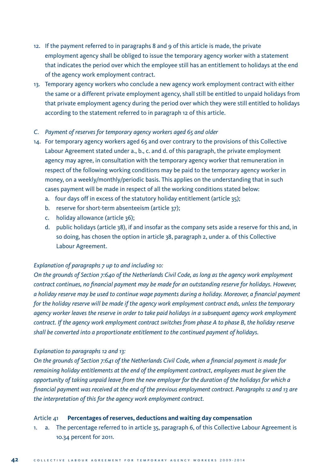- 12. If the payment referred to in paragraphs 8 and 9 of this article is made, the private employment agency shall be obliged to issue the temporary agency worker with a statement that indicates the period over which the employee still has an entitlement to holidays at the end of the agency work employment contract.
- 13. Temporary agency workers who conclude a new agency work employment contract with either the same or a different private employment agency, shall still be entitled to unpaid holidays from that private employment agency during the period over which they were still entitled to holidays according to the statement referred to in paragraph 12 of this article.

#### *C. Payment of reserves for temporary agency workers aged 65 and older*

- 14. For temporary agency workers aged 65 and over contrary to the provisions of this Collective Labour Agreement stated under a., b., c. and d. of this paragraph, the private employment agency may agree, in consultation with the temporary agency worker that remuneration in respect of the following working conditions may be paid to the temporary agency worker in money, on a weekly/monthly/periodic basis. This applies on the understanding that in such cases payment will be made in respect of all the working conditions stated below:
	- a. four days off in excess of the statutory holiday entitlement (article 35);
	- b. reserve for short-term absenteeism (article 37);
	- c. holiday allowance (article 36);
	- d. public holidays (article 38), if and insofar as the company sets aside a reserve for this and, in so doing, has chosen the option in article 38, paragraph 2, under a. of this Collective Labour Agreement.

# *Explanation of paragraphs 7 up to and including 10:*

*On the grounds of Section 7:640 of the Netherlands Civil Code, as long as the agency work employment contract continues, no financial payment may be made for an outstanding reserve for holidays. However, a holiday reserve may be used to continue wage payments during a holiday. Moreover, a financial payment for the holiday reserve will be made if the agency work employment contract ends, unless the temporary agency worker leaves the reserve in order to take paid holidays in a subsequent agency work employment contract. If the agency work employment contract switches from phase A to phase B, the holiday reserve shall be converted into a proportionate entitlement to the continued payment of holidays.*

# *Explanation to paragraphs 12 and 13:*

*On the grounds of Section 7:641 of the Netherlands Civil Code, when a financial payment is made for remaining holiday entitlements at the end of the employment contract, employees must be given the opportunity of taking unpaid leave from the new employer for the duration of the holidays for which a financial payment was received at the end of the previous employment contract. Paragraphs 12 and 13 are the interpretation of this for the agency work employment contract.*

#### Article 41 **Percentages of reserves, deductions and waiting day compensation**

1. a. The percentage referred to in article 35, paragraph 6, of this Collective Labour Agreement is 10.34 percent for 2011.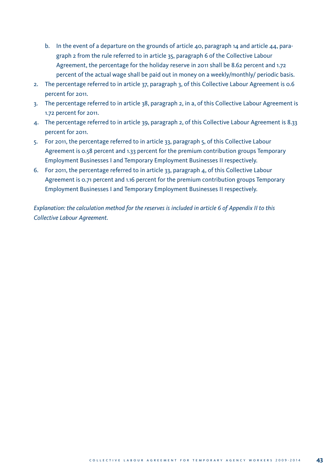- b. In the event of a departure on the grounds of article 40, paragraph 14 and article 44, paragraph 2 from the rule referred to in article 35, paragraph 6 of the Collective Labour Agreement, the percentage for the holiday reserve in 2011 shall be 8.62 percent and 1.72 percent of the actual wage shall be paid out in money on a weekly/monthly/ periodic basis.
- 2. The percentage referred to in article 37, paragraph 3, of this Collective Labour Agreement is 0.6 percent for 2011.
- 3. The percentage referred to in article 38, paragraph 2, in a, of this Collective Labour Agreement is 1.72 percent for 2011.
- 4. The percentage referred to in article 39, paragraph 2, of this Collective Labour Agreement is 8.33 percent for 2011.
- 5. For 2011, the percentage referred to in article 33, paragraph 5, of this Collective Labour Agreement is 0.58 percent and 1.33 percent for the premium contribution groups Temporary Employment Businesses I and Temporary Employment Businesses II respectively.
- 6. For 2011, the percentage referred to in article 33, paragraph 4, of this Collective Labour Agreement is 0.71 percent and 1.16 percent for the premium contribution groups Temporary Employment Businesses I and Temporary Employment Businesses II respectively.

*Explanation: the calculation method for the reserves is included in article 6 of Appendix II to this Collective Labour Agreement.*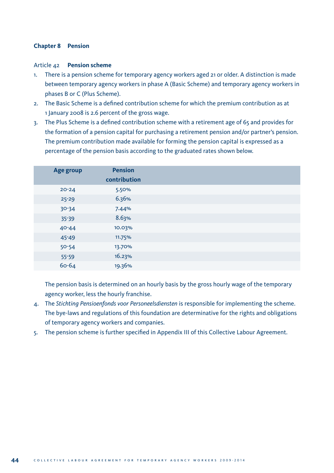# **Chapter 8 Pension**

## Article 42 **Pension scheme**

- 1. There is a pension scheme for temporary agency workers aged 21 or older. A distinction is made between temporary agency workers in phase A (Basic Scheme) and temporary agency workers in phases B or C (Plus Scheme).
- 2. The Basic Scheme is a defined contribution scheme for which the premium contribution as at 1 January 2008 is 2.6 percent of the gross wage.
- 3. The Plus Scheme is a defined contribution scheme with a retirement age of 65 and provides for the formation of a pension capital for purchasing a retirement pension and/or partner's pension. The premium contribution made available for forming the pension capital is expressed as a percentage of the pension basis according to the graduated rates shown below.

| Age group | <b>Pension</b> |
|-----------|----------------|
|           | contribution   |
| $20 - 24$ | 5.50%          |
| $25 - 29$ | 6.36%          |
| $30 - 34$ | 7.44%          |
| $35 - 39$ | 8.63%          |
| $40 - 44$ | 10.03%         |
| 45-49     | 11.75%         |
| $50 - 54$ | 13.70%         |
| $55 - 59$ | 16.23%         |
| $60 - 64$ | 19.36%         |

 The pension basis is determined on an hourly basis by the gross hourly wage of the temporary agency worker, less the hourly franchise.

- 4. The *Stichting Pensioenfonds voor Personeelsdiensten* is responsible for implementing the scheme. The bye-laws and regulations of this foundation are determinative for the rights and obligations of temporary agency workers and companies.
- 5. The pension scheme is further specified in Appendix III of this Collective Labour Agreement.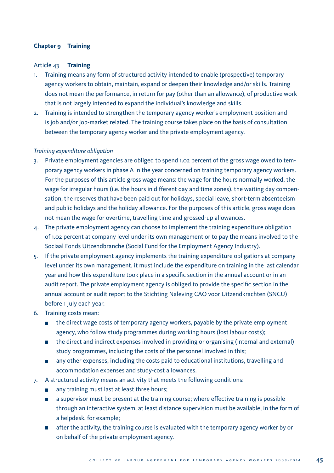# **Chapter 9 Training**

#### Article 43 **Training**

- 1. Training means any form of structured activity intended to enable (prospective) temporary agency workers to obtain, maintain, expand or deepen their knowledge and/or skills. Training does not mean the performance, in return for pay (other than an allowance), of productive work that is not largely intended to expand the individual's knowledge and skills.
- 2. Training is intended to strengthen the temporary agency worker's employment position and is job and/or job-market related. The training course takes place on the basis of consultation between the temporary agency worker and the private employment agency.

# *Training expenditure obligation*

- 3. Private employment agencies are obliged to spend 1.02 percent of the gross wage owed to temporary agency workers in phase A in the year concerned on training temporary agency workers. For the purposes of this article gross wage means: the wage for the hours normally worked, the wage for irregular hours (i.e. the hours in different day and time zones), the waiting day compensation, the reserves that have been paid out for holidays, special leave, short-term absenteeism and public holidays and the holiday allowance. For the purposes of this article, gross wage does not mean the wage for overtime, travelling time and grossed-up allowances.
- 4. The private employment agency can choose to implement the training expenditure obligation of 1.02 percent at company level under its own management or to pay the means involved to the Sociaal Fonds Uitzendbranche (Social Fund for the Employment Agency Industry).
- 5. If the private employment agency implements the training expenditure obligations at company level under its own management, it must include the expenditure on training in the last calendar year and how this expenditure took place in a specific section in the annual account or in an audit report. The private employment agency is obliged to provide the specific section in the annual account or audit report to the Stichting Naleving CAO voor Uitzendkrachten (SNCU) before 1 July each year.
- 6. Training costs mean:
	- $\blacksquare$  the direct wage costs of temporary agency workers, payable by the private employment agency, who follow study programmes during working hours (lost labour costs);
	- the direct and indirect expenses involved in providing or organising (internal and external) study programmes, including the costs of the personnel involved in this;
	- any other expenses, including the costs paid to educational institutions, travelling and accommodation expenses and study-cost allowances.
- 7. A structured activity means an activity that meets the following conditions:
	- any training must last at least three hours;  $\mathcal{L}_{\mathcal{A}}$
	- a supervisor must be present at the training course; where effective training is possible through an interactive system, at least distance supervision must be available, in the form of a helpdesk, for example;
	- **a** after the activity, the training course is evaluated with the temporary agency worker by or on behalf of the private employment agency.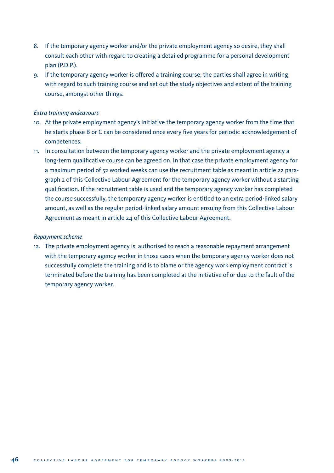- 8. If the temporary agency worker and/or the private employment agency so desire, they shall consult each other with regard to creating a detailed programme for a personal development plan (P.D.P.).
- 9. If the temporary agency worker is offered a training course, the parties shall agree in writing with regard to such training course and set out the study objectives and extent of the training course, amongst other things.

# *Extra training endeavours*

- 10. At the private employment agency's initiative the temporary agency worker from the time that he starts phase B or C can be considered once every five years for periodic acknowledgement of competences.
- 11. In consultation between the temporary agency worker and the private employment agency a long-term qualificative course can be agreed on. In that case the private employment agency for a maximum period of 52 worked weeks can use the recruitment table as meant in article 22 paragraph 2 of this Collective Labour Agreement for the temporary agency worker without a starting qualification. If the recruitment table is used and the temporary agency worker has completed the course successfully, the temporary agency worker is entitled to an extra period-linked salary amount, as well as the regular period-linked salary amount ensuing from this Collective Labour Agreement as meant in article 24 of this Collective Labour Agreement.

#### *Repayment scheme*

12. The private employment agency is authorised to reach a reasonable repayment arrangement with the temporary agency worker in those cases when the temporary agency worker does not successfully complete the training and is to blame or the agency work employment contract is terminated before the training has been completed at the initiative of or due to the fault of the temporary agency worker.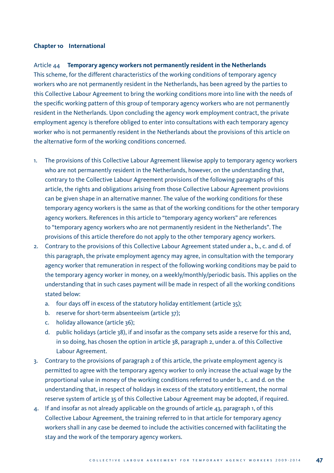# **Chapter 10 International**

# Article 44 **Temporary agency workers not permanently resident in the Netherlands**

This scheme, for the different characteristics of the working conditions of temporary agency workers who are not permanently resident in the Netherlands, has been agreed by the parties to this Collective Labour Agreement to bring the working conditions more into line with the needs of the specific working pattern of this group of temporary agency workers who are not permanently resident in the Netherlands. Upon concluding the agency work employment contract, the private employment agency is therefore obliged to enter into consultations with each temporary agency worker who is not permanently resident in the Netherlands about the provisions of this article on the alternative form of the working conditions concerned.

- 1. The provisions of this Collective Labour Agreement likewise apply to temporary agency workers who are not permanently resident in the Netherlands, however, on the understanding that, contrary to the Collective Labour Agreement provisions of the following paragraphs of this article, the rights and obligations arising from those Collective Labour Agreement provisions can be given shape in an alternative manner. The value of the working conditions for these temporary agency workers is the same as that of the working conditions for the other temporary agency workers. References in this article to "temporary agency workers" are references to "temporary agency workers who are not permanently resident in the Netherlands". The provisions of this article therefore do not apply to the other temporary agency workers.
- 2. Contrary to the provisions of this Collective Labour Agreement stated under a., b., c. and d. of this paragraph, the private employment agency may agree, in consultation with the temporary agency worker that remuneration in respect of the following working conditions may be paid to the temporary agency worker in money, on a weekly/monthly/periodic basis. This applies on the understanding that in such cases payment will be made in respect of all the working conditions stated below:
	- a. four days off in excess of the statutory holiday entitlement (article 35);
	- b. reserve for short-term absenteeism (article 37);
	- c. holiday allowance (article 36);
	- d. public holidays (article 38), if and insofar as the company sets aside a reserve for this and, in so doing, has chosen the option in article 38, paragraph 2, under a. of this Collective Labour Agreement.
- 3. Contrary to the provisions of paragraph 2 of this article, the private employment agency is permitted to agree with the temporary agency worker to only increase the actual wage by the proportional value in money of the working conditions referred to under b., c. and d. on the understanding that, in respect of holidays in excess of the statutory entitlement, the normal reserve system of article 35 of this Collective Labour Agreement may be adopted, if required.
- 4. If and insofar as not already applicable on the grounds of article 43, paragraph 1, of this Collective Labour Agreement, the training referred to in that article for temporary agency workers shall in any case be deemed to include the activities concerned with facilitating the stay and the work of the temporary agency workers.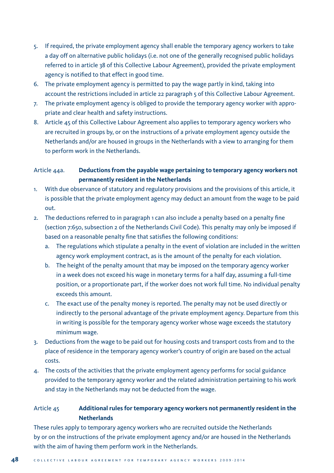- 5. If required, the private employment agency shall enable the temporary agency workers to take a day off on alternative public holidays (i.e. not one of the generally recognised public holidays referred to in article 38 of this Collective Labour Agreement), provided the private employment agency is notified to that effect in good time.
- 6. The private employment agency is permitted to pay the wage partly in kind, taking into account the restrictions included in article 22 paragraph 5 of this Collective Labour Agreement.
- 7. The private employment agency is obliged to provide the temporary agency worker with appropriate and clear health and safety instructions.
- 8. Article 45 of this Collective Labour Agreement also applies to temporary agency workers who are recruited in groups by, or on the instructions of a private employment agency outside the Netherlands and/or are housed in groups in the Netherlands with a view to arranging for them to perform work in the Netherlands.

# Article 44a. **Deductions from the payable wage pertaining to temporary agency workers not permanently resident in the Netherlands**

- 1. With due observance of statutory and regulatory provisions and the provisions of this article, it is possible that the private employment agency may deduct an amount from the wage to be paid out.
- 2. The deductions referred to in paragraph 1 can also include a penalty based on a penalty fine (section 7:650, subsection 2 of the Netherlands Civil Code). This penalty may only be imposed if based on a reasonable penalty fine that satisfies the following conditions:
	- a. The regulations which stipulate a penalty in the event of violation are included in the written agency work employment contract, as is the amount of the penalty for each violation.
	- b. The height of the penalty amount that may be imposed on the temporary agency worker in a week does not exceed his wage in monetary terms for a half day, assuming a full-time position, or a proportionate part, if the worker does not work full time. No individual penalty exceeds this amount.
	- c. The exact use of the penalty money is reported. The penalty may not be used directly or indirectly to the personal advantage of the private employment agency. Departure from this in writing is possible for the temporary agency worker whose wage exceeds the statutory minimum wage.
- 3. Deductions from the wage to be paid out for housing costs and transport costs from and to the place of residence in the temporary agency worker's country of origin are based on the actual costs.
- 4. The costs of the activities that the private employment agency performs for social guidance provided to the temporary agency worker and the related administration pertaining to his work and stay in the Netherlands may not be deducted from the wage.

# Article 45 **Additional rules for temporary agency workers not permanently resident in the Netherlands**

These rules apply to temporary agency workers who are recruited outside the Netherlands by or on the instructions of the private employment agency and/or are housed in the Netherlands with the aim of having them perform work in the Netherlands.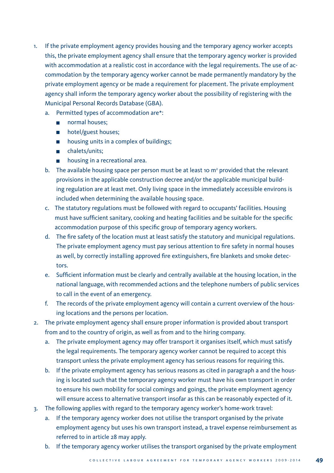- 1. If the private employment agency provides housing and the temporary agency worker accepts this, the private employment agency shall ensure that the temporary agency worker is provided with accommodation at a realistic cost in accordance with the legal requirements. The use of accommodation by the temporary agency worker cannot be made permanently mandatory by the private employment agency or be made a requirement for placement. The private employment agency shall inform the temporary agency worker about the possibility of registering with the Municipal Personal Records Database (GBA).
	- a. Permitted types of accommodation are\*:
		- normal houses:
		- **hotel/guest houses;**
		- **housing units in a complex of buildings;**
		- chalets/units;
		- **housing in a recreational area.**
	- b. The available housing space per person must be at least 10  $m<sup>2</sup>$  provided that the relevant provisions in the applicable construction decree and/or the applicable municipal building regulation are at least met. Only living space in the immediately accessible environs is included when determining the available housing space.
	- c. The statutory regulations must be followed with regard to occupants' facilities. Housing must have sufficient sanitary, cooking and heating facilities and be suitable for the specific accommodation purpose of this specific group of temporary agency workers.
	- d. The fire safety of the location must at least satisfy the statutory and municipal regulations. The private employment agency must pay serious attention to fire safety in normal houses as well, by correctly installing approved fire extinguishers, fire blankets and smoke detectors.
	- e. Sufficient information must be clearly and centrally available at the housing location, in the national language, with recommended actions and the telephone numbers of public services to call in the event of an emergency.
	- f. The records of the private employment agency will contain a current overview of the housing locations and the persons per location.
- 2. The private employment agency shall ensure proper information is provided about transport from and to the country of origin, as well as from and to the hiring company.
	- a. The private employment agency may offer transport it organises itself, which must satisfy the legal requirements. The temporary agency worker cannot be required to accept this transport unless the private employment agency has serious reasons for requiring this.
	- b. If the private employment agency has serious reasons as cited in paragraph a and the housing is located such that the temporary agency worker must have his own transport in order to ensure his own mobility for social comings and goings, the private employment agency will ensure access to alternative transport insofar as this can be reasonably expected of it.
- 3. The following applies with regard to the temporary agency worker's home-work travel:
	- a. If the temporary agency worker does not utilise the transport organised by the private employment agency but uses his own transport instead, a travel expense reimbursement as referred to in article 28 may apply.
	- b. If the temporary agency worker utilises the transport organised by the private employment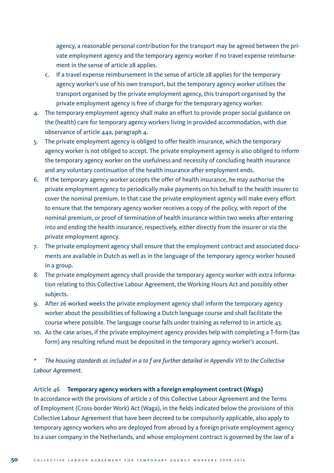agency, a reasonable personal contribution for the transport may be agreed between the private employment agency and the temporary agency worker if no travel expense reimbursement in the sense of article 28 applies.

- c. If a travel expense reimbursement in the sense of article 28 applies for the temporary agency worker's use of his own transport, but the temporary agency worker utilises the transport organised by the private employment agency, this transport organised by the private employment agency is free of charge for the temporary agency worker.
- 4. The temporary employment agency shall make an effort to provide proper social guidance on the (health) care for temporary agency workers living in provided accommodation, with due observance of article 44a, paragraph 4.
- 5. The private employment agency is obliged to offer health insurance, which the temporary agency worker is not obliged to accept. The private employment agency is also obliged to inform the temporary agency worker on the usefulness and necessity of concluding health insurance and any voluntary continuation of the health insurance after employment ends.
- 6. If the temporary agency worker accepts the offer of health insurance, he may authorise the private employment agency to periodically make payments on his behalf to the health insurer to cover the nominal premium. In that case the private employment agency will make every effort to ensure that the temporary agency worker receives a copy of the policy, with report of the nominal premium, or proof of termination of health insurance within two weeks after entering into and ending the health insurance, respectively, either directly from the insurer or via the private employment agency.
- 7. The private employment agency shall ensure that the employment contract and associated documents are available in Dutch as well as in the language of the temporary agency worker housed in a group.
- 8. The private employment agency shall provide the temporary agency worker with extra information relating to this Collective Labour Agreement, the Working Hours Act and possibly other subjects.
- 9. After 26 worked weeks the private employment agency shall inform the temporary agency worker about the possibilities of following a Dutch language course and shall facilitate the course where possible. The language course falls under training as referred to in article 43.
- 10. As the case arises, if the private employment agency provides help with completing a T-form (tax form) any resulting refund must be deposited in the temporary agency worker's account.

*\* The housing standards as included in a to f are further detailed in Appendix VII to the Collective Labour Agreement.*

# Article 46 **Temporary agency workers with a foreign employment contract (Waga)**

In accordance with the provisions of article 2 of this Collective Labour Agreement and the Terms of Employment (Cross-border Work) Act (Waga), in the fields indicated below the provisions of this Collective Labour Agreement that have been decreed to be compulsorily applicable, also apply to temporary agency workers who are deployed from abroad by a foreign private employment agency to a user company in the Netherlands, and whose employment contract is governed by the law of a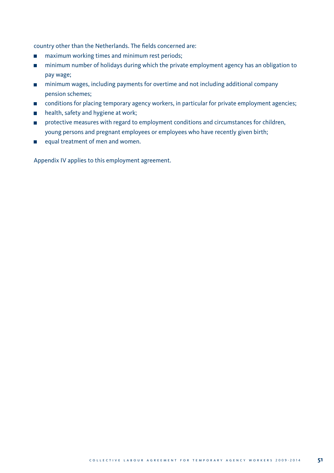country other than the Netherlands. The fields concerned are:

- maximum working times and minimum rest periods;
- minimum number of holidays during which the private employment agency has an obligation to pay wage;
- minimum wages, including payments for overtime and not including additional company pension schemes;
- conditions for placing temporary agency workers, in particular for private employment agencies;  $\blacksquare$
- **health, safety and hygiene at work;**
- **PEDITED FIGHTS INTERFEDITE IN A 2018 CONDUCT** Protective measures for children, young persons and pregnant employees or employees who have recently given birth;
- equal treatment of men and women.

Appendix IV applies to this employment agreement.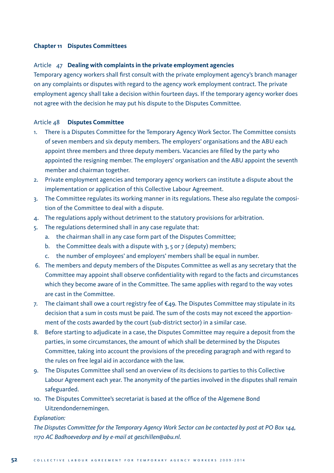# **Chapter 11 Disputes Committees**

# Article 47 **Dealing with complaints in the private employment agencies**

Temporary agency workers shall first consult with the private employment agency's branch manager on any complaints or disputes with regard to the agency work employment contract. The private employment agency shall take a decision within fourteen days. If the temporary agency worker does not agree with the decision he may put his dispute to the Disputes Committee.

# Article 48 **Disputes Committee**

- 1. There is a Disputes Committee for the Temporary Agency Work Sector. The Committee consists of seven members and six deputy members. The employers' organisations and the ABU each appoint three members and three deputy members. Vacancies are filled by the party who appointed the resigning member. The employers' organisation and the ABU appoint the seventh member and chairman together.
- 2. Private employment agencies and temporary agency workers can institute a dispute about the implementation or application of this Collective Labour Agreement.
- 3. The Committee regulates its working manner in its regulations. These also regulate the composition of the Committee to deal with a dispute.
- 4. The regulations apply without detriment to the statutory provisions for arbitration.
- 5. The regulations determined shall in any case regulate that:
	- a. the chairman shall in any case form part of the Disputes Committee;
	- b. the Committee deals with a dispute with  $3, 5$  or 7 (deputy) members;
	- c. the number of employees' and employers' members shall be equal in number.
- 6. The members and deputy members of the Disputes Committee as well as any secretary that the Committee may appoint shall observe confidentiality with regard to the facts and circumstances which they become aware of in the Committee. The same applies with regard to the way votes are cast in the Committee.
- 7. The claimant shall owe a court registry fee of €49. The Disputes Committee may stipulate in its decision that a sum in costs must be paid. The sum of the costs may not exceed the apportionment of the costs awarded by the court (sub-district sector) in a similar case.
- 8. Before starting to adjudicate in a case, the Disputes Committee may require a deposit from the parties, in some circumstances, the amount of which shall be determined by the Disputes Committee, taking into account the provisions of the preceding paragraph and with regard to the rules on free legal aid in accordance with the law.
- 9. The Disputes Committee shall send an overview of its decisions to parties to this Collective Labour Agreement each year. The anonymity of the parties involved in the disputes shall remain safeguarded.
- 10. The Disputes Committee's secretariat is based at the office of the Algemene Bond Uitzendondernemingen.

#### *Explanation:*

*The Disputes Committee for the Temporary Agency Work Sector can be contacted by post at PO Box 144, 1170 AC Badhoevedorp and by e-mail at geschillen@abu.nl.*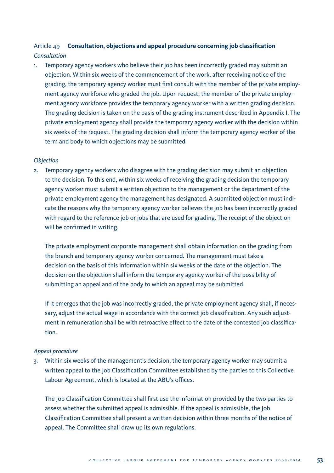# Article 49 **Consultation, objections and appeal procedure concerning job classification** *Consultation*

1. Temporary agency workers who believe their job has been incorrectly graded may submit an objection. Within six weeks of the commencement of the work, after receiving notice of the grading, the temporary agency worker must first consult with the member of the private employment agency workforce who graded the job. Upon request, the member of the private employment agency workforce provides the temporary agency worker with a written grading decision. The grading decision is taken on the basis of the grading instrument described in Appendix I. The private employment agency shall provide the temporary agency worker with the decision within six weeks of the request. The grading decision shall inform the temporary agency worker of the term and body to which objections may be submitted.

# *Objection*

2. Temporary agency workers who disagree with the grading decision may submit an objection to the decision. To this end, within six weeks of receiving the grading decision the temporary agency worker must submit a written objection to the management or the department of the private employment agency the management has designated. A submitted objection must indicate the reasons why the temporary agency worker believes the job has been incorrectly graded with regard to the reference job or jobs that are used for grading. The receipt of the objection will be confirmed in writing.

 The private employment corporate management shall obtain information on the grading from the branch and temporary agency worker concerned. The management must take a decision on the basis of this information within six weeks of the date of the objection. The decision on the objection shall inform the temporary agency worker of the possibility of submitting an appeal and of the body to which an appeal may be submitted.

 If it emerges that the job was incorrectly graded, the private employment agency shall, if necessary, adjust the actual wage in accordance with the correct job classification. Any such adjustment in remuneration shall be with retroactive effect to the date of the contested job classification.

# *Appeal procedure*

3. Within six weeks of the management's decision, the temporary agency worker may submit a written appeal to the Job Classification Committee established by the parties to this Collective Labour Agreement, which is located at the ABU's offices.

 The Job Classification Committee shall first use the information provided by the two parties to assess whether the submitted appeal is admissible. If the appeal is admissible, the Job Classification Committee shall present a written decision within three months of the notice of appeal. The Committee shall draw up its own regulations.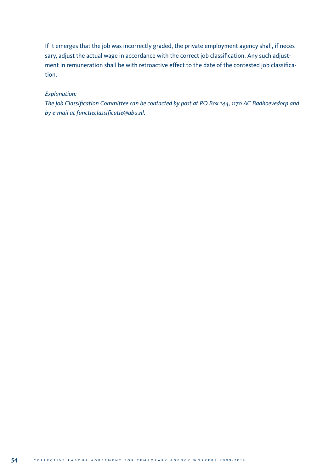If it emerges that the job was incorrectly graded, the private employment agency shall, if necessary, adjust the actual wage in accordance with the correct job classification. Any such adjustment in remuneration shall be with retroactive effect to the date of the contested job classification.

# *Explanation:*

 *The Job Classification Committee can be contacted by post at PO Box 144, 1170 AC Badhoevedorp and by e-mail at functieclassificatie@abu.nl.*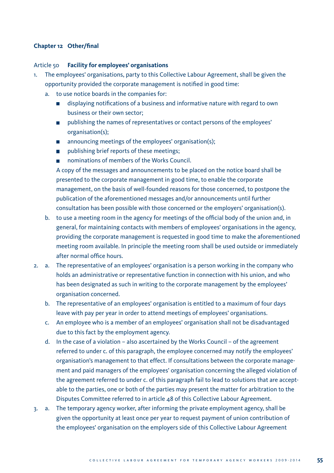# **Chapter 12 Other/final**

#### Article 50 **Facility for employees' organisations**

- 1. The employees' organisations, party to this Collective Labour Agreement, shall be given the opportunity provided the corporate management is notified in good time:
	- a. to use notice boards in the companies for:
		- displaying notifications of a business and informative nature with regard to own business or their own sector;
		- publishing the names of representatives or contact persons of the employees' organisation(s);
		- **n** announcing meetings of the employees' organisation(s);
		- publishing brief reports of these meetings;
		- nominations of members of the Works Council.

 A copy of the messages and announcements to be placed on the notice board shall be presented to the corporate management in good time, to enable the corporate management, on the basis of well-founded reasons for those concerned, to postpone the publication of the aforementioned messages and/or announcements until further consultation has been possible with those concerned or the employers' organisation(s).

- b. to use a meeting room in the agency for meetings of the official body of the union and, in general, for maintaining contacts with members of employees' organisations in the agency, providing the corporate management is requested in good time to make the aforementioned meeting room available. In principle the meeting room shall be used outside or immediately after normal office hours.
- 2. a. The representative of an employees' organisation is a person working in the company who holds an administrative or representative function in connection with his union, and who has been designated as such in writing to the corporate management by the employees' organisation concerned.
	- b. The representative of an employees' organisation is entitled to a maximum of four days leave with pay per year in order to attend meetings of employees' organisations.
	- c. An employee who is a member of an employees' organisation shall not be disadvantaged due to this fact by the employment agency.
	- d. In the case of a violation also ascertained by the Works Council of the agreement referred to under c. of this paragraph, the employee concerned may notify the employees' organisation's management to that effect. If consultations between the corporate management and paid managers of the employees' organisation concerning the alleged violation of the agreement referred to under c. of this paragraph fail to lead to solutions that are acceptable to the parties, one or both of the parties may present the matter for arbitration to the Disputes Committee referred to in article 48 of this Collective Labour Agreement.
- 3. a. The temporary agency worker, after informing the private employment agency, shall be given the opportunity at least once per year to request payment of union contribution of the employees' organisation on the employers side of this Collective Labour Agreement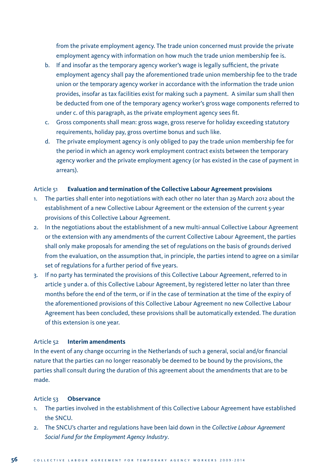from the private employment agency. The trade union concerned must provide the private employment agency with information on how much the trade union membership fee is.

- b. If and insofar as the temporary agency worker's wage is legally sufficient, the private employment agency shall pay the aforementioned trade union membership fee to the trade union or the temporary agency worker in accordance with the information the trade union provides, insofar as tax facilities exist for making such a payment. A similar sum shall then be deducted from one of the temporary agency worker's gross wage components referred to under c. of this paragraph, as the private employment agency sees fit.
- c. Gross components shall mean: gross wage, gross reserve for holiday exceeding statutory requirements, holiday pay, gross overtime bonus and such like.
- d. The private employment agency is only obliged to pay the trade union membership fee for the period in which an agency work employment contract exists between the temporary agency worker and the private employment agency (or has existed in the case of payment in arrears).

# Article 51 **Evaluation and termination of the Collective Labour Agreement provisions**

- 1. The parties shall enter into negotiations with each other no later than 29 March 2012 about the establishment of a new Collective Labour Agreement or the extension of the current 5-year provisions of this Collective Labour Agreement.
- 2. In the negotiations about the establishment of a new multi-annual Collective Labour Agreement or the extension with any amendments of the current Collective Labour Agreement, the parties shall only make proposals for amending the set of regulations on the basis of grounds derived from the evaluation, on the assumption that, in principle, the parties intend to agree on a similar set of regulations for a further period of five years.
- 3. If no party has terminated the provisions of this Collective Labour Agreement, referred to in article 3 under a. of this Collective Labour Agreement, by registered letter no later than three months before the end of the term, or if in the case of termination at the time of the expiry of the aforementioned provisions of this Collective Labour Agreement no new Collective Labour Agreement has been concluded, these provisions shall be automatically extended. The duration of this extension is one year.

#### Article 52 **Interim amendments**

In the event of any change occurring in the Netherlands of such a general, social and/or financial nature that the parties can no longer reasonably be deemed to be bound by the provisions, the parties shall consult during the duration of this agreement about the amendments that are to be made.

#### Article 53 **Observance**

- 1. The parties involved in the establishment of this Collective Labour Agreement have established the SNCU.
- 2. The SNCU's charter and regulations have been laid down in the *Collective Labour Agreement Social Fund for the Employment Agency Industry*.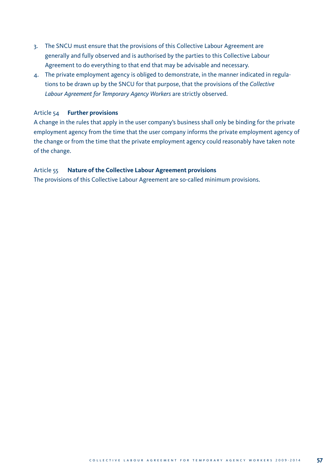- 3. The SNCU must ensure that the provisions of this Collective Labour Agreement are generally and fully observed and is authorised by the parties to this Collective Labour Agreement to do everything to that end that may be advisable and necessary.
- 4. The private employment agency is obliged to demonstrate, in the manner indicated in regulations to be drawn up by the SNCU for that purpose, that the provisions of the *Collective Labour Agreement for Temporary Agency Workers* are strictly observed.

# Article 54 **Further provisions**

A change in the rules that apply in the user company's business shall only be binding for the private employment agency from the time that the user company informs the private employment agency of the change or from the time that the private employment agency could reasonably have taken note of the change.

#### Article 55 **Nature of the Collective Labour Agreement provisions**

The provisions of this Collective Labour Agreement are so-called minimum provisions.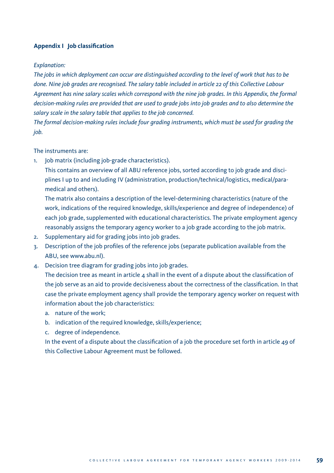# **Appendix I Job classification**

#### *Explanation:*

*The jobs in which deployment can occur are distinguished according to the level of work that has to be done. Nine job grades are recognised. The salary table included in article 22 of this Collective Labour Agreement has nine salary scales which correspond with the nine job grades. In this Appendix, the formal decision-making rules are provided that are used to grade jobs into job grades and to also determine the salary scale in the salary table that applies to the job concerned.*

*The formal decision-making rules include four grading instruments, which must be used for grading the job.* 

#### The instruments are:

1. Job matrix (including job-grade characteristics).

 This contains an overview of all ABU reference jobs, sorted according to job grade and disciplines I up to and including IV (administration, production/technical/logistics, medical/paramedical and others).

 The matrix also contains a description of the level-determining characteristics (nature of the work, indications of the required knowledge, skills/experience and degree of independence) of each job grade, supplemented with educational characteristics. The private employment agency reasonably assigns the temporary agency worker to a job grade according to the job matrix.

- 2. Supplementary aid for grading jobs into job grades.
- 3. Description of the job profiles of the reference jobs (separate publication available from the ABU, see www.abu.nl).
- 4. Decision tree diagram for grading jobs into job grades.

The decision tree as meant in article  $4$  shall in the event of a dispute about the classification of the job serve as an aid to provide decisiveness about the correctness of the classification. In that case the private employment agency shall provide the temporary agency worker on request with information about the job characteristics:

- a. nature of the work;
- b. indication of the required knowledge, skills/experience;
- c. degree of independence.

In the event of a dispute about the classification of a job the procedure set forth in article 49 of this Collective Labour Agreement must be followed.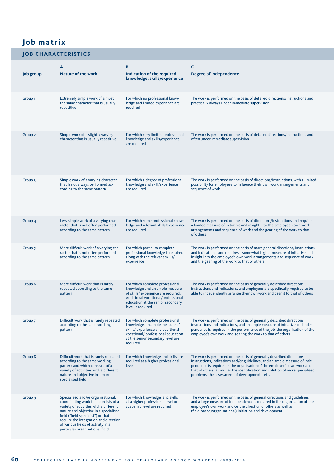# **Job matrix**

# **JOB CHARACTERISTICS**

| Job group          | A<br><b>Nature of the work</b>                                                                                                                                                                                                                                                                                        | в<br>Indication of the required<br>knowledge, skills/experience                                                                                                                                         | c<br><b>Degree of independence</b>                                                                                                                                                                                                                                                                                                                                 |
|--------------------|-----------------------------------------------------------------------------------------------------------------------------------------------------------------------------------------------------------------------------------------------------------------------------------------------------------------------|---------------------------------------------------------------------------------------------------------------------------------------------------------------------------------------------------------|--------------------------------------------------------------------------------------------------------------------------------------------------------------------------------------------------------------------------------------------------------------------------------------------------------------------------------------------------------------------|
| Group <sub>1</sub> | Extremely simple work of almost<br>the same character that is usually<br>repetitive                                                                                                                                                                                                                                   | For which no professional know-<br>ledge and limited experience are<br>required                                                                                                                         | The work is performed on the basis of detailed directions/instructions and<br>practically always under immediate supervision                                                                                                                                                                                                                                       |
| Group <sub>2</sub> | Simple work of a slightly varying<br>character that is usually repetitive                                                                                                                                                                                                                                             | For which very limited professional<br>knowledge and skills/experience<br>are required                                                                                                                  | The work is performed on the basis of detailed directions/instructions and<br>often under immediate supervision                                                                                                                                                                                                                                                    |
| Group 3            | Simple work of a varying character<br>that is not always performed ac-<br>cording to the same pattern                                                                                                                                                                                                                 | For which a degree of professional<br>knowledge and skill/experience<br>are required                                                                                                                    | The work is performed on the basis of directions/instructions, with a limited<br>possibility for employees to influence their own work arrangements and<br>sequence of work                                                                                                                                                                                        |
| Group <sub>4</sub> | Less simple work of a varying cha-<br>racter that is not often performed<br>according to the same pattern                                                                                                                                                                                                             | For which some professional know-<br>ledge and relevant skills/experience<br>are required                                                                                                               | The work is performed on the basis of directions/instructions and requires<br>a limited measure of initiative and insight into the employee's own work<br>arrangements and sequence of work and the gearing of the work to that<br>of others                                                                                                                       |
| Group 5            | More difficult work of a varying cha-<br>racter that is not often performed<br>according to the same pattern                                                                                                                                                                                                          | For which partial to complete<br>professional knowledge is required<br>along with the relevant skills/<br>experience                                                                                    | The work is performed on the basis of more general directions, instructions<br>and indications, and requires a somewhat higher measure of initiative and<br>insight into the employee's own work arrangements and sequence of work<br>and the gearing of the work to that of others                                                                                |
| Group 6            | More difficult work that is rarely<br>repeated according to the same<br>pattern                                                                                                                                                                                                                                       | For which complete professional<br>knowledge and an ample measure<br>of skills/experience are required.<br>Additional vocational/professional<br>education at the senior secondary<br>level is required | The work is performed on the basis of generally described directions,<br>instructions and indications, and employees are specifically required to be<br>able to independently arrange their own work and gear it to that of others                                                                                                                                 |
| Group 7            | Difficult work that is rarely repeated<br>according to the same working<br>pattern                                                                                                                                                                                                                                    | For which complete professional<br>knowledge, an ample measure of<br>skills/experience and additional<br>vocational/ professional education<br>at the senior secondary level are<br>required            | The work is performed on the basis of generally described directions,<br>instructions and indications, and an ample measure of initiative and inde-<br>pendence is required in the performance of the job, the organisation of the<br>employee's own work and gearing the work to that of others                                                                   |
| Group 8            | Difficult work that is rarely repeated<br>according to the same working<br>pattern and which consists of a<br>variety of activities with a different<br>nature and objective in a more<br>specialised field                                                                                                           | For which knowledge and skills are<br>required at a higher professional<br>level                                                                                                                        | The work is performed on the basis of generally described directions,<br>instructions, indications and/or guidelines, and an ample measure of inde-<br>pendence is required in the organisation of the employee's own work and<br>that of others, as well as the identification and solution of more specialised<br>problems, the assessment of developments, etc. |
| Group 9            | Specialised and/or organisational/<br>coordinating work that consists of a<br>variety of activities with a different<br>nature and objective in a specialised<br>field ("field specialist") or that<br>require the integration and direction<br>of various fields of activity in a<br>particular organisational field | For which knowledge, and skills<br>at a higher professional level or<br>academic level are required                                                                                                     | The work is performed on the basis of general directions and guidelines<br>and a large measure of independence is required in the organisation of the<br>employee's own work and/or the direction of others as well as<br>(field-based/organisational) initiation and development                                                                                  |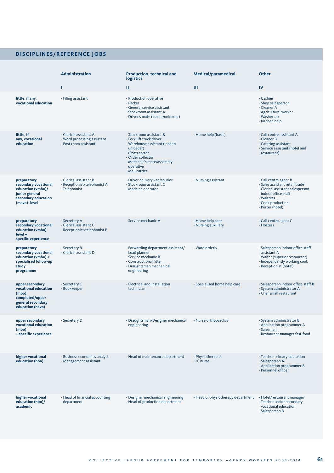# **DISCIPLINES/REFERENCE JOBS**

|                                                                                                                    | Administration                                                                 | <b>Production, technical and</b><br>logistics                                                                                                                                                           | <b>Medical/paramedical</b>              | Other                                                                                                                                                                     |
|--------------------------------------------------------------------------------------------------------------------|--------------------------------------------------------------------------------|---------------------------------------------------------------------------------------------------------------------------------------------------------------------------------------------------------|-----------------------------------------|---------------------------------------------------------------------------------------------------------------------------------------------------------------------------|
|                                                                                                                    | T                                                                              | ш                                                                                                                                                                                                       | Ш                                       | IV                                                                                                                                                                        |
| little, if any,<br>vocational education                                                                            | - Filing assistant                                                             | - Production operative<br>- Packer<br>- General service assistant<br>- Stockroom assistant A<br>- Driver's mate (loader/unloader)                                                                       |                                         | - Cashier<br>- Shop salesperson<br>- Cleaner A<br>- Agricultural worker<br>- Washer-up<br>- Kitchen help                                                                  |
| little, if<br>any, vocational<br>education                                                                         | - Clerical assistant A<br>- Word processing assistant<br>- Post room assistant | - Stockroom assistant B<br>- Fork-lift truck driver<br>- Warehouse assistant (loader/<br>unloader)<br>- (Post) sorter<br>- Order collector<br>- Mechanic's mate/assembly<br>operative<br>- Mail carrier | - Home help (basic)                     | - Call centre assistant A<br>- Cleaner B<br>- Catering assistant<br>- Service assistant (hotel and<br>restaurant)                                                         |
| preparatory<br>secondary vocational<br>education (vmbo)/<br>junior general<br>secondary education<br>(mavo)- level | - Clerical assistant B<br>- Receptionist/telephonist A<br>- Telephonist        | - Driver delivery van/courier<br>- Stockroom assistant C<br>- Machine operator                                                                                                                          | - Nursing assistant                     | - Call centre agent B<br>- Sales assistant retail trade<br>- Clerical assistant salesperson<br>indoor office staff<br>- Waitress<br>- Cook production<br>- Porter (hotel) |
| preparatory<br>secondary vocational<br>education (vmbo)<br>level +<br>specific experience                          | - Secretary A<br>- Clerical assistant C<br>- Receptionist/telephonist B        | - Service mechanic A                                                                                                                                                                                    | - Home help care<br>- Nursing auxiliary | - Call centre agent C<br>- Hostess                                                                                                                                        |
| preparatory<br>secondary vocational<br>education (vmbo) +<br>specialised follow-up<br>study<br>programme           | - Secretary B<br>- Clerical assistant D                                        | - Forwarding department assistant/<br>Load planner<br>- Service mechanic B<br>- Constructional fitter<br>- Draughtsman mechanical<br>engineering                                                        | - Ward orderly                          | - Salesperson indoor office staff<br>assistant A<br>- Waiter (superior restaurant)<br>- Independently working cook<br>- Receptionist (hotel)                              |
| upper secondary<br>vocational education<br>(mbo)<br>completed/upper<br>general secondary<br>education (havo)       | - Secretary C<br>- Bookkeeper                                                  | - Electrical and Installation<br>technician                                                                                                                                                             | - Specialised home help care            | - Salesperson indoor office staff B<br>- System administrator A<br>- Chef small restaurant                                                                                |
| upper secondary<br>vocational education<br>(mbo)<br>+ specific experience                                          | - Secretary D                                                                  | - Draughtsman/Designer mechanical<br>engineering                                                                                                                                                        | - Nurse orthopaedics                    | - System administrator B<br>- Application programmer A<br>- Salesman<br>- Restaurant manager fast-food                                                                    |
| higher vocational<br>education (hbo)                                                                               | - Business economics analyst<br>- Management assistant                         | - Head of maintenance department                                                                                                                                                                        | - Physiotherapist<br>- IC nurse         | - Teacher primary education<br>- Salesperson A<br>- Application programmer B<br>- Personnel officer                                                                       |
| higher vocational<br>education (hbo)/<br>academic                                                                  | - Head of financial accounting<br>department                                   | - Designer mechanical engineering<br>- Head of production department                                                                                                                                    | - Head of physiotherapy department      | - Hotel/restaurant manager<br>- Teacher senior secondary<br>vocational education<br>- Salesperson B                                                                       |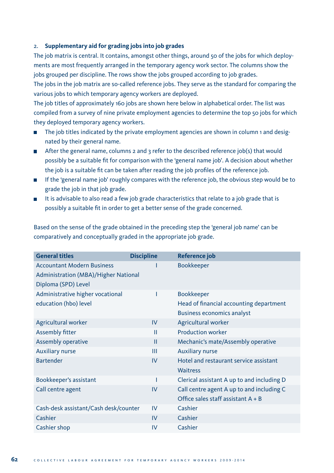# 2. **Supplementary aid for grading jobs into job grades**

The job matrix is central. It contains, amongst other things, around 50 of the jobs for which deployments are most frequently arranged in the temporary agency work sector. The columns show the jobs grouped per discipline. The rows show the jobs grouped according to job grades.

The jobs in the job matrix are so-called reference jobs. They serve as the standard for comparing the various jobs to which temporary agency workers are deployed.

The job titles of approximately 160 jobs are shown here below in alphabetical order. The list was compiled from a survey of nine private employment agencies to determine the top 50 jobs for which they deployed temporary agency workers.

- The job titles indicated by the private employment agencies are shown in column 1 and designated by their general name.
- After the general name, columns 2 and 3 refer to the described reference job(s) that would possibly be a suitable fit for comparison with the 'general name job'. A decision about whether the job is a suitable fit can be taken after reading the job profiles of the reference job.
- If the 'general name job' roughly compares with the reference job, the obvious step would be to grade the job in that job grade.
- It is advisable to also read a few job grade characteristics that relate to a job grade that is possibly a suitable fit in order to get a better sense of the grade concerned.

Based on the sense of the grade obtained in the preceding step the 'general job name' can be comparatively and conceptually graded in the appropriate job grade.

| <b>General titles</b>                 | <b>Discipline</b> | Reference job                              |
|---------------------------------------|-------------------|--------------------------------------------|
| <b>Accountant Modern Business</b>     |                   | <b>Bookkeeper</b>                          |
| Administration (MBA)/Higher National  |                   |                                            |
| Diploma (SPD) Level                   |                   |                                            |
| Administrative higher vocational      | I                 | <b>Bookkeeper</b>                          |
| education (hbo) level                 |                   | Head of financial accounting department    |
|                                       |                   | <b>Business economics analyst</b>          |
| Agricultural worker                   | IV                | Agricultural worker                        |
| Assembly fitter                       | Ш                 | <b>Production worker</b>                   |
| Assembly operative                    | $\mathbf{H}$      | Mechanic's mate/Assembly operative         |
| <b>Auxiliary nurse</b>                | Ш                 | <b>Auxiliary nurse</b>                     |
| <b>Bartender</b>                      | IV                | Hotel and restaurant service assistant     |
|                                       |                   | Waitress                                   |
| Bookkeeper's assistant                | ı                 | Clerical assistant A up to and including D |
| Call centre agent                     | IV                | Call centre agent A up to and including C  |
|                                       |                   | Office sales staff assistant $A + B$       |
| Cash-desk assistant/Cash desk/counter | IV                | Cashier                                    |
| Cashier                               | IV                | Cashier                                    |
| Cashier shop                          | IV                | Cashier                                    |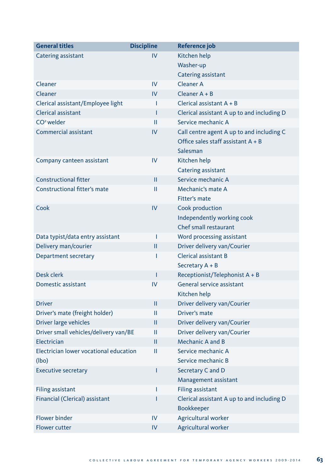| <b>General titles</b>                  | <b>Discipline</b> | Reference job                              |
|----------------------------------------|-------------------|--------------------------------------------|
| Catering assistant                     | IV                | Kitchen help                               |
|                                        |                   | Washer-up                                  |
|                                        |                   | <b>Catering assistant</b>                  |
| Cleaner                                | IV                | <b>Cleaner A</b>                           |
| Cleaner                                | IV                | Cleaner $A + B$                            |
| Clerical assistant/Employee light      | т                 | Clerical assistant $A + B$                 |
| <b>Clerical assistant</b>              | T                 | Clerical assistant A up to and including D |
| $CO2$ welder                           | Ш                 | Service mechanic A                         |
| <b>Commercial assistant</b>            | IV                | Call centre agent A up to and including C  |
|                                        |                   | Office sales staff assistant $A + B$       |
|                                        |                   | Salesman                                   |
| Company canteen assistant              | IV                | Kitchen help                               |
|                                        |                   | Catering assistant                         |
| <b>Constructional fitter</b>           | Ш                 | Service mechanic A                         |
| <b>Constructional fitter's mate</b>    | Ш                 | Mechanic's mate A                          |
|                                        |                   | Fitter's mate                              |
| Cook                                   | IV                | Cook production                            |
|                                        |                   | Independently working cook                 |
|                                        |                   | Chef small restaurant                      |
| Data typist/data entry assistant       | T                 | Word processing assistant                  |
| Delivery man/courier                   | П                 | Driver delivery van/Courier                |
| Department secretary                   | т                 | <b>Clerical assistant B</b>                |
|                                        |                   | Secretary A + B                            |
| Desk clerk                             | T                 | Receptionist/Telephonist $A + B$           |
| Domestic assistant                     | IV                | General service assistant                  |
|                                        |                   | Kitchen help                               |
| <b>Driver</b>                          | п                 | Driver delivery van/Courier                |
| Driver's mate (freight holder)         | Ш                 | Driver's mate                              |
| Driver large vehicles                  | П                 | Driver delivery van/Courier                |
| Driver small vehicles/delivery van/BE  | Ш                 | Driver delivery van/Courier                |
| Electrician                            | П                 | Mechanic A and B                           |
| Electrician lower vocational education | Ш                 | Service mechanic A                         |
| (lbo)                                  |                   | Service mechanic B                         |
| <b>Executive secretary</b>             | T                 | Secretary C and D                          |
|                                        |                   | Management assistant                       |
| <b>Filing assistant</b>                | T                 | <b>Filing assistant</b>                    |
| Financial (Clerical) assistant         | Ī                 | Clerical assistant A up to and including D |
|                                        |                   | <b>Bookkeeper</b>                          |
| <b>Flower binder</b>                   | IV                | Agricultural worker                        |
| <b>Flower cutter</b>                   | IV                | Agricultural worker                        |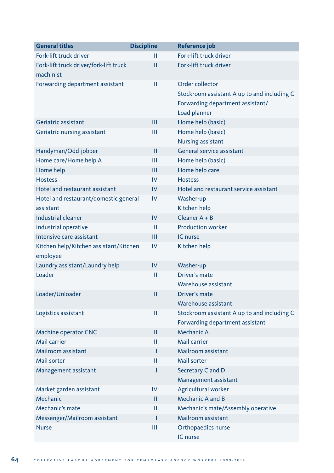| <b>General titles</b>                  | <b>Discipline</b> | Reference job                               |
|----------------------------------------|-------------------|---------------------------------------------|
| Fork-lift truck driver                 | П                 | Fork-lift truck driver                      |
| Fork-lift truck driver/fork-lift truck | П                 | Fork-lift truck driver                      |
| machinist                              |                   |                                             |
| Forwarding department assistant        | П                 | Order collector                             |
|                                        |                   | Stockroom assistant A up to and including C |
|                                        |                   | Forwarding department assistant/            |
|                                        |                   | Load planner                                |
| Geriatric assistant                    | Ш                 | Home help (basic)                           |
| Geriatric nursing assistant            | Ш                 | Home help (basic)                           |
|                                        |                   | <b>Nursing assistant</b>                    |
| Handyman/Odd-jobber                    | П                 | General service assistant                   |
| Home care/Home help A                  | Ш                 | Home help (basic)                           |
| Home help                              | Ш                 | Home help care                              |
| <b>Hostess</b>                         | IV                | <b>Hostess</b>                              |
| Hotel and restaurant assistant         | IV                | Hotel and restaurant service assistant      |
| Hotel and restaurant/domestic general  | IV                | Washer-up                                   |
| assistant                              |                   | Kitchen help                                |
| Industrial cleaner                     | IV                | Cleaner $A + B$                             |
| Industrial operative                   | $\mathbf{H}$      | <b>Production worker</b>                    |
| Intensive care assistant               | Ш                 | IC nurse                                    |
| Kitchen help/Kitchen assistant/Kitchen | IV                | Kitchen help                                |
| employee                               |                   |                                             |
| Laundry assistant/Laundry help         | IV                | Washer-up                                   |
| Loader                                 | П                 | Driver's mate                               |
|                                        |                   | Warehouse assistant                         |
| Loader/Unloader                        | П                 | Driver's mate                               |
|                                        |                   | Warehouse assistant                         |
| Logistics assistant                    | П                 | Stockroom assistant A up to and including C |
|                                        |                   | Forwarding department assistant             |
| <b>Machine operator CNC</b>            | П                 | Mechanic A                                  |
| Mail carrier                           | Ħ                 | Mail carrier                                |
| Mailroom assistant                     | T                 | Mailroom assistant                          |
| Mail sorter                            | П                 | Mail sorter                                 |
| Management assistant                   | I                 | Secretary C and D                           |
|                                        |                   | Management assistant                        |
| Market garden assistant                | IV                | Agricultural worker                         |
| Mechanic                               | Ш                 | <b>Mechanic A and B</b>                     |
| Mechanic's mate                        | П                 | Mechanic's mate/Assembly operative          |
| Messenger/Mailroom assistant           | ı                 | Mailroom assistant                          |
| <b>Nurse</b>                           | Ш                 | Orthopaedics nurse                          |
|                                        |                   | IC nurse                                    |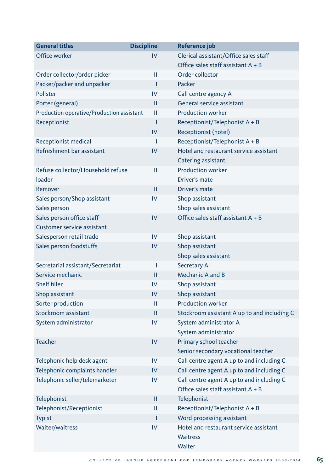| <b>General titles</b>                     | <b>Discipline</b> | Reference job                               |
|-------------------------------------------|-------------------|---------------------------------------------|
| Office worker                             | IV                | Clerical assistant/Office sales staff       |
|                                           |                   | Office sales staff assistant $A + B$        |
| Order collector/order picker              | П                 | Order collector                             |
| Packer/packer and unpacker                | Т                 | Packer                                      |
| Pollster                                  | IV                | Call centre agency A                        |
| Porter (general)                          | П                 | General service assistant                   |
| Production operative/Production assistant | П                 | <b>Production worker</b>                    |
| Receptionist                              | T                 | Receptionist/Telephonist A + B              |
|                                           | IV                | Receptionist (hotel)                        |
| Receptionist medical                      | Т                 | Receptionist/Telephonist A + B              |
| Refreshment bar assistant                 | IV                | Hotel and restaurant service assistant      |
|                                           |                   | Catering assistant                          |
| Refuse collector/Household refuse         | Ш                 | <b>Production worker</b>                    |
| loader                                    |                   | Driver's mate                               |
| Remover                                   | $\mathbf{H}$      | Driver's mate                               |
| Sales person/Shop assistant               | IV                | Shop assistant                              |
| Sales person                              |                   | Shop sales assistant                        |
| Sales person office staff                 | IV                | Office sales staff assistant $A + B$        |
| Customer service assistant                |                   |                                             |
| Salesperson retail trade                  | IV                | Shop assistant                              |
| Sales person foodstuffs                   | IV                | Shop assistant                              |
|                                           |                   | Shop sales assistant                        |
| Secretarial assistant/Secretariat         | T                 | <b>Secretary A</b>                          |
| Service mechanic                          | $\mathbf{H}$      | <b>Mechanic A and B</b>                     |
| <b>Shelf filler</b>                       | IV                | Shop assistant                              |
| Shop assistant                            | IV                | Shop assistant                              |
| Sorter production                         | $\mathbf{H}$      | <b>Production worker</b>                    |
| Stockroom assistant                       | $\mathbf{H}$      | Stockroom assistant A up to and including C |
| System administrator                      | IV                | System administrator A                      |
|                                           |                   | System administrator                        |
| <b>Teacher</b>                            | IV                | Primary school teacher                      |
|                                           |                   | Senior secondary vocational teacher         |
| Telephonic help desk agent                | IV                | Call centre agent A up to and including C   |
| Telephonic complaints handler             | IV                | Call centre agent A up to and including C   |
| Telephonic seller/telemarketer            | IV                | Call centre agent A up to and including C   |
|                                           |                   | Office sales staff assistant $A + B$        |
| Telephonist                               | Ш                 | Telephonist                                 |
| Telephonist/Receptionist                  | Ш                 | Receptionist/Telephonist A + B              |
| <b>Typist</b>                             | п                 | Word processing assistant                   |
| <b>Waiter/waitress</b>                    | IV                | Hotel and restaurant service assistant      |
|                                           |                   | <b>Waitress</b>                             |
|                                           |                   | Waiter                                      |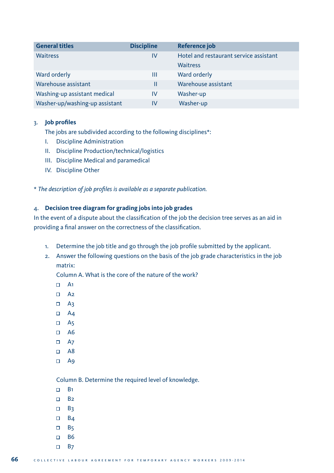| <b>General titles</b>          | <b>Discipline</b> | Reference job                          |
|--------------------------------|-------------------|----------------------------------------|
| Waitress                       | IV                | Hotel and restaurant service assistant |
|                                |                   | <b>Waitress</b>                        |
| Ward orderly                   | Ш                 | Ward orderly                           |
| Warehouse assistant            | Ш                 | Warehouse assistant                    |
| Washing-up assistant medical   | IV                | Washer-up                              |
| Washer-up/washing-up assistant | IV                | Washer-up                              |

# 3. **Job profiles**

The jobs are subdivided according to the following disciplines\*:

- I. Discipline Administration
- II. Discipline Production/technical/logistics
- III. Discipline Medical and paramedical
- IV. Discipline Other

\* *The description of job profiles is available as a separate publication.*

# 4. **Decision tree diagram for grading jobs into job grades**

In the event of a dispute about the classification of the job the decision tree serves as an aid in providing a final answer on the correctness of the classification.

- 1. Determine the job title and go through the job profile submitted by the applicant.
- 2. Answer the following questions on the basis of the job grade characteristics in the job matrix:

Column A. What is the core of the nature of the work?

- $\Box$  A<sub>1</sub>
- $\Box$  A<sub>2</sub>
- $\Box$  A3
- $\Box$  A4
- $\Box$  A<sub>5</sub>
- $\Box$  A6
- $\Box$  A7
- $\Box$  A8
- $\Box$  A9

Column B. Determine the required level of knowledge.

- $\Box$  B<sub>1</sub>
- $\Box$  B<sub>2</sub>
- $\Box$  B<sub>3</sub>
- $\Box$  B<sub>4</sub>
- $\Box$  B5
- $\Box$  B6
- $\Box$  B<sub>7</sub>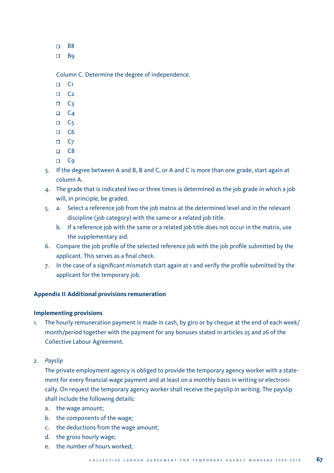- $n$  R<sub>8</sub>
- $\Box$  Bq

Column C. Determine the degree of independence.

- $\Box$  C<sub>1</sub>
- $\Box$  C<sub>2</sub>
- $\Box$  C<sub>3</sub>
- $\Box$  C<sub>4</sub>
- $\Box$  C<sub>5</sub>
- $\Box$  C6
- $\Box$  C<sub>7</sub>
- $\Box$  C8
- □ C<sub>9</sub>
- 3. If the degree between A and B, B and C, or A and C is more than one grade, start again at column A.
- 4. The grade that is indicated two or three times is determined as the job grade in which a job will, in principle, be graded.
- 5. a. Select a reference job from the job matrix at the determined level and in the relevant discipline (job category) with the same or a related job title.
	- b. If a reference job with the same or a related job title does not occur in the matrix, use the supplementary aid.
- 6. Compare the job profile of the selected reference job with the job profile submitted by the applicant. This serves as a final check.
- 7. In the case of a significant mismatch start again at 1 and verify the profile submitted by the applicant for the temporary job.

# **Appendix II Additional provisions remuneration**

# **Implementing provisions**

- 1. The hourly remuneration payment is made in cash, by giro or by cheque at the end of each week/ month/period together with the payment for any bonuses stated in articles 25 and 26 of the Collective Labour Agreement.
- *2. Payslip*

 The private employment agency is obliged to provide the temporary agency worker with a statement for every financial wage payment and at least on a monthly basis in writing or electronically. On request the temporary agency worker shall receive the payslip in writing. The payslip shall include the following details:

- a. the wage amount;
- b. the components of the wage;
- c. the deductions from the wage amount;
- d. the gross hourly wage;
- e. the number of hours worked;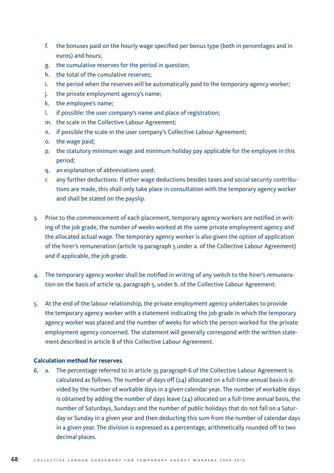- f. the bonuses paid on the hourly wage specified per bonus type (both in percentages and in euros) and hours;
- g. the cumulative reserves for the period in question;
- h. the total of the cumulative reserves;
- i. the period when the reserves will be automatically paid to the temporary agency worker;
- j. the private employment agency's name;
- k. the employee's name;
- l. if possible: the user company's name and place of registration;
- m. the scale in the Collective Labour Agreement;
- n. if possible the scale in the user company's Collective Labour Agreement;
- o. the wage paid;
- p. the statutory minimum wage and minimum holiday pay applicable for the employee in this period;
- q. an explanation of abbreviations used;
- any further deductions. If other wage deductions besides taxes and social security contributions are made, this shall only take place in consultation with the temporary agency worker and shall be stated on the payslip.
- 3. Prior to the commencement of each placement, temporary agency workers are notified in writing of the job grade, the number of weeks worked at the same private employment agency and the allocated actual wage. The temporary agency worker is also given the option of application of the hirer's remuneration (article 19 paragraph 5 under a. of the Collective Labour Agreement) and if applicable, the job grade.
- 4. The temporary agency worker shall be notified in writing of any switch to the hirer's remuneration on the basis of article 19, paragraph 5, under b. of the Collective Labour Agreement.
- 5. At the end of the labour relationship, the private employment agency undertakes to provide the temporary agency worker with a statement indicating the job grade in which the temporary agency worker was placed and the number of weeks for which the person worked for the private employment agency concerned. The statement will generally correspond with the written statement described in article 8 of this Collective Labour Agreement.

# **Calculation method for reserves**

6. a. The percentage referred to in article 35 paragraph 6 of the Collective Labour Agreement is calculated as follows. The number of days off (24) allocated on a full-time annual basis is divided by the number of workable days in a given calendar year. The number of workable days is obtained by adding the number of days leave (24) allocated on a full-time annual basis, the number of Saturdays, Sundays and the number of public holidays that do not fall on a Saturday or Sunday in a given year and then deducting this sum from the number of calendar days in a given year. The division is expressed as a percentage, arithmetically rounded off to two decimal places.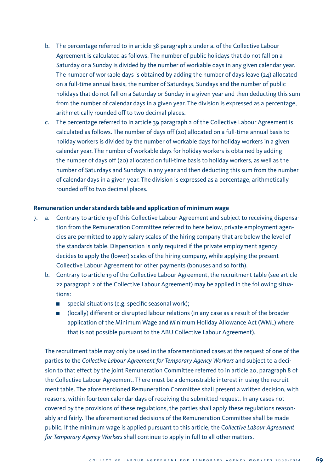- b. The percentage referred to in article 38 paragraph 2 under a. of the Collective Labour Agreement is calculated as follows. The number of public holidays that do not fall on a Saturday or a Sunday is divided by the number of workable days in any given calendar year. The number of workable days is obtained by adding the number of days leave (24) allocated on a full-time annual basis, the number of Saturdays, Sundays and the number of public holidays that do not fall on a Saturday or Sunday in a given year and then deducting this sum from the number of calendar days in a given year. The division is expressed as a percentage, arithmetically rounded off to two decimal places.
- c. The percentage referred to in article 39 paragraph 2 of the Collective Labour Agreement is calculated as follows. The number of days off (20) allocated on a full-time annual basis to holiday workers is divided by the number of workable days for holiday workers in a given calendar year. The number of workable days for holiday workers is obtained by adding the number of days off (20) allocated on full-time basis to holiday workers, as well as the number of Saturdays and Sundays in any year and then deducting this sum from the number of calendar days in a given year. The division is expressed as a percentage, arithmetically rounded off to two decimal places.

#### **Remuneration under standards table and application of minimum wage**

- 7. a. Contrary to article 19 of this Collective Labour Agreement and subject to receiving dispensation from the Remuneration Committee referred to here below, private employment agencies are permitted to apply salary scales of the hiring company that are below the level of the standards table. Dispensation is only required if the private employment agency decides to apply the (lower) scales of the hiring company, while applying the present Collective Labour Agreement for other payments (bonuses and so forth).
	- b. Contrary to article 19 of the Collective Labour Agreement, the recruitment table (see article 22 paragraph 2 of the Collective Labour Agreement) may be applied in the following situations:
		- special situations (e.g. specific seasonal work);
		- (locally) different or disrupted labour relations (in any case as a result of the broader application of the Minimum Wage and Minimum Holiday Allowance Act (WML) where that is not possible pursuant to the ABU Collective Labour Agreement).

 The recruitment table may only be used in the aforementioned cases at the request of one of the parties to the *Collective Labour Agreement for Temporary Agency Workers* and subject to a decision to that effect by the joint Remuneration Committee referred to in article 20, paragraph 8 of the Collective Labour Agreement. There must be a demonstrable interest in using the recruitment table. The aforementioned Remuneration Committee shall present a written decision, with reasons, within fourteen calendar days of receiving the submitted request. In any cases not covered by the provisions of these regulations, the parties shall apply these regulations reasonably and fairly. The aforementioned decisions of the Remuneration Committee shall be made public. If the minimum wage is applied pursuant to this article, the C*ollective Labour Agreement for Temporary Agency Workers* shall continue to apply in full to all other matters.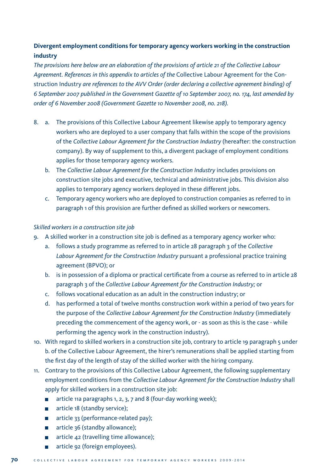# **Divergent employment conditions for temporary agency workers working in the construction industry**

*The provisions here below are an elaboration of the provisions of article 21 of the Collective Labour Agreement. References in this appendix to articles of the* Collective Labour Agreement for the Construction Industry *are references to the AVV Order (order declaring a collective agreement binding) of 6 September 2007 published in the Government Gazette of 10 September 2007, no. 174, last amended by order of 6 November 2008 (Government Gazette 10 November 2008, no. 218).*

- 8. a. The provisions of this Collective Labour Agreement likewise apply to temporary agency workers who are deployed to a user company that falls within the scope of the provisions of the *Collective Labour Agreement for the Construction Industry* (hereafter: the construction company). By way of supplement to this, a divergent package of employment conditions applies for those temporary agency workers.
	- b. The *Collective Labour Agreement for the Construction Industry* includes provisions on construction site jobs and executive, technical and administrative jobs. This division also applies to temporary agency workers deployed in these different jobs.
	- c. Temporary agency workers who are deployed to construction companies as referred to in paragraph 1 of this provision are further defined as skilled workers or newcomers.

# *Skilled workers in a construction site job*

- 9. A skilled worker in a construction site job is defined as a temporary agency worker who:
	- a. follows a study programme as referred to in article 28 paragraph 3 of the *Collective Labour Agreement for the Construction Industry* pursuant a professional practice training agreement (BPVO); or
	- b. is in possession of a diploma or practical certificate from a course as referred to in article 28 paragraph 3 of the *Collective Labour Agreement for the Construction Industry;* or
	- c. follows vocational education as an adult in the construction industry; or
	- d. has performed a total of twelve months construction work within a period of two years for the purpose of the *Collective Labour Agreement for the Construction Industry* (immediately preceding the commencement of the agency work, or - as soon as this is the case - while performing the agency work in the construction industry).
- 10. With regard to skilled workers in a construction site job, contrary to article 19 paragraph 5 under b. of the Collective Labour Agreement, the hirer's remunerations shall be applied starting from the first day of the length of stay of the skilled worker with the hiring company.
- 11. Contrary to the provisions of this Collective Labour Agreement, the following supplementary employment conditions from the *Collective Labour Agreement for the Construction Industry* shall apply for skilled workers in a construction site job:
	- article 11a paragraphs 1, 2, 3, 7 and 8 (four-day working week);
	- article 18 (standby service);
	- article 33 (performance-related pay);
	- article 36 (standby allowance);
	- article  $42$  (travelling time allowance);
	- article 92 (foreign employees).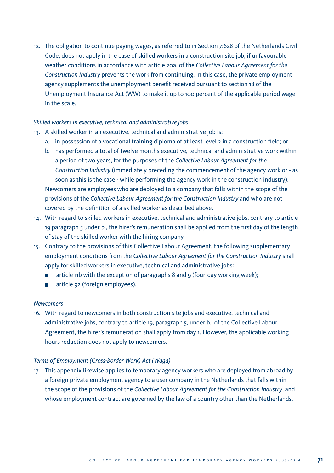12. The obligation to continue paying wages, as referred to in Section 7:628 of the Netherlands Civil Code, does not apply in the case of skilled workers in a construction site job, if unfavourable weather conditions in accordance with article 20a. of the *Collective Labour Agreement for the Construction Industry* prevents the work from continuing. In this case, the private employment agency supplements the unemployment benefit received pursuant to section 18 of the Unemployment Insurance Act (WW) to make it up to 100 percent of the applicable period wage in the scale.

#### *Skilled workers in executive, technical and administrative jobs*

- 13. A skilled worker in an executive, technical and administrative job is:
	- a. in possession of a vocational training diploma of at least level 2 in a construction field; or
	- b. has performed a total of twelve months executive, technical and administrative work within a period of two years, for the purposes of the *Collective Labour Agreement for the Construction Industry* (immediately preceding the commencement of the agency work or - as soon as this is the case - while performing the agency work in the construction industry). Newcomers are employees who are deployed to a company that falls within the scope of the provisions of the *Collective Labour Agreement for the Construction Industry* and who are not covered by the definition of a skilled worker as described above.
- 14. With regard to skilled workers in executive, technical and administrative jobs, contrary to article 19 paragraph 5 under b., the hirer's remuneration shall be applied from the first day of the length of stay of the skilled worker with the hiring company.
- 15. Contrary to the provisions of this Collective Labour Agreement, the following supplementary employment conditions from the *Collective Labour Agreement for the Construction Industry* shall apply for skilled workers in executive, technical and administrative jobs:
	- article 11b with the exception of paragraphs 8 and 9 (four-day working week);
	- article 92 (foreign employees).

#### *Newcomers*

16. With regard to newcomers in both construction site jobs and executive, technical and administrative jobs, contrary to article 19, paragraph 5, under b., of the Collective Labour Agreement, the hirer's remuneration shall apply from day 1. However, the applicable working hours reduction does not apply to newcomers.

#### *Terms of Employment (Cross-border Work) Act (Waga)*

17. This appendix likewise applies to temporary agency workers who are deployed from abroad by a foreign private employment agency to a user company in the Netherlands that falls within the scope of the provisions of the *Collective Labour Agreement for the Construction Industry*, and whose employment contract are governed by the law of a country other than the Netherlands.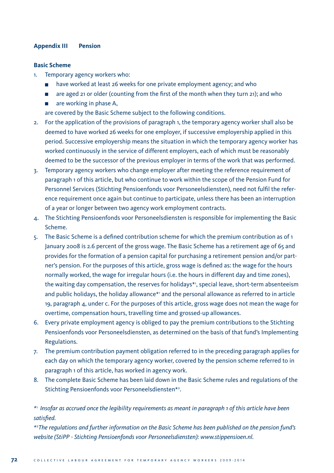#### **Appendix III Pension**

#### **Basic Scheme**

- 1. Temporary agency workers who:
	- have worked at least 26 weeks for one private employment agency; and who
	- $\Box$  are aged 21 or older (counting from the first of the month when they turn 21); and who
	- $\Box$  are working in phase A,

are covered by the Basic Scheme subject to the following conditions.

- 2. For the application of the provisions of paragraph 1, the temporary agency worker shall also be deemed to have worked 26 weeks for one employer, if successive employership applied in this period. Successive employership means the situation in which the temporary agency worker has worked continuously in the service of different employers, each of which must be reasonably deemed to be the successor of the previous employer in terms of the work that was performed.
- 3. Temporary agency workers who change employer after meeting the reference requirement of paragraph 1 of this article, but who continue to work within the scope of the Pension Fund for Personnel Services (Stichting Pensioenfonds voor Personeelsdiensten), need not fulfil the reference requirement once again but continue to participate, unless there has been an interruption of a year or longer between two agency work employment contracts.
- 4. The Stichting Pensioenfonds voor Personeelsdiensten is responsible for implementing the Basic Scheme.
- 5. The Basic Scheme is a defined contribution scheme for which the premium contribution as of  $1$ January 2008 is 2.6 percent of the gross wage. The Basic Scheme has a retirement age of 65 and provides for the formation of a pension capital for purchasing a retirement pension and/or partner's pension. For the purposes of this article, gross wage is defined as: the wage for the hours normally worked, the wage for irregular hours (i.e. the hours in different day and time zones), the waiting day compensation, the reserves for holidays\*1 , special leave, short-term absenteeism and public holidays, the holiday allowance\*1 and the personal allowance as referred to in article 19, paragraph 4, under c. For the purposes of this article, gross wage does not mean the wage for overtime, compensation hours, travelling time and grossed-up allowances.
- 6. Every private employment agency is obliged to pay the premium contributions to the Stichting Pensioenfonds voor Personeelsdiensten, as determined on the basis of that fund's Implementing Regulations.
- 7. The premium contribution payment obligation referred to in the preceding paragraph applies for each day on which the temporary agency worker, covered by the pension scheme referred to in paragraph 1 of this article, has worked in agency work.
- 8. The complete Basic Scheme has been laid down in the Basic Scheme rules and regulations of the Stichting Pensioenfonds voor Personeelsdiensten\*<sup>2</sup>.

*\**1 *Insofar as accrued once the legibility requirements as meant in paragraph 1 of this article have been satisfied.*

*\**2 *The regulations and further information on the Basic Scheme has been published on the pension fund's website (StiPP - Stichting Pensioenfonds voor Personeelsdiensten): www.stippensioen.nl.*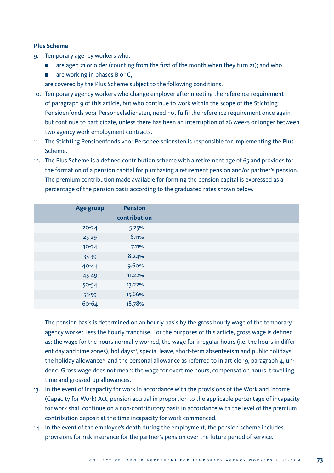#### **Plus Scheme**

- 9. Temporary agency workers who:
	- $\Box$  are aged 21 or older (counting from the first of the month when they turn 21); and who
	- $\blacksquare$  are working in phases B or C,

are covered by the Plus Scheme subject to the following conditions.

- 10. Temporary agency workers who change employer after meeting the reference requirement of paragraph 9 of this article, but who continue to work within the scope of the Stichting Pensioenfonds voor Personeelsdiensten, need not fulfil the reference requirement once again but continue to participate, unless there has been an interruption of 26 weeks or longer between two agency work employment contracts.
- 11. The Stichting Pensioenfonds voor Personeelsdiensten is responsible for implementing the Plus Scheme.
- 12. The Plus Scheme is a defined contribution scheme with a retirement age of 65 and provides for the formation of a pension capital for purchasing a retirement pension and/or partner's pension. The premium contribution made available for forming the pension capital is expressed as a percentage of the pension basis according to the graduated rates shown below.

| Age group | <b>Pension</b><br>contribution |
|-----------|--------------------------------|
| $20 - 24$ | 5.25%                          |
| $25 - 29$ | 6.11%                          |
| $30 - 34$ | 7.11%                          |
| $35 - 39$ | 8.24%                          |
| 40-44     | 9.60%                          |
| 45-49     | 11.22%                         |
| $50 - 54$ | 13.22%                         |
| $55 - 59$ | 15.66%                         |
| 60-64     | 18.78%                         |

 The pension basis is determined on an hourly basis by the gross hourly wage of the temporary agency worker, less the hourly franchise. For the purposes of this article, gross wage is defined as: the wage for the hours normally worked, the wage for irregular hours (i.e. the hours in different day and time zones), holidays\*1 , special leave, short-term absenteeism and public holidays, the holiday allowance\*1 and the personal allowance as referred to in article 19, paragraph 4, under c. Gross wage does not mean: the wage for overtime hours, compensation hours, travelling time and grossed-up allowances.

- 13. In the event of incapacity for work in accordance with the provisions of the Work and Income (Capacity for Work) Act, pension accrual in proportion to the applicable percentage of incapacity for work shall continue on a non-contributory basis in accordance with the level of the premium contribution deposit at the time incapacity for work commenced.
- 14. In the event of the employee's death during the employment, the pension scheme includes provisions for risk insurance for the partner's pension over the future period of service.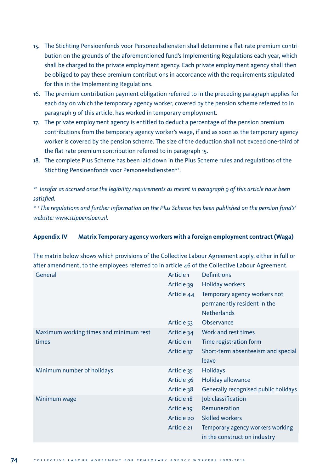- 15. The Stichting Pensioenfonds voor Personeelsdiensten shall determine a flat-rate premium contribution on the grounds of the aforementioned fund's Implementing Regulations each year, which shall be charged to the private employment agency. Each private employment agency shall then be obliged to pay these premium contributions in accordance with the requirements stipulated for this in the Implementing Regulations.
- 16. The premium contribution payment obligation referred to in the preceding paragraph applies for each day on which the temporary agency worker, covered by the pension scheme referred to in paragraph 9 of this article, has worked in temporary employment.
- 17. The private employment agency is entitled to deduct a percentage of the pension premium contributions from the temporary agency worker's wage, if and as soon as the temporary agency worker is covered by the pension scheme. The size of the deduction shall not exceed one-third of the flat-rate premium contribution referred to in paragraph 15.
- 18. The complete Plus Scheme has been laid down in the Plus Scheme rules and regulations of the Stichting Pensioenfonds voor Personeelsdiensten\*2 .

*\**1 *Insofar as accrued once the legibility requirements as meant in paragraph 9 of this article have been satisfied.*

*\** 2 *The regulations and further information on the Plus Scheme has been published on the pension fund's' website: www.stippensioen.nl.*

#### **Appendix IV Matrix Temporary agency workers with a foreign employment contract (Waga)**

The matrix below shows which provisions of the Collective Labour Agreement apply, either in full or after amendment, to the employees referred to in article 46 of the Collective Labour Agreement.

| General                                | Article <sub>1</sub> | <b>Definitions</b>                   |
|----------------------------------------|----------------------|--------------------------------------|
|                                        | Article 39           | <b>Holiday workers</b>               |
|                                        | Article 44           | Temporary agency workers not         |
|                                        |                      | permanently resident in the          |
|                                        |                      | <b>Netherlands</b>                   |
|                                        | Article 53           | Observance                           |
| Maximum working times and minimum rest | Article 34           | Work and rest times                  |
| times                                  | Article 11           | Time registration form               |
|                                        | Article 37           | Short-term absenteeism and special   |
|                                        |                      | leave                                |
| Minimum number of holidays             | Article 35           | <b>Holidays</b>                      |
|                                        | Article 36           | Holiday allowance                    |
|                                        | Article 38           | Generally recognised public holidays |
| Minimum wage                           | Article 18           | Job classification                   |
|                                        | Article 19           | Remuneration                         |
|                                        | Article 20           | <b>Skilled workers</b>               |
|                                        | Article 21           | Temporary agency workers working     |
|                                        |                      | in the construction industry         |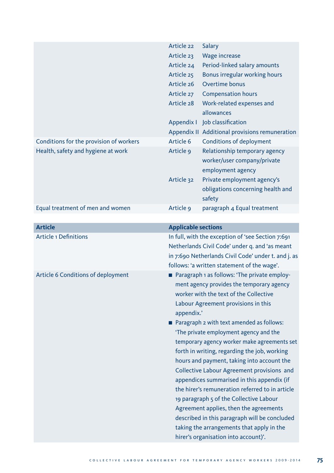|                                         | Article 22                                        | Salary                                                                            |
|-----------------------------------------|---------------------------------------------------|-----------------------------------------------------------------------------------|
|                                         | Article 23                                        | <b>Wage increase</b>                                                              |
|                                         | Article 24                                        | Period-linked salary amounts                                                      |
|                                         | Article 25                                        | Bonus irregular working hours                                                     |
|                                         | Article 26                                        | Overtime bonus                                                                    |
|                                         | Article 27                                        | <b>Compensation hours</b>                                                         |
|                                         | Article 28                                        | Work-related expenses and                                                         |
|                                         |                                                   | allowances                                                                        |
|                                         |                                                   | Appendix I Job classification                                                     |
|                                         |                                                   | Appendix II Additional provisions remuneration                                    |
| Conditions for the provision of workers | Article 6                                         | Conditions of deployment                                                          |
| Health, safety and hygiene at work      | Article 9                                         | Relationship temporary agency                                                     |
|                                         |                                                   | worker/user company/private                                                       |
|                                         |                                                   | employment agency                                                                 |
|                                         | Article 32                                        | Private employment agency's                                                       |
|                                         |                                                   | obligations concerning health and                                                 |
|                                         |                                                   | safety                                                                            |
| Equal treatment of men and women        | Article 9                                         | paragraph 4 Equal treatment                                                       |
|                                         |                                                   |                                                                                   |
| <b>Article</b>                          | <b>Applicable sections</b>                        |                                                                                   |
| <b>Article 1 Definitions</b>            | In full, with the exception of 'see Section 7:691 |                                                                                   |
|                                         |                                                   |                                                                                   |
|                                         |                                                   | Netherlands Civil Code' under q. and 'as meant                                    |
|                                         |                                                   | in 7:690 Netherlands Civil Code' under t. and j. as                               |
|                                         |                                                   | follows: 'a written statement of the wage'.                                       |
| Article 6 Conditions of deployment      |                                                   | Paragraph 1 as follows: 'The private employ-                                      |
|                                         |                                                   | ment agency provides the temporary agency                                         |
|                                         |                                                   | worker with the text of the Collective                                            |
|                                         |                                                   | Labour Agreement provisions in this                                               |
|                                         | appendix.'                                        |                                                                                   |
|                                         |                                                   | Paragraph 2 with text amended as follows:                                         |
|                                         |                                                   | 'The private employment agency and the                                            |
|                                         |                                                   | temporary agency worker make agreements set                                       |
|                                         |                                                   | forth in writing, regarding the job, working                                      |
|                                         |                                                   | hours and payment, taking into account the                                        |
|                                         |                                                   | Collective Labour Agreement provisions and                                        |
|                                         |                                                   | appendices summarised in this appendix (if                                        |
|                                         |                                                   | the hirer's remuneration referred to in article                                   |
|                                         |                                                   | 19 paragraph 5 of the Collective Labour                                           |
|                                         |                                                   | Agreement applies, then the agreements                                            |
|                                         |                                                   | described in this paragraph will be concluded                                     |
|                                         |                                                   | taking the arrangements that apply in the<br>hirer's organisation into account)'. |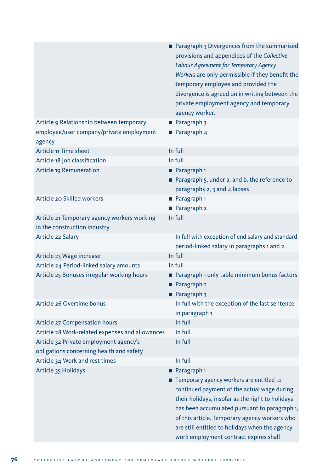|                                                                                  | Paragraph 3 Divergences from the summarised<br>provisions and appendices of the Collective<br>Labour Agreement for Temporary Agency                                                                                                                                                                                                       |
|----------------------------------------------------------------------------------|-------------------------------------------------------------------------------------------------------------------------------------------------------------------------------------------------------------------------------------------------------------------------------------------------------------------------------------------|
|                                                                                  | Workers are only permissible if they benefit the<br>temporary employee and provided the                                                                                                                                                                                                                                                   |
|                                                                                  | divergence is agreed on in writing between the                                                                                                                                                                                                                                                                                            |
|                                                                                  | private employment agency and temporary                                                                                                                                                                                                                                                                                                   |
|                                                                                  | agency worker.                                                                                                                                                                                                                                                                                                                            |
| Article 9 Relationship between temporary                                         | Paragraph 3                                                                                                                                                                                                                                                                                                                               |
| employee/user company/private employment<br>agency                               | <b>Paragraph 4</b>                                                                                                                                                                                                                                                                                                                        |
| Article 11 Time sheet                                                            | In full                                                                                                                                                                                                                                                                                                                                   |
| Article 18 Job classification                                                    | In full                                                                                                                                                                                                                                                                                                                                   |
| Article 19 Remuneration                                                          | Paragraph 1                                                                                                                                                                                                                                                                                                                               |
|                                                                                  | Paragraph 5, under a. and b. the reference to                                                                                                                                                                                                                                                                                             |
|                                                                                  | paragraphs 2, 3 and 4 lapses                                                                                                                                                                                                                                                                                                              |
| Article 20 Skilled workers                                                       | Paragraph <sub>1</sub>                                                                                                                                                                                                                                                                                                                    |
|                                                                                  | Paragraph 2                                                                                                                                                                                                                                                                                                                               |
| Article 21 Temporary agency workers working                                      | In full                                                                                                                                                                                                                                                                                                                                   |
| in the construction industry                                                     |                                                                                                                                                                                                                                                                                                                                           |
| Article 22 Salary                                                                | In full with exception of end salary and standard<br>period-linked salary in paragraphs 1 and 2                                                                                                                                                                                                                                           |
| Article 23 Wage increase                                                         | In full                                                                                                                                                                                                                                                                                                                                   |
| Article 24 Period-linked salary amounts                                          | In full                                                                                                                                                                                                                                                                                                                                   |
| Article 25 Bonuses irregular working hours                                       | Paragraph 1 only table minimum bonus factors<br>Paragraph 2<br>Paragraph 3                                                                                                                                                                                                                                                                |
| Article 26 Overtime bonus                                                        | In full with the exception of the last sentence                                                                                                                                                                                                                                                                                           |
|                                                                                  | in paragraph 1<br>In full                                                                                                                                                                                                                                                                                                                 |
| Article 27 Compensation hours<br>Article 28 Work-related expenses and allowances | In full                                                                                                                                                                                                                                                                                                                                   |
| Article 32 Private employment agency's                                           | In full                                                                                                                                                                                                                                                                                                                                   |
| obligations concerning health and safety                                         |                                                                                                                                                                                                                                                                                                                                           |
| Article 34 Work and rest times                                                   | In full                                                                                                                                                                                                                                                                                                                                   |
| Article 35 Holidays                                                              | Paragraph <sub>1</sub>                                                                                                                                                                                                                                                                                                                    |
|                                                                                  | Temporary agency workers are entitled to<br>continued payment of the actual wage during<br>their holidays, insofar as the right to holidays<br>has been accumulated pursuant to paragraph 1,<br>of this article. Temporary agency workers who<br>are still entitled to holidays when the agency<br>work employment contract expires shall |
|                                                                                  |                                                                                                                                                                                                                                                                                                                                           |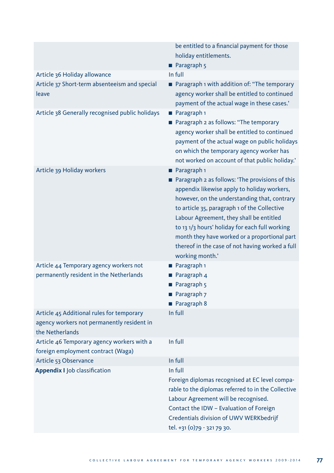|                                                                                                            | be entitled to a financial payment for those<br>holiday entitlements.<br><b>Paragraph</b> 5                                                                                                                                                                                                                                                                                                                                |
|------------------------------------------------------------------------------------------------------------|----------------------------------------------------------------------------------------------------------------------------------------------------------------------------------------------------------------------------------------------------------------------------------------------------------------------------------------------------------------------------------------------------------------------------|
| Article 36 Holiday allowance                                                                               | In full                                                                                                                                                                                                                                                                                                                                                                                                                    |
| Article 37 Short-term absenteeism and special<br>leave                                                     | ■ Paragraph 1 with addition of: "The temporary<br>agency worker shall be entitled to continued<br>payment of the actual wage in these cases.'                                                                                                                                                                                                                                                                              |
| Article 38 Generally recognised public holidays                                                            | Paragraph 1<br>■ Paragraph 2 as follows: "The temporary<br>agency worker shall be entitled to continued<br>payment of the actual wage on public holidays<br>on which the temporary agency worker has<br>not worked on account of that public holiday.'                                                                                                                                                                     |
| Article 39 Holiday workers                                                                                 | Paragraph <sub>1</sub><br>Paragraph 2 as follows: 'The provisions of this<br>appendix likewise apply to holiday workers,<br>however, on the understanding that, contrary<br>to article 35, paragraph 1 of the Collective<br>Labour Agreement, they shall be entitled<br>to 13 1/3 hours' holiday for each full working<br>month they have worked or a proportional part<br>thereof in the case of not having worked a full |
|                                                                                                            | working month.'                                                                                                                                                                                                                                                                                                                                                                                                            |
| Article 44 Temporary agency workers not<br>permanently resident in the Netherlands                         | Paragraph 1<br>Paragraph 4<br>Paragraph 5<br>Paragraph 7<br>Paragraph 8                                                                                                                                                                                                                                                                                                                                                    |
| Article 45 Additional rules for temporary<br>agency workers not permanently resident in<br>the Netherlands | In full                                                                                                                                                                                                                                                                                                                                                                                                                    |
| Article 46 Temporary agency workers with a<br>foreign employment contract (Waga)                           | In full                                                                                                                                                                                                                                                                                                                                                                                                                    |
| Article 53 Observance                                                                                      | In full                                                                                                                                                                                                                                                                                                                                                                                                                    |
| <b>Appendix I Job classification</b>                                                                       | In full<br>Foreign diplomas recognised at EC level compa-<br>rable to the diplomas referred to in the Collective<br>Labour Agreement will be recognised.<br>Contact the IDW - Evaluation of Foreign<br>Credentials division of UWV WERKbedrijf<br>tel. +31 (0)79 - 321 79 30.                                                                                                                                              |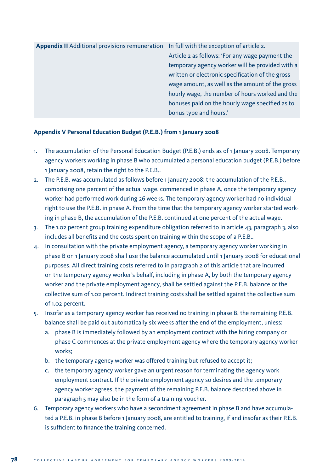**Appendix II** Additional provisions remuneration In full with the exception of article 2. Article 2 as follows: 'For any wage payment the temporary agency worker will be provided with a written or electronic specification of the gross wage amount, as well as the amount of the gross hourly wage, the number of hours worked and the bonuses paid on the hourly wage specified as to bonus type and hours.'

#### **Appendix V Personal Education Budget (P.E.B.) from 1 January 2008**

- 1. The accumulation of the Personal Education Budget (P.E.B.) ends as of 1 January 2008. Temporary agency workers working in phase B who accumulated a personal education budget (P.E.B.) before 1 January 2008, retain the right to the P.E.B..
- 2. The P.E.B. was accumulated as follows before 1 January 2008: the accumulation of the P.E.B., comprising one percent of the actual wage, commenced in phase A, once the temporary agency worker had performed work during 26 weeks. The temporary agency worker had no individual right to use the P.E.B. in phase A. From the time that the temporary agency worker started working in phase B, the accumulation of the P.E.B. continued at one percent of the actual wage.
- 3. The 1.02 percent group training expenditure obligation referred to in article 43, paragraph 3, also includes all benefits and the costs spent on training within the scope of a P.E.B..
- 4. In consultation with the private employment agency, a temporary agency worker working in phase B on 1 January 2008 shall use the balance accumulated until 1 January 2008 for educational purposes. All direct training costs referred to in paragraph 2 of this article that are incurred on the temporary agency worker's behalf, including in phase A, by both the temporary agency worker and the private employment agency, shall be settled against the P.E.B. balance or the collective sum of 1.02 percent. Indirect training costs shall be settled against the collective sum of 1.02 percent.
- 5. Insofar as a temporary agency worker has received no training in phase B, the remaining P.E.B. balance shall be paid out automatically six weeks after the end of the employment, unless:
	- a. phase B is immediately followed by an employment contract with the hiring company or phase C commences at the private employment agency where the temporary agency worker works;
	- b. the temporary agency worker was offered training but refused to accept it;
	- c. the temporary agency worker gave an urgent reason for terminating the agency work employment contract. If the private employment agency so desires and the temporary agency worker agrees, the payment of the remaining P.E.B. balance described above in paragraph 5 may also be in the form of a training voucher.
- 6. Temporary agency workers who have a secondment agreement in phase B and have accumulated a P.E.B. in phase B before 1 January 2008, are entitled to training, if and insofar as their P.E.B. is sufficient to finance the training concerned.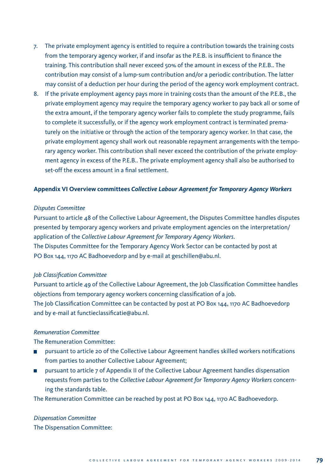- 7. The private employment agency is entitled to require a contribution towards the training costs from the temporary agency worker, if and insofar as the P.E.B. is insufficient to finance the training. This contribution shall never exceed 50% of the amount in excess of the P.E.B.. The contribution may consist of a lump-sum contribution and/or a periodic contribution. The latter may consist of a deduction per hour during the period of the agency work employment contract.
- 8. If the private employment agency pays more in training costs than the amount of the P.E.B., the private employment agency may require the temporary agency worker to pay back all or some of the extra amount, if the temporary agency worker fails to complete the study programme, fails to complete it successfully, or if the agency work employment contract is terminated prematurely on the initiative or through the action of the temporary agency worker. In that case, the private employment agency shall work out reasonable repayment arrangements with the temporary agency worker. This contribution shall never exceed the contribution of the private employment agency in excess of the P.E.B.. The private employment agency shall also be authorised to set-off the excess amount in a final settlement.

#### **Appendix VI Overview committees** *Collective Labour Agreement for Temporary Agency Workers*

#### *Disputes Committee*

Pursuant to article 48 of the Collective Labour Agreement, the Disputes Committee handles disputes presented by temporary agency workers and private employment agencies on the interpretation/ application of the *Collective Labour Agreement for Temporary Agency Workers*. The Disputes Committee for the Temporary Agency Work Sector can be contacted by post at PO Box 144, 1170 AC Badhoevedorp and by e-mail at geschillen@abu.nl.

#### *Job Classification Committee*

Pursuant to article 49 of the Collective Labour Agreement, the Job Classification Committee handles objections from temporary agency workers concerning classification of a job. The Job Classification Committee can be contacted by post at PO Box 144, 1170 AC Badhoevedorp and by e-mail at functieclassificatie@abu.nl.

#### *Remuneration Committee*

The Remuneration Committee:

- pursuant to article 20 of the Collective Labour Agreement handles skilled workers notifications from parties to another Collective Labour Agreement;
- pursuant to article 7 of Appendix II of the Collective Labour Agreement handles dispensation requests from parties to the *Collective Labour Agreement for Temporary Agency Workers* concerning the standards table.

The Remuneration Committee can be reached by post at PO Box 144, 1170 AC Badhoevedorp.

### *Dispensation Committee* The Dispensation Committee: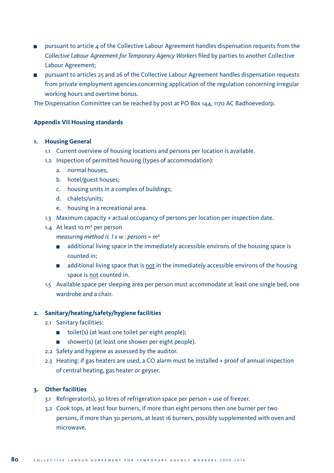- $\blacksquare$  pursuant to article 4 of the Collective Labour Agreement handles dispensation requests from the *Collective Labour Agreement for Temporary Agency Workers* filed by parties to another Collective Labour Agreement;
- **u** pursuant to articles 25 and 26 of the Collective Labour Agreement handles dispensation requests from private employment agencies concerning application of the regulation concerning irregular working hours and overtime bonus.

The Dispensation Committee can be reached by post at PO Box 144, 1170 AC Badhoevedorp.

#### **Appendix VII Housing standards**

#### **1. Housing General**

- 1.1 Current overview of housing locations and persons per location is available.
- 1.2 Inspection of permitted housing (types of accommodation):
	- a. normal houses;
	- b. hotel/guest houses;
	- c. housing units in a complex of buildings;
	- d. chalets/units;
	- e. housing in a recreational area.
- 1.3 Maximum capacity + actual occupancy of persons per location per inspection date.
- 1.4 At least 10 m² per person

*measuring method is l x w : persons = m²*

- additional living space in the immediately accessible environs of the housing space is counted in;
- additional living space that is not in the immediately accessible environs of the housing space is not counted in.
- 1.5 Available space per sleeping area per person must accommodate at least one single bed, one wardrobe and a chair.

#### **2. Sanitary/heating/safety/hygiene facilities**

- 2.1 Sanitary facilities:
	- $\Box$  toilet(s) (at least one toilet per eight people);
	- shower(s) (at least one shower per eight people).
- 2.2 Safety and hygiene as assessed by the auditor.
- 2.3 Heating: if gas heaters are used, a CO alarm must be installed + proof of annual inspection of central heating, gas heater or geyser.

#### **3. Other facilities**

- 3.1 Refrigerator(s), 30 litres of refrigeration space per person + use of freezer.
- 3.2 Cook tops, at least four burners, if more than eight persons then one burner per two persons, if more than 30 persons, at least 16 burners, possibly supplemented with oven and microwave.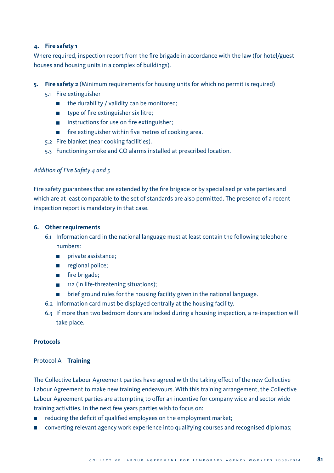#### **4. Fire safety 1**

Where required, inspection report from the fire brigade in accordance with the law (for hotel/guest houses and housing units in a complex of buildings).

#### **5. Fire safety 2** (Minimum requirements for housing units for which no permit is required)

- 5.1 Fire extinguisher
	- $\blacksquare$  the durability / validity can be monitored;
	- type of fire extinguisher six litre;
	- **instructions for use on fire extinguisher;**
	- $\blacksquare$  fire extinguisher within five metres of cooking area.
- 5.2 Fire blanket (near cooking facilities).
- 5.3 Functioning smoke and CO alarms installed at prescribed location.

#### *Addition of Fire Safety 4 and 5*

Fire safety guarantees that are extended by the fire brigade or by specialised private parties and which are at least comparable to the set of standards are also permitted. The presence of a recent inspection report is mandatory in that case.

#### **6. Other requirements**

- 6.1 Information card in the national language must at least contain the following telephone numbers:
	- private assistance;
	- egional police;
	- **film** fire brigade;
	- 112 (in life-threatening situations);
	- **Fig. 1** brief ground rules for the housing facility given in the national language.
- 6.2 Information card must be displayed centrally at the housing facility.
- 6.3 If more than two bedroom doors are locked during a housing inspection, a re-inspection will take place.

#### **Protocols**

#### Protocol A **Training**

The Collective Labour Agreement parties have agreed with the taking effect of the new Collective Labour Agreement to make new training endeavours. With this training arrangement, the Collective Labour Agreement parties are attempting to offer an incentive for company wide and sector wide training activities. In the next few years parties wish to focus on:

- reducing the deficit of qualified employees on the employment market;
- converting relevant agency work experience into qualifying courses and recognised diplomas;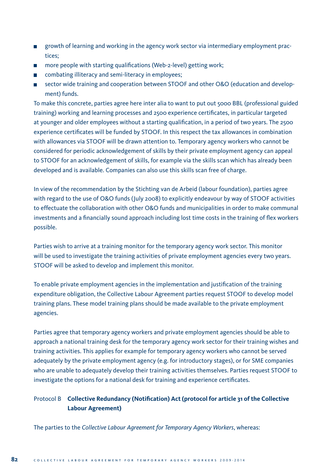- growth of learning and working in the agency work sector via intermediary employment practices;
- $\blacksquare$  more people with starting qualifications (Web-2-level) getting work;
- combating illiteracy and semi-literacy in employees;
- sector wide training and cooperation between STOOF and other O&O (education and develop- $\blacksquare$ ment) funds.

To make this concrete, parties agree here inter alia to want to put out 5000 BBL (professional guided training) working and learning processes and 2500 experience certificates, in particular targeted at younger and older employees without a starting qualification, in a period of two years. The 2500 experience certificates will be funded by STOOF. In this respect the tax allowances in combination with allowances via STOOF will be drawn attention to. Temporary agency workers who cannot be considered for periodic acknowledgement of skills by their private employment agency can appeal to STOOF for an acknowledgement of skills, for example via the skills scan which has already been developed and is available. Companies can also use this skills scan free of charge.

In view of the recommendation by the Stichting van de Arbeid (labour foundation), parties agree with regard to the use of O&O funds (July 2008) to explicitly endeavour by way of STOOF activities to effectuate the collaboration with other O&O funds and municipalities in order to make communal investments and a financially sound approach including lost time costs in the training of flex workers possible.

Parties wish to arrive at a training monitor for the temporary agency work sector. This monitor will be used to investigate the training activities of private employment agencies every two years. STOOF will be asked to develop and implement this monitor.

To enable private employment agencies in the implementation and justification of the training expenditure obligation, the Collective Labour Agreement parties request STOOF to develop model training plans. These model training plans should be made available to the private employment agencies.

Parties agree that temporary agency workers and private employment agencies should be able to approach a national training desk for the temporary agency work sector for their training wishes and training activities. This applies for example for temporary agency workers who cannot be served adequately by the private employment agency (e.g. for introductory stages), or for SME companies who are unable to adequately develop their training activities themselves. Parties request STOOF to investigate the options for a national desk for training and experience certificates.

# Protocol B **Collective Redundancy (Notification) Act (protocol for article 31 of the Collective Labour Agreement)**

The parties to the *Collective Labour Agreement for Temporary Agency Workers*, whereas: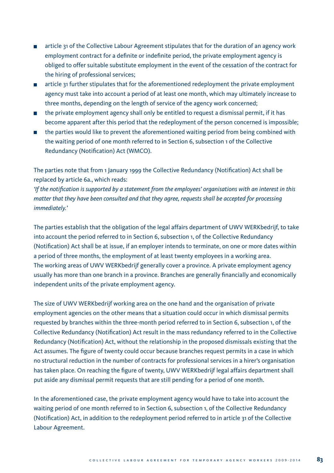- article 31 of the Collective Labour Agreement stipulates that for the duration of an agency work employment contract for a definite or indefinite period, the private employment agency is obliged to offer suitable substitute employment in the event of the cessation of the contract for the hiring of professional services;
- **a** article 31 further stipulates that for the aforementioned redeployment the private employment agency must take into account a period of at least one month, which may ultimately increase to three months, depending on the length of service of the agency work concerned;
- $\Box$  the private employment agency shall only be entitled to request a dismissal permit, if it has become apparent after this period that the redeployment of the person concerned is impossible;
- the parties would like to prevent the aforementioned waiting period from being combined with the waiting period of one month referred to in Section 6, subsection 1 of the Collective Redundancy (Notification) Act (WMCO).

The parties note that from 1 January 1999 the Collective Redundancy (Notification) Act shall be replaced by article 6a., which reads:

*'If the notification is supported by a statement from the employees' organisations with an interest in this matter that they have been consulted and that they agree, requests shall be accepted for processing immediately.'*

The parties establish that the obligation of the legal affairs department of UWV WERKbedrijf, to take into account the period referred to in Section 6, subsection 1, of the Collective Redundancy (Notification) Act shall be at issue, if an employer intends to terminate, on one or more dates within a period of three months, the employment of at least twenty employees in a working area. The working areas of UWV WERKbedrijf generally cover a province. A private employment agency usually has more than one branch in a province. Branches are generally financially and economically independent units of the private employment agency.

The size of UWV WERKbedrijf working area on the one hand and the organisation of private employment agencies on the other means that a situation could occur in which dismissal permits requested by branches within the three-month period referred to in Section 6, subsection 1, of the Collective Redundancy (Notification) Act result in the mass redundancy referred to in the Collective Redundancy (Notification) Act, without the relationship in the proposed dismissals existing that the Act assumes. The figure of twenty could occur because branches request permits in a case in which no structural reduction in the number of contracts for professional services in a hirer's organisation has taken place. On reaching the figure of twenty, UWV WERKbedrijf legal affairs department shall put aside any dismissal permit requests that are still pending for a period of one month.

In the aforementioned case, the private employment agency would have to take into account the waiting period of one month referred to in Section 6, subsection 1, of the Collective Redundancy (Notification) Act, in addition to the redeployment period referred to in article 31 of the Collective Labour Agreement.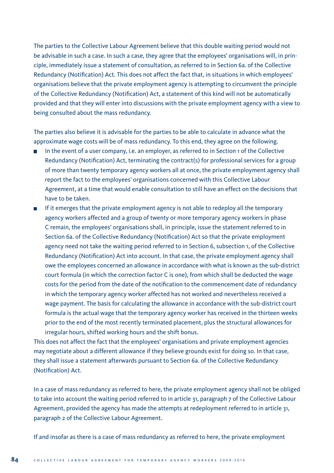The parties to the Collective Labour Agreement believe that this double waiting period would not be advisable in such a case. In such a case, they agree that the employees' organisations will, in principle, immediately issue a statement of consultation, as referred to in Section 6a. of the Collective Redundancy (Notification) Act. This does not affect the fact that, in situations in which employees' organisations believe that the private employment agency is attempting to circumvent the principle of the Collective Redundancy (Notification) Act, a statement of this kind will not be automatically provided and that they will enter into discussions with the private employment agency with a view to being consulted about the mass redundancy.

The parties also believe it is advisable for the parties to be able to calculate in advance what the approximate wage costs will be of mass redundancy. To this end, they agree on the following.

- In the event of a user company, i.e. an employer, as referred to in Section 1 of the Collective Redundancy (Notification) Act, terminating the contract(s) for professional services for a group of more than twenty temporary agency workers all at once, the private employment agency shall report the fact to the employees' organisations concerned with this Collective Labour Agreement, at a time that would enable consultation to still have an effect on the decisions that have to be taken.
- If it emerges that the private employment agency is not able to redeploy all the temporary agency workers affected and a group of twenty or more temporary agency workers in phase C remain, the employees' organisations shall, in principle, issue the statement referred to in Section 6a. of the Collective Redundancy (Notification) Act so that the private employment agency need not take the waiting period referred to in Section 6, subsection 1, of the Collective Redundancy (Notification) Act into account. In that case, the private employment agency shall owe the employees concerned an allowance in accordance with what is known as the sub-district court formula (in which the correction factor C is one), from which shall be deducted the wage costs for the period from the date of the notification to the commencement date of redundancy in which the temporary agency worker affected has not worked and nevertheless received a wage payment. The basis for calculating the allowance in accordance with the sub-district court formula is the actual wage that the temporary agency worker has received in the thirteen weeks prior to the end of the most recently terminated placement, plus the structural allowances for irregular hours, shifted working hours and the shift bonus.

This does not affect the fact that the employees' organisations and private employment agencies may negotiate about a different allowance if they believe grounds exist for doing so. In that case, they shall issue a statement afterwards pursuant to Section 6a. of the Collective Redundancy (Notification) Act.

In a case of mass redundancy as referred to here, the private employment agency shall not be obliged to take into account the waiting period referred to in article 31, paragraph 7 of the Collective Labour Agreement, provided the agency has made the attempts at redeployment referred to in article 31, paragraph 2 of the Collective Labour Agreement.

If and insofar as there is a case of mass redundancy as referred to here, the private employment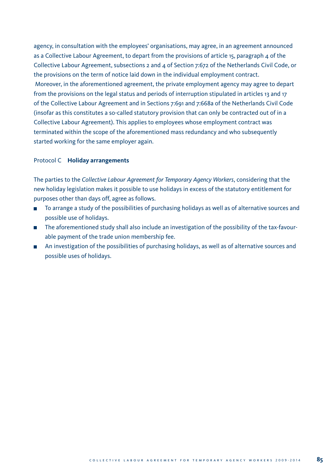agency, in consultation with the employees' organisations, may agree, in an agreement announced as a Collective Labour Agreement, to depart from the provisions of article 15, paragraph  $\mu$  of the Collective Labour Agreement, subsections 2 and 4 of Section 7:672 of the Netherlands Civil Code, or the provisions on the term of notice laid down in the individual employment contract. Moreover, in the aforementioned agreement, the private employment agency may agree to depart from the provisions on the legal status and periods of interruption stipulated in articles 13 and 17 of the Collective Labour Agreement and in Sections 7:691 and 7:668a of the Netherlands Civil Code (insofar as this constitutes a so-called statutory provision that can only be contracted out of in a Collective Labour Agreement). This applies to employees whose employment contract was terminated within the scope of the aforementioned mass redundancy and who subsequently started working for the same employer again.

#### Protocol C **Holiday arrangements**

The parties to the *Collective Labour Agreement for Temporary Agency Workers*, considering that the new holiday legislation makes it possible to use holidays in excess of the statutory entitlement for purposes other than days off, agree as follows.

- To arrange a study of the possibilities of purchasing holidays as well as of alternative sources and  $\Box$ possible use of holidays.
- The aforementioned study shall also include an investigation of the possibility of the tax-favourable payment of the trade union membership fee.
- An investigation of the possibilities of purchasing holidays, as well as of alternative sources and possible uses of holidays.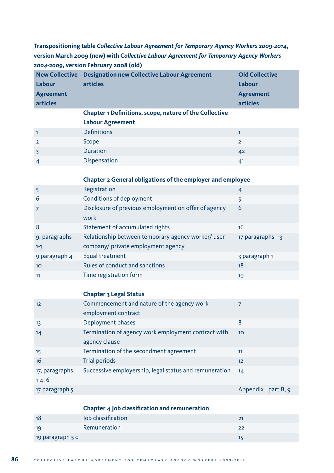**Transpositioning table** *Collective Labour Agreement for Temporary Agency Workers 2009-2014***, version March 2009 (new) with C***ollective Labour Agreement for Temporary Agency Workers 2004-2009***, version February 2008 (old)**

| <b>New Collective</b> | <b>Designation new Collective Labour Agreement</b>            | <b>Old Collective</b> |
|-----------------------|---------------------------------------------------------------|-----------------------|
| Labour                | articles                                                      | Labour                |
| <b>Agreement</b>      |                                                               | <b>Agreement</b>      |
| articles              |                                                               | articles              |
|                       | <b>Chapter 1 Definitions, scope, nature of the Collective</b> |                       |
|                       | <b>Labour Agreement</b>                                       |                       |
| $\overline{1}$        | <b>Definitions</b>                                            |                       |
| $\overline{2}$        | Scope                                                         | $\overline{2}$        |
| 3                     | <b>Duration</b>                                               | 42                    |
| $\overline{4}$        | <b>Dispensation</b>                                           | 41                    |

#### **Chapter 2 General obligations of the employer and employee**

|                 | Registration                                         | $\overline{4}$    |
|-----------------|------------------------------------------------------|-------------------|
| -6              | Conditions of deployment                             | 5                 |
| 7               | Disclosure of previous employment on offer of agency | 6                 |
|                 | work                                                 |                   |
| 8               | Statement of accumulated rights                      | 16                |
| 9, paragraphs   | Relationship between temporary agency worker/ user   | 17 paragraphs 1-3 |
| $1 - 3$         | company/ private employment agency                   |                   |
| 9 paragraph 4   | Equal treatment                                      | 3 paragraph 1     |
| 10 <sup>1</sup> | <b>Rules of conduct and sanctions</b>                | 18                |
| 11              | Time registration form                               | 19                |

## **Chapter 3 Legal Status**

| 12                         | Commencement and nature of the agency work                           |                      |
|----------------------------|----------------------------------------------------------------------|----------------------|
|                            | employment contract                                                  |                      |
| 13                         | Deployment phases                                                    | 8                    |
| 14                         | Termination of agency work employment contract with<br>agency clause | 10 <sup>10</sup>     |
| 15                         | Termination of the secondment agreement                              | 11                   |
| 16                         | Trial periods                                                        | 12                   |
| 17, paragraphs<br>$1-4, 6$ | Successive employership, legal status and remuneration               | 14                   |
| 17 paragraph 5             |                                                                      | Appendix I part B, 9 |

|                  | Chapter 4 Job classification and remuneration |    |
|------------------|-----------------------------------------------|----|
| 18               | Job classification                            | 21 |
| 19               | Remuneration                                  | 22 |
| 19 paragraph 5 c |                                               | 15 |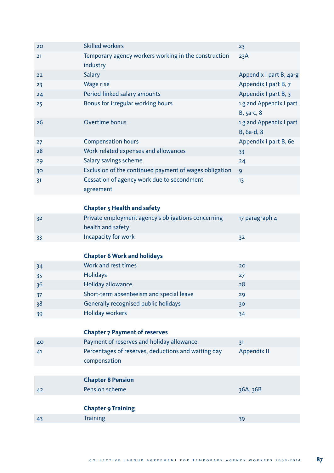| 20              | <b>Skilled workers</b>                                 | 23                      |
|-----------------|--------------------------------------------------------|-------------------------|
| 21              | Temporary agency workers working in the construction   | 23A                     |
|                 | industry                                               |                         |
| 22              | Salary                                                 | Appendix I part B, 4a-g |
| 23              | <b>Wage rise</b>                                       | Appendix I part B, 7    |
| 24              | Period-linked salary amounts                           | Appendix I part B, 3    |
| 25              | Bonus for irregular working hours                      | 1 g and Appendix I part |
|                 |                                                        | $B, 5a-c, 8$            |
| 26              | Overtime bonus                                         | 1 g and Appendix I part |
|                 |                                                        | $B, 6a-d, 8$            |
| 27              | <b>Compensation hours</b>                              | Appendix I part B, 6e   |
| 28              | Work-related expenses and allowances                   | 33                      |
| 29              | Salary savings scheme                                  | 24                      |
| 30 <sup>°</sup> | Exclusion of the continued payment of wages obligation | 9                       |
| 31              | Cessation of agency work due to secondment             | 13                      |
|                 | agreement                                              |                         |
|                 |                                                        |                         |

## **Chapter 5 Health and safety**

| 32  | Private employment agency's obligations concerning | 17 paragraph 4 |
|-----|----------------------------------------------------|----------------|
|     | health and safety                                  |                |
| -33 | Incapacity for work                                | 32             |

# **Chapter 6 Work and holidays**

| 34 | Work and rest times                      | 20 |
|----|------------------------------------------|----|
| 35 | <b>Holidays</b>                          | 27 |
| 36 | Holiday allowance                        | 28 |
| 37 | Short-term absenteeism and special leave | 29 |
| 38 | Generally recognised public holidays     | 30 |
| 39 | <b>Holiday workers</b>                   | 34 |

# **Chapter 7 Payment of reserves**

| 40  | Payment of reserves and holiday allowance           |             |
|-----|-----------------------------------------------------|-------------|
| -41 | Percentages of reserves, deductions and waiting day | Appendix II |
|     | compensation                                        |             |

# **Chapter 8 Pension**

42 Pension scheme 36A, 36B

# **Chapter 9 Training**

| . .<br>43 | .<br>. |    |
|-----------|--------|----|
| . .       |        | -- |
|           |        |    |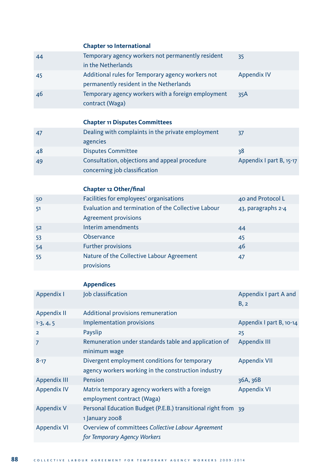# **Chapter 10 International**

| 44  | Temporary agency workers not permanently resident  | 35                 |
|-----|----------------------------------------------------|--------------------|
|     | in the Netherlands                                 |                    |
| -45 | Additional rules for Temporary agency workers not  | <b>Appendix IV</b> |
|     | permanently resident in the Netherlands            |                    |
| -46 | Temporary agency workers with a foreign employment | 35A                |
|     | contract (Waga)                                    |                    |

# **Chapter 11 Disputes Committees**

| 47  | Dealing with complaints in the private employment | 37                       |
|-----|---------------------------------------------------|--------------------------|
|     | agencies                                          |                          |
| 48  | <b>Disputes Committee</b>                         | 38                       |
| -49 | Consultation, objections and appeal procedure     | Appendix I part B, 15-17 |
|     | concerning job classification                     |                          |

# **Chapter 12 Other/final**

| 50 | Facilities for employees' organisations                 | 40 and Protocol L  |
|----|---------------------------------------------------------|--------------------|
| 51 | Evaluation and termination of the Collective Labour     | 43, paragraphs 2-4 |
|    | <b>Agreement provisions</b>                             |                    |
| 52 | Interim amendments                                      | 44                 |
| 53 | Observance                                              | 45                 |
| 54 | <b>Further provisions</b>                               | 46                 |
| 55 | Nature of the Collective Labour Agreement<br>provisions | 47                 |

# **Appendices**

| Appendix I          | Job classification                                            | Appendix I part A and    |
|---------------------|---------------------------------------------------------------|--------------------------|
|                     |                                                               | B, 2                     |
| Appendix II         | Additional provisions remuneration                            |                          |
| $1-3, 4, 5$         | <b>Implementation provisions</b>                              | Appendix I part B, 10-14 |
| $\overline{2}$      | Payslip                                                       | 25                       |
| $\overline{7}$      | Remuneration under standards table and application of         | Appendix III             |
|                     | minimum wage                                                  |                          |
| $8 - 17$            | Divergent employment conditions for temporary                 | <b>Appendix VII</b>      |
|                     | agency workers working in the construction industry           |                          |
| <b>Appendix III</b> | Pension                                                       | 36A, 36B                 |
| <b>Appendix IV</b>  | Matrix temporary agency workers with a foreign                | <b>Appendix VI</b>       |
|                     | employment contract (Waga)                                    |                          |
| <b>Appendix V</b>   | Personal Education Budget (P.E.B.) transitional right from 39 |                          |
|                     | 1 January 2008                                                |                          |
| <b>Appendix VI</b>  | Overview of committees Collective Labour Agreement            |                          |
|                     | for Temporary Agency Workers                                  |                          |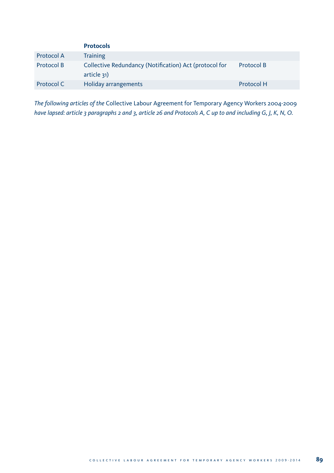|            | <b>Protocols</b>                                       |            |
|------------|--------------------------------------------------------|------------|
| Protocol A | <b>Training</b>                                        |            |
| Protocol B | Collective Redundancy (Notification) Act (protocol for | Protocol B |
|            | article 31)                                            |            |
| Protocol C | <b>Holiday arrangements</b>                            | Protocol H |

*The following articles of the* Collective Labour Agreement for Temporary Agency Workers 2004-2009 *have lapsed: article 3 paragraphs 2 and 3, article 26 and Protocols A, C up to and including G, J, K, N, O.*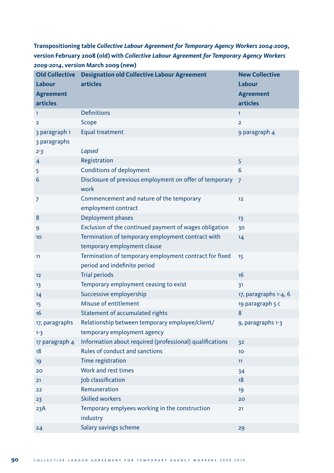**Transpositioning table** *Collective Labour Agreement for Temporary Agency Workers 2004-2009***, version February 2008 (old) with** *Collective Labour Agreement for Temporary Agency Workers 2009-2014***, version March 2009 (new)**

| <b>Old Collective</b> | <b>Designation old Collective Labour Agreement</b>                                     | <b>New Collective</b> |
|-----------------------|----------------------------------------------------------------------------------------|-----------------------|
| Labour                | articles                                                                               | Labour                |
| <b>Agreement</b>      |                                                                                        | <b>Agreement</b>      |
| articles              |                                                                                        | articles              |
| 1                     | <b>Definitions</b>                                                                     | 1                     |
| $\overline{2}$        | Scope                                                                                  | $\overline{2}$        |
| 3 paragraph 1         | Equal treatment                                                                        | 9 paragraph 4         |
| 3 paragraphs          |                                                                                        |                       |
| $2 - 3$               | Lapsed                                                                                 |                       |
| 4                     | Registration                                                                           | 5                     |
| 5                     | <b>Conditions of deployment</b>                                                        | 6                     |
| 6                     | Disclosure of previous employment on offer of temporary<br>work                        | $\overline{7}$        |
| 7                     | Commencement and nature of the temporary<br>employment contract                        | 12                    |
| 8                     | Deployment phases                                                                      | 13                    |
| 9                     | Exclusion of the continued payment of wages obligation                                 | 30                    |
| 10 <sub>o</sub>       | Termination of temporary employment contract with<br>temporary employment clause       | 14                    |
| 11                    | Termination of temporary employment contract for fixed<br>period and indefinite period | 15                    |
| 12                    | <b>Trial periods</b>                                                                   | 16                    |
| 13                    | Temporary employment ceasing to exist                                                  | 31                    |
| 14                    | Successive employership                                                                | 17, paragraphs 1-4, 6 |
| 15                    | Misuse of entitlement                                                                  | 19 paragraph 5 c      |
| 16                    | Statement of accumulated rights                                                        | 8                     |
| 17, paragraphs        | Relationship between temporary employee/client/                                        | 9, paragraphs 1-3     |
| $1 - 3$               | temporary employment agency                                                            |                       |
| 17 paragraph 4        | Information about required (professional) qualifications                               | 32                    |
| 18                    | Rules of conduct and sanctions                                                         | 10 <sub>o</sub>       |
| 19                    | Time registration                                                                      | 11                    |
| 20                    | Work and rest times                                                                    | 34                    |
| 21                    | Job classification                                                                     | 18                    |
| 22                    | Remuneration                                                                           | 19                    |
| 23                    | <b>Skilled workers</b>                                                                 | 20                    |
| 23A                   | Temporary emplyees working in the construction<br>industry                             | 21                    |
| 24                    | Salary savings scheme                                                                  | 29                    |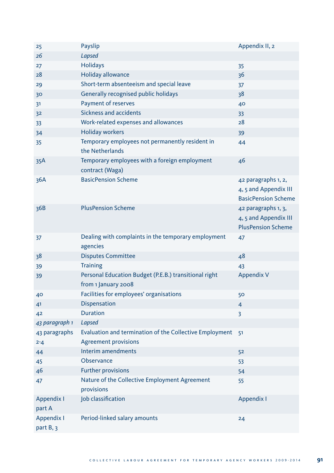| 25                       | Payslip                                                                                | Appendix II, 2                                                             |
|--------------------------|----------------------------------------------------------------------------------------|----------------------------------------------------------------------------|
| 26                       | Lapsed                                                                                 |                                                                            |
| 27                       | <b>Holidays</b>                                                                        | 35                                                                         |
| 28                       | Holiday allowance                                                                      | 36                                                                         |
| 29                       | Short-term absenteeism and special leave                                               | 37                                                                         |
| 30                       | Generally recognised public holidays                                                   | 38                                                                         |
| 31                       | Payment of reserves                                                                    | 40                                                                         |
| 32                       | <b>Sickness and accidents</b>                                                          | 33                                                                         |
| 33                       | Work-related expenses and allowances                                                   | 28                                                                         |
| 34                       | <b>Holiday workers</b>                                                                 | 39                                                                         |
| 35                       | Temporary employees not permanently resident in<br>the Netherlands                     | 44                                                                         |
| 35A                      | Temporary employees with a foreign employment<br>contract (Waga)                       | 46                                                                         |
| 36A                      | <b>BasicPension Scheme</b>                                                             | 42 paragraphs 1, 2,<br>4, 5 and Appendix III<br><b>BasicPension Scheme</b> |
| 36B                      | <b>PlusPension Scheme</b>                                                              | 42 paragraphs 1, 3,<br>4, 5 and Appendix III<br><b>PlusPension Scheme</b>  |
| 37                       | Dealing with complaints in the temporary employment<br>agencies                        | 47                                                                         |
| 38                       | <b>Disputes Committee</b>                                                              | 48                                                                         |
| 39                       | <b>Training</b>                                                                        | 43                                                                         |
| 39                       | Personal Education Budget (P.E.B.) transitional right<br>from 1 January 2008           | Appendix V                                                                 |
| 40                       | Facilities for employees' organisations                                                | 50                                                                         |
| 41                       | <b>Dispensation</b>                                                                    | $\overline{4}$                                                             |
| 42                       | <b>Duration</b>                                                                        | 3                                                                          |
| 43 paragraph 1           | Lapsed                                                                                 |                                                                            |
| 43 paragraphs<br>$2 - 4$ | Evaluation and termination of the Collective Employment<br><b>Agreement provisions</b> | 51                                                                         |
| 44                       | Interim amendments                                                                     | 52                                                                         |
| 45                       | Observance                                                                             | 53                                                                         |
| 46                       | <b>Further provisions</b>                                                              | 54                                                                         |
| 47                       | Nature of the Collective Employment Agreement<br>provisions                            | 55                                                                         |
| Appendix I<br>part A     | Job classification                                                                     | Appendix I                                                                 |
| Appendix I<br>part B, 3  | Period-linked salary amounts                                                           | 24                                                                         |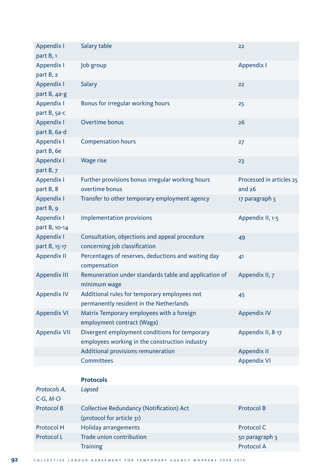| Appendix I          | Salary table                                                        | 22                       |
|---------------------|---------------------------------------------------------------------|--------------------------|
| part B, 1           |                                                                     |                          |
| Appendix I          | Job group                                                           | Appendix I               |
| part B, 2           |                                                                     |                          |
| Appendix I          | <b>Salary</b>                                                       | 22                       |
| part B, 4a-g        |                                                                     |                          |
| Appendix I          | Bonus for irregular working hours                                   | 25                       |
| part B, 5a-c        |                                                                     |                          |
| Appendix I          | Overtime bonus                                                      | 26                       |
| part B, 6a-d        |                                                                     |                          |
| Appendix I          | <b>Compensation hours</b>                                           | 27                       |
| part B, 6e          |                                                                     |                          |
| Appendix I          | <b>Wage rise</b>                                                    | 23                       |
| part B, 7           |                                                                     |                          |
| Appendix I          | Further provisions bonus irregular working hours                    | Processed in articles 25 |
| part B, 8           | overtime bonus                                                      | and $26$                 |
| Appendix I          | Transfer to other temporary employment agency                       | 17 paragraph 5           |
| part B, 9           |                                                                     |                          |
| Appendix I          | Implementation provisions                                           | Appendix II, 1-5         |
| part B, 10-14       |                                                                     |                          |
| Appendix I          | Consultation, objections and appeal procedure                       | 49                       |
| part B, 15-17       | concerning job classification                                       |                          |
| <b>Appendix II</b>  | Percentages of reserves, deductions and waiting day<br>compensation | 41                       |
| <b>Appendix III</b> | Remuneration under standards table and application of               | Appendix II, 7           |
|                     | minimum wage                                                        |                          |
| <b>Appendix IV</b>  | Additional rules for temporary employees not                        | 45                       |
|                     | permanently resident in the Netherlands                             |                          |
| <b>Appendix VI</b>  | Matrix Temporary employees with a foreign                           | <b>Appendix IV</b>       |
|                     | employment contract (Waga)                                          |                          |
| <b>Appendix VII</b> | Divergent employment conditions for temporary                       | Appendix II, 8-17        |
|                     | employees working in the construction industry                      |                          |
|                     | Additional provisions remuneration                                  | <b>Appendix II</b>       |
|                     | Committees                                                          | <b>Appendix VI</b>       |

## **Protocols**

| Lapsed                                   |                |
|------------------------------------------|----------------|
|                                          |                |
| Collective Redundancy (Notification) Act | Protocol B     |
| (protocol for article 31)                |                |
| Holiday arrangements                     | Protocol C     |
| Trade union contribution                 | 50 paragraph 3 |
| <b>Training</b>                          | Protocol A     |
|                                          |                |